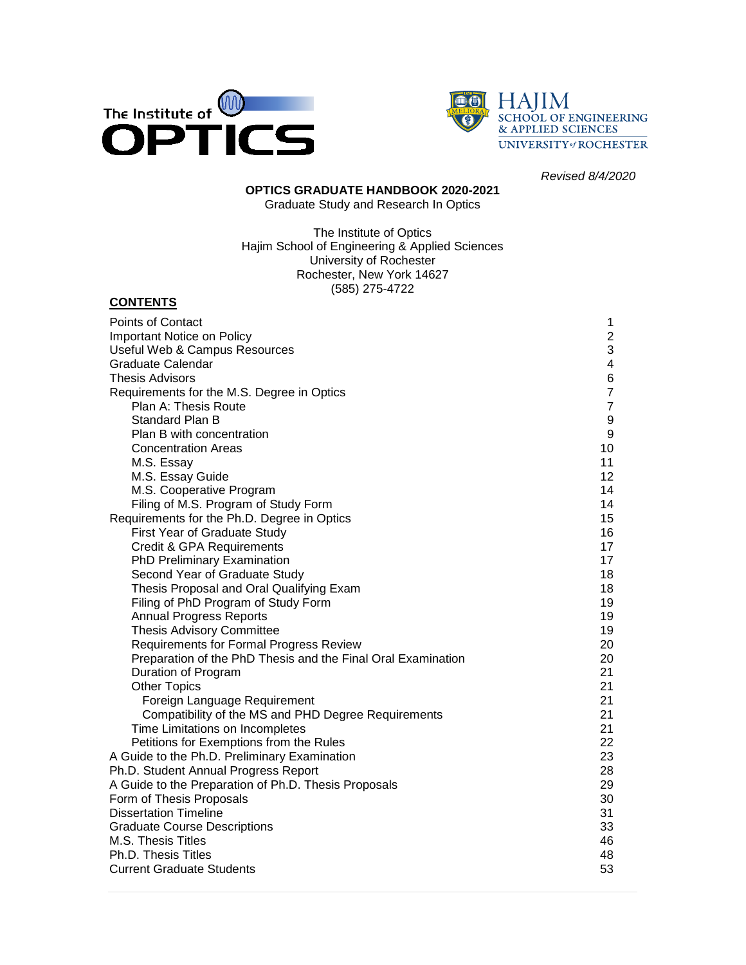



*Revised 8/4/2020*

#### **OPTICS GRADUATE HANDBOOK 2020-2021** Graduate Study and Research In Optics

The Institute of Optics Hajim School of Engineering & Applied Sciences University of Rochester

Rochester, New York 14627 (585) 275-4722

#### **CONTENTS**

| Points of Contact                                            | $\mathbf 1$      |
|--------------------------------------------------------------|------------------|
| Important Notice on Policy                                   | $\mathbf{2}$     |
| Useful Web & Campus Resources                                | 3                |
| Graduate Calendar                                            | $\overline{4}$   |
| Thesis Advisors                                              | 6                |
| Requirements for the M.S. Degree in Optics                   | $\overline{7}$   |
| Plan A: Thesis Route                                         | $\overline{7}$   |
| Standard Plan B                                              | $\boldsymbol{9}$ |
| Plan B with concentration                                    | $9\,$            |
| <b>Concentration Areas</b>                                   | 10               |
| M.S. Essay                                                   | 11               |
| M.S. Essay Guide                                             | 12 <sup>2</sup>  |
| M.S. Cooperative Program                                     | 14               |
| Filing of M.S. Program of Study Form                         | 14               |
| Requirements for the Ph.D. Degree in Optics                  | 15               |
| First Year of Graduate Study                                 | 16               |
| Credit & GPA Requirements                                    | 17               |
| PhD Preliminary Examination                                  | 17               |
| Second Year of Graduate Study                                | 18               |
| Thesis Proposal and Oral Qualifying Exam                     | 18               |
| Filing of PhD Program of Study Form                          | 19               |
| <b>Annual Progress Reports</b>                               | 19               |
| <b>Thesis Advisory Committee</b>                             | 19               |
| Requirements for Formal Progress Review                      | 20               |
| Preparation of the PhD Thesis and the Final Oral Examination | 20               |
| Duration of Program                                          | 21               |
| <b>Other Topics</b>                                          | 21               |
| Foreign Language Requirement                                 | 21               |
| Compatibility of the MS and PHD Degree Requirements          | 21               |
| Time Limitations on Incompletes                              | 21               |
| Petitions for Exemptions from the Rules                      | 22               |
| A Guide to the Ph.D. Preliminary Examination                 | 23               |
| Ph.D. Student Annual Progress Report                         | 28               |
| A Guide to the Preparation of Ph.D. Thesis Proposals         | 29               |
| Form of Thesis Proposals                                     | 30               |
| <b>Dissertation Timeline</b>                                 | 31               |
| <b>Graduate Course Descriptions</b>                          | 33               |
| M.S. Thesis Titles                                           | 46               |
| Ph.D. Thesis Titles                                          | 48               |
| <b>Current Graduate Students</b>                             | 53               |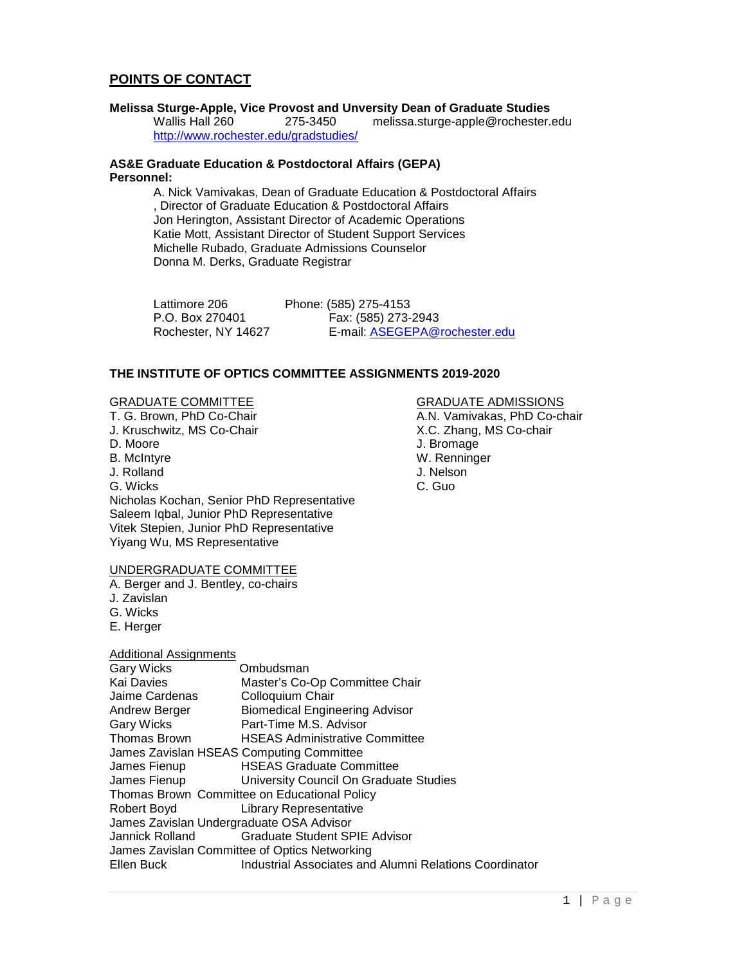## **POINTS OF CONTACT**

# **Melissa Sturge-Apple, Vice Provost and Unversity Dean of Graduate Studies**

melissa.sturge-apple@rochester.edu <http://www.rochester.edu/gradstudies/>

#### **AS&E Graduate Education & Postdoctoral Affairs (GEPA) Personnel:**

A. Nick Vamivakas, Dean of Graduate Education & Postdoctoral Affairs , Director of Graduate Education & Postdoctoral Affairs Jon Herington, Assistant Director of Academic Operations Katie Mott, Assistant Director of Student Support Services Michelle Rubado, Graduate Admissions Counselor Donna M. Derks, Graduate Registrar

| Lattimore 206       | Phone: (585) 275-4153         |
|---------------------|-------------------------------|
| P.O. Box 270401     | Fax: (585) 273-2943           |
| Rochester, NY 14627 | E-mail: ASEGEPA@rochester.edu |

#### **THE INSTITUTE OF OPTICS COMMITTEE ASSIGNMENTS 2019-2020**

GRADUATE COMMITTEE GRADUATE ADMISSIONS<br>
T. G. Brown, PhD Co-Chair GRADUATE ADMISSIONS<br>
A.N. Vamivakas, PhD Co-ch J. Kruschwitz, MS Co-Chair D. Moore J. Bromage B. McIntyre **B. McIntyre W. Renninger**<br>
J. Rolland **McInter W. W. Renninger** J. Rolland G. Wicks C. Guo Nicholas Kochan, Senior PhD Representative Saleem Iqbal, Junior PhD Representative Vitek Stepien, Junior PhD Representative Yiyang Wu, MS Representative

#### UNDERGRADUATE COMMITTEE

A. Berger and J. Bentley, co-chairs

- J. Zavislan
- G. Wicks
- E. Herger

#### Additional Assignments

| <b>Gary Wicks</b>                        | Ombudsman                                              |
|------------------------------------------|--------------------------------------------------------|
| Kai Davies                               | Master's Co-Op Committee Chair                         |
| Jaime Cardenas                           | Colloquium Chair                                       |
| Andrew Berger                            | <b>Biomedical Engineering Advisor</b>                  |
| <b>Gary Wicks</b>                        | Part-Time M.S. Advisor                                 |
| <b>Thomas Brown</b>                      | <b>HSEAS Administrative Committee</b>                  |
| James Zavislan HSEAS Computing Committee |                                                        |
| James Fienup                             | <b>HSEAS Graduate Committee</b>                        |
| James Fienup                             | University Council On Graduate Studies                 |
|                                          | Thomas Brown Committee on Educational Policy           |
| Robert Boyd                              | Library Representative                                 |
| James Zavislan Undergraduate OSA Advisor |                                                        |
| Jannick Rolland                          | <b>Graduate Student SPIE Advisor</b>                   |
|                                          | James Zavislan Committee of Optics Networking          |
| Ellen Buck                               | Industrial Associates and Alumni Relations Coordinator |

A.N. Vamivakas, PhD Co-chair X.C. Zhang, MS Co-chair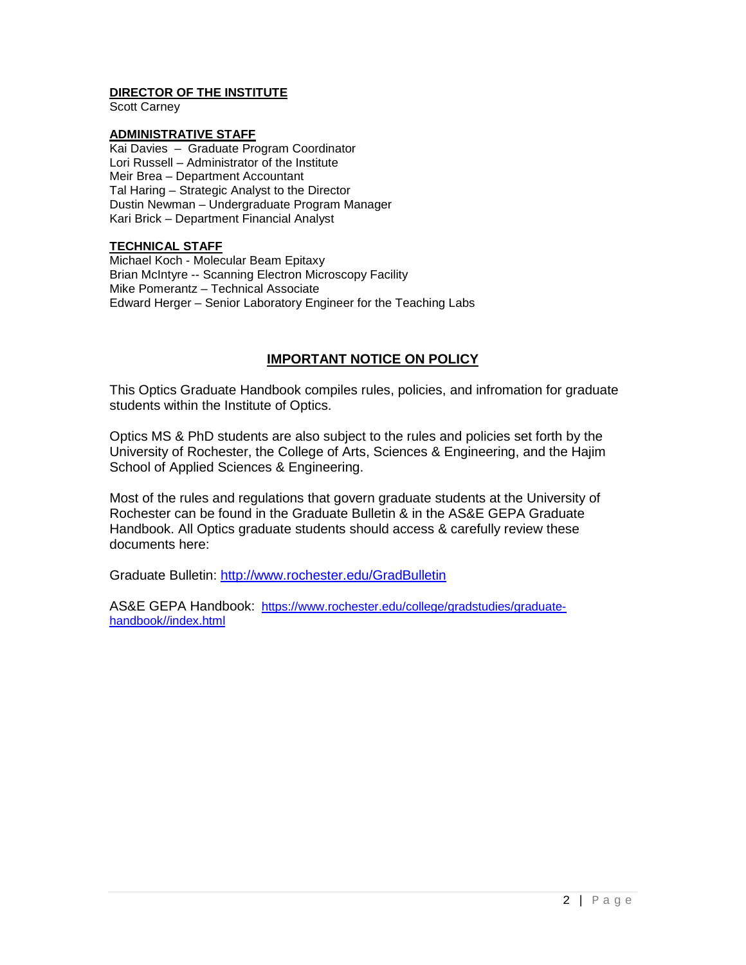#### **DIRECTOR OF THE INSTITUTE**

Scott Carney

#### **ADMINISTRATIVE STAFF**

Kai Davies – Graduate Program Coordinator Lori Russell – Administrator of the Institute Meir Brea – Department Accountant Tal Haring – Strategic Analyst to the Director Dustin Newman – Undergraduate Program Manager Kari Brick – Department Financial Analyst

#### **TECHNICAL STAFF**

Michael Koch - Molecular Beam Epitaxy Brian McIntyre -- Scanning Electron Microscopy Facility Mike Pomerantz – Technical Associate Edward Herger – Senior Laboratory Engineer for the Teaching Labs

## **IMPORTANT NOTICE ON POLICY**

This Optics Graduate Handbook compiles rules, policies, and infromation for graduate students within the Institute of Optics.

Optics MS & PhD students are also subject to the rules and policies set forth by the University of Rochester, the College of Arts, Sciences & Engineering, and the Hajim School of Applied Sciences & Engineering.

Most of the rules and regulations that govern graduate students at the University of Rochester can be found in the Graduate Bulletin & in the AS&E GEPA Graduate Handbook. All Optics graduate students should access & carefully review these documents here:

Graduate Bulletin:<http://www.rochester.edu/GradBulletin>

AS&E GEPA Handbook: [https://www.rochester.edu/college/gradstudies/graduate](https://www.rochester.edu/college/gradstudies/graduate-handbook/index.html)[handbook//index.html](https://www.rochester.edu/college/gradstudies/graduate-handbook/index.html)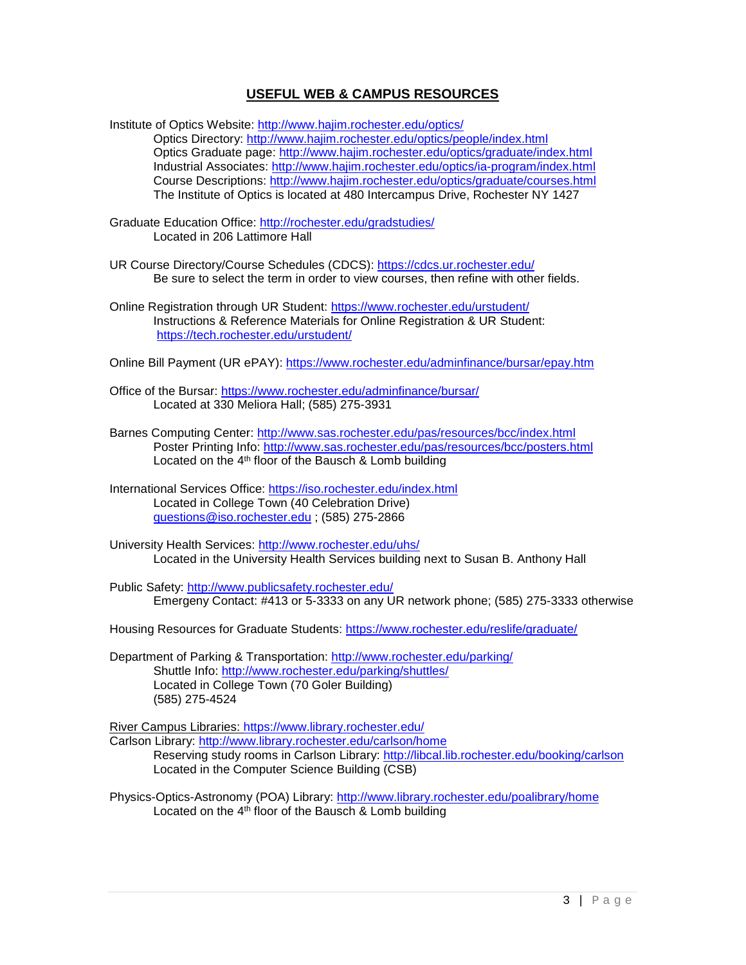## **USEFUL WEB & CAMPUS RESOURCES**

Institute of Optics Website:<http://www.hajim.rochester.edu/optics/> Optics Directory:<http://www.hajim.rochester.edu/optics/people/index.html> Optics Graduate page:<http://www.hajim.rochester.edu/optics/graduate/index.html> Industrial Associates:<http://www.hajim.rochester.edu/optics/ia-program/index.html> Course Descriptions: <http://www.hajim.rochester.edu/optics/graduate/courses.html> The Institute of Optics is located at 480 Intercampus Drive, Rochester NY 1427

Graduate Education Office: <http://rochester.edu/gradstudies/> Located in 206 Lattimore Hall

- UR Course Directory/Course Schedules (CDCS):<https://cdcs.ur.rochester.edu/> Be sure to select the term in order to view courses, then refine with other fields.
- Online Registration through UR Student:<https://www.rochester.edu/urstudent/> Instructions & Reference Materials for Online Registration & UR Student: <https://tech.rochester.edu/urstudent/>

Online Bill Payment (UR ePAY):<https://www.rochester.edu/adminfinance/bursar/epay.htm>

- Office of the Bursar:<https://www.rochester.edu/adminfinance/bursar/> Located at 330 Meliora Hall; (585) 275-3931
- Barnes Computing Center:<http://www.sas.rochester.edu/pas/resources/bcc/index.html> Poster Printing Info:<http://www.sas.rochester.edu/pas/resources/bcc/posters.html> Located on the  $4<sup>th</sup>$  floor of the Bausch & Lomb building
- International Services Office:<https://iso.rochester.edu/index.html> Located in College Town (40 Celebration Drive) [questions@iso.rochester.edu](mailto:questions@iso.rochester.edu) ; (585) 275-2866
- University Health Services: <http://www.rochester.edu/uhs/> Located in the University Health Services building next to Susan B. Anthony Hall

Public Safety: <http://www.publicsafety.rochester.edu/> Emergeny Contact: #413 or 5-3333 on any UR network phone; (585) 275-3333 otherwise

Housing Resources for Graduate Students:<https://www.rochester.edu/reslife/graduate/>

Department of Parking & Transportation: <http://www.rochester.edu/parking/> Shuttle Info: <http://www.rochester.edu/parking/shuttles/> Located in College Town (70 Goler Building) (585) 275-4524

River Campus Libraries:<https://www.library.rochester.edu/>

Carlson Library: <http://www.library.rochester.edu/carlson/home> Reserving study rooms in Carlson Library:<http://libcal.lib.rochester.edu/booking/carlson> Located in the Computer Science Building (CSB)

Physics-Optics-Astronomy (POA) Library:<http://www.library.rochester.edu/poalibrary/home> Located on the 4th floor of the Bausch & Lomb building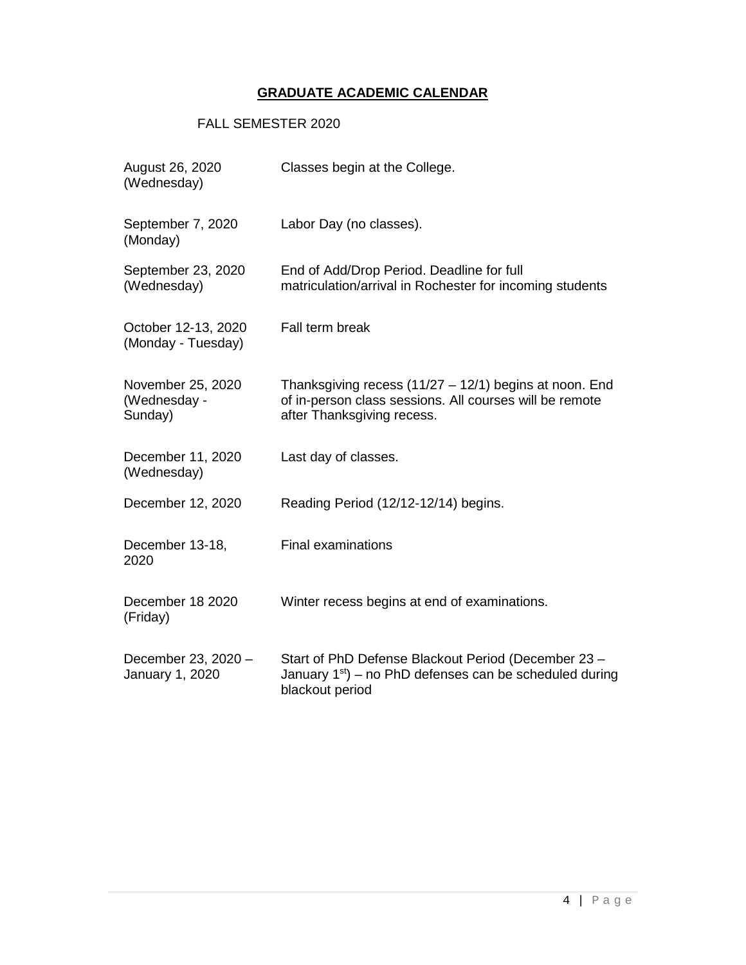## **GRADUATE ACADEMIC CALENDAR**

## FALL SEMESTER 2020

| August 26, 2020<br>(Wednesday)               | Classes begin at the College.                                                                                                                     |
|----------------------------------------------|---------------------------------------------------------------------------------------------------------------------------------------------------|
| September 7, 2020<br>(Monday)                | Labor Day (no classes).                                                                                                                           |
| September 23, 2020<br>(Wednesday)            | End of Add/Drop Period. Deadline for full<br>matriculation/arrival in Rochester for incoming students                                             |
| October 12-13, 2020<br>(Monday - Tuesday)    | Fall term break                                                                                                                                   |
| November 25, 2020<br>(Wednesday -<br>Sunday) | Thanksgiving recess $(11/27 - 12/1)$ begins at noon. End<br>of in-person class sessions. All courses will be remote<br>after Thanksgiving recess. |
| December 11, 2020<br>(Wednesday)             | Last day of classes.                                                                                                                              |
| December 12, 2020                            | Reading Period (12/12-12/14) begins.                                                                                                              |
| December 13-18,<br>2020                      | <b>Final examinations</b>                                                                                                                         |
| December 18 2020<br>(Friday)                 | Winter recess begins at end of examinations.                                                                                                      |
| December 23, 2020 -<br>January 1, 2020       | Start of PhD Defense Blackout Period (December 23 -<br>January $1st$ ) – no PhD defenses can be scheduled during<br>blackout period               |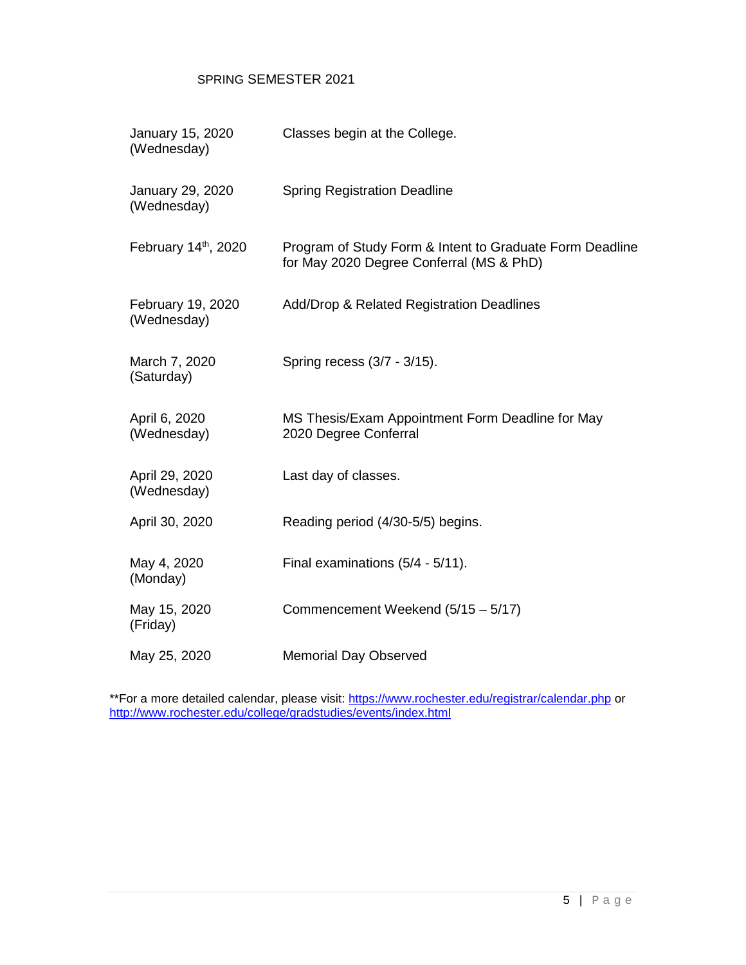### SPRING SEMESTER 2021

| January 15, 2020<br>(Wednesday)  | Classes begin at the College.                                                                        |
|----------------------------------|------------------------------------------------------------------------------------------------------|
| January 29, 2020<br>(Wednesday)  | <b>Spring Registration Deadline</b>                                                                  |
| February 14th, 2020              | Program of Study Form & Intent to Graduate Form Deadline<br>for May 2020 Degree Conferral (MS & PhD) |
| February 19, 2020<br>(Wednesday) | Add/Drop & Related Registration Deadlines                                                            |
| March 7, 2020<br>(Saturday)      | Spring recess (3/7 - 3/15).                                                                          |
| April 6, 2020<br>(Wednesday)     | MS Thesis/Exam Appointment Form Deadline for May<br>2020 Degree Conferral                            |
| April 29, 2020<br>(Wednesday)    | Last day of classes.                                                                                 |
| April 30, 2020                   | Reading period (4/30-5/5) begins.                                                                    |
| May 4, 2020<br>(Monday)          | Final examinations (5/4 - 5/11).                                                                     |
| May 15, 2020<br>(Friday)         | Commencement Weekend (5/15 - 5/17)                                                                   |
| May 25, 2020                     | <b>Memorial Day Observed</b>                                                                         |

\*\*For a more detailed calendar, please visit: <u>https://www.rochester.edu/registrar/calendar.php</u> or <http://www.rochester.edu/college/gradstudies/events/index.html>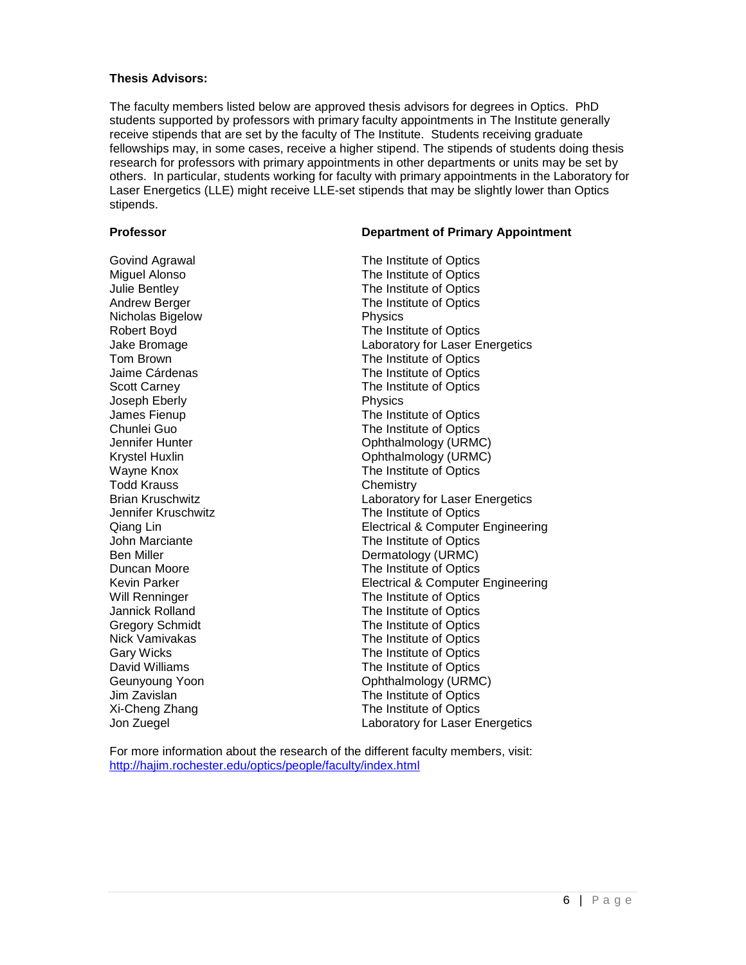#### **Thesis Advisors:**

The faculty members listed below are approved thesis advisors for degrees in Optics. PhD students supported by professors with primary faculty appointments in The Institute generally receive stipends that are set by the faculty of The Institute. Students receiving graduate fellowships may, in some cases, receive a higher stipend. The stipends of students doing thesis research for professors with primary appointments in other departments or units may be set by others. In particular, students working for faculty with primary appointments in the Laboratory for Laser Energetics (LLE) might receive LLE-set stipends that may be slightly lower than Optics stipends.

#### **Professor Department of Primary Appointment**

Nicholas Bigelow Joseph Eberly **Physics** Todd Krauss **Chemistry** 

Govind Agrawal **The Institute of Optics**<br>
Miguel Alonso **The Institute of Optics** Miguel Alonso The Institute of Optics The Institute of Optics Andrew Berger The Institute of Optics Robert Boyd **The Institute of Optics** Jake Bromage **Laboratory for Laser Energetics**<br>
The Institute of Optics<br>
The Institute of Optics The Institute of Optics Jaime Cárdenas The Institute of Optics Scott Carney **The Institute of Optics** James Fienup **The Institute of Optics** Chunlei Guo The Institute of Optics Ophthalmology (URMC) Krystel Huxlin **Communist Communist Communist Communist Communist Communist Communist Communist Communist Communist Communist Communist Communist Communist Communist Communist Communist Communist Communist Communist Commun** Wayne Knox **The Institute of Optics** Brian Kruschwitz Laboratory for Laser Energetics Jennifer Kruschwitz The Institute of Optics Qiang Lin Electrical & Computer Engineering John Marciante The Institute of Optics Ben Miller **Dermatology** (URMC) Duncan Moore **The Institute of Optics**<br>
Kevin Parker **The Institute of Optics**<br>
Electrical & Computer **Electrical & Computer Engineering** Will Renninger The Institute of Optics<br>
Unit Unit Communicate Contract Contract The Institute of Optics The Institute of Optics Gregory Schmidt **The Institute of Optics** Nick Vamivakas **The Institute of Optics** Gary Wicks **The Institute of Optics** David Williams **The Institute of Optics** Geunyoung Yoon **Committee Controllery** Controllery Ophthalmology (URMC) Jim Zavislan The Institute of Optics Xi-Cheng Zhang The Institute of Optics Jon Zuegel Laboratory for Laser Energetics

For more information about the research of the different faculty members, visit: <http://hajim.rochester.edu/optics/people/faculty/index.html>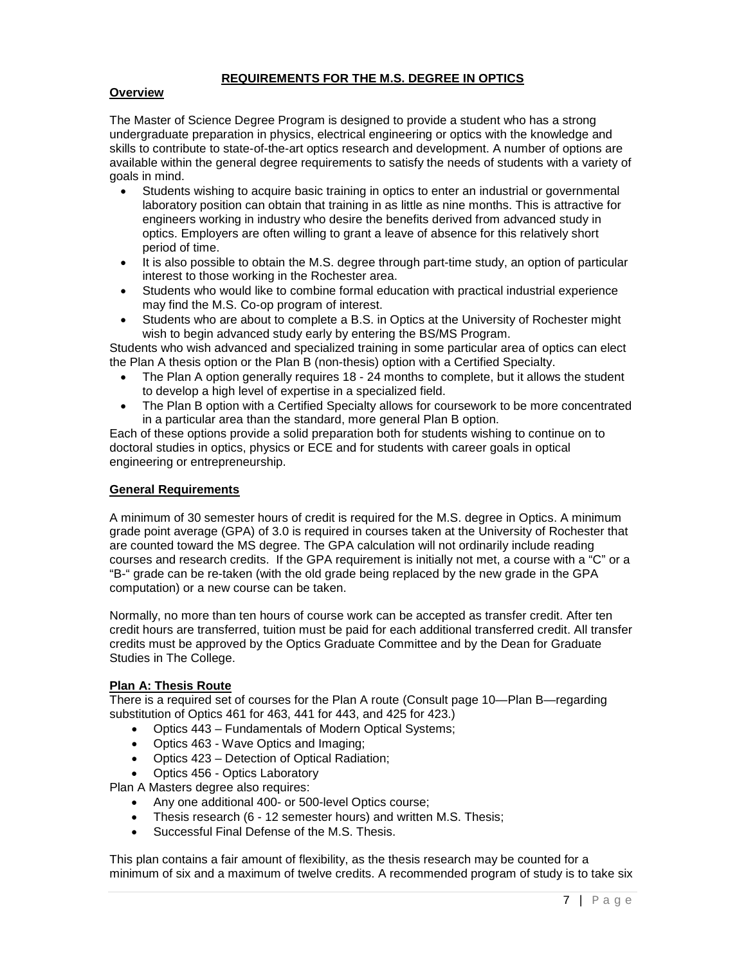### **REQUIREMENTS FOR THE M.S. DEGREE IN OPTICS**

#### **Overview**

The Master of Science Degree Program is designed to provide a student who has a strong undergraduate preparation in physics, electrical engineering or optics with the knowledge and skills to contribute to state-of-the-art optics research and development. A number of options are available within the general degree requirements to satisfy the needs of students with a variety of goals in mind.

- Students wishing to acquire basic training in optics to enter an industrial or governmental laboratory position can obtain that training in as little as nine months. This is attractive for engineers working in industry who desire the benefits derived from advanced study in optics. Employers are often willing to grant a leave of absence for this relatively short period of time.
- It is also possible to obtain the M.S. degree through part-time study, an option of particular interest to those working in the Rochester area.
- Students who would like to combine formal education with practical industrial experience may find the M.S. Co-op program of interest.
- Students who are about to complete a B.S. in Optics at the University of Rochester might wish to begin advanced study early by entering the BS/MS Program.

Students who wish advanced and specialized training in some particular area of optics can elect the Plan A thesis option or the Plan B (non-thesis) option with a Certified Specialty.

- The Plan A option generally requires 18 24 months to complete, but it allows the student to develop a high level of expertise in a specialized field.
- The Plan B option with a Certified Specialty allows for coursework to be more concentrated in a particular area than the standard, more general Plan B option.

Each of these options provide a solid preparation both for students wishing to continue on to doctoral studies in optics, physics or ECE and for students with career goals in optical engineering or entrepreneurship.

#### **General Requirements**

A minimum of 30 semester hours of credit is required for the M.S. degree in Optics. A minimum grade point average (GPA) of 3.0 is required in courses taken at the University of Rochester that are counted toward the MS degree. The GPA calculation will not ordinarily include reading courses and research credits. If the GPA requirement is initially not met, a course with a "C" or a "B-" grade can be re-taken (with the old grade being replaced by the new grade in the GPA computation) or a new course can be taken.

Normally, no more than ten hours of course work can be accepted as transfer credit. After ten credit hours are transferred, tuition must be paid for each additional transferred credit. All transfer credits must be approved by the Optics Graduate Committee and by the Dean for Graduate Studies in The College.

#### **Plan A: Thesis Route**

There is a required set of courses for the Plan A route (Consult page 10—Plan B—regarding substitution of Optics 461 for 463, 441 for 443, and 425 for 423.)

- Optics 443 Fundamentals of Modern Optical Systems;
- Optics 463 Wave Optics and Imaging;
- Optics 423 Detection of Optical Radiation;
- Optics 456 Optics Laboratory

Plan A Masters degree also requires:

- Any one additional 400- or 500-level Optics course;
- Thesis research (6 12 semester hours) and written M.S. Thesis;
- Successful Final Defense of the M.S. Thesis.

This plan contains a fair amount of flexibility, as the thesis research may be counted for a minimum of six and a maximum of twelve credits. A recommended program of study is to take six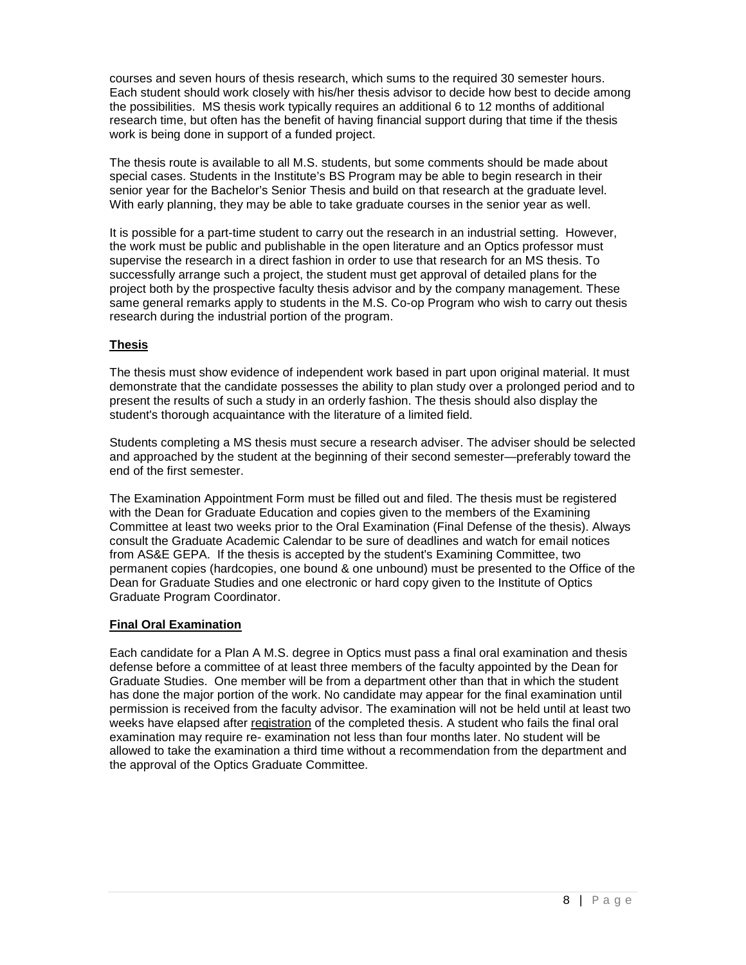courses and seven hours of thesis research, which sums to the required 30 semester hours. Each student should work closely with his/her thesis advisor to decide how best to decide among the possibilities. MS thesis work typically requires an additional 6 to 12 months of additional research time, but often has the benefit of having financial support during that time if the thesis work is being done in support of a funded project.

The thesis route is available to all M.S. students, but some comments should be made about special cases. Students in the Institute's BS Program may be able to begin research in their senior year for the Bachelor's Senior Thesis and build on that research at the graduate level. With early planning, they may be able to take graduate courses in the senior year as well.

It is possible for a part-time student to carry out the research in an industrial setting. However, the work must be public and publishable in the open literature and an Optics professor must supervise the research in a direct fashion in order to use that research for an MS thesis. To successfully arrange such a project, the student must get approval of detailed plans for the project both by the prospective faculty thesis advisor and by the company management. These same general remarks apply to students in the M.S. Co-op Program who wish to carry out thesis research during the industrial portion of the program.

## **Thesis**

The thesis must show evidence of independent work based in part upon original material. It must demonstrate that the candidate possesses the ability to plan study over a prolonged period and to present the results of such a study in an orderly fashion. The thesis should also display the student's thorough acquaintance with the literature of a limited field.

Students completing a MS thesis must secure a research adviser. The adviser should be selected and approached by the student at the beginning of their second semester—preferably toward the end of the first semester.

The Examination Appointment Form must be filled out and filed. The thesis must be registered with the Dean for Graduate Education and copies given to the members of the Examining Committee at least two weeks prior to the Oral Examination (Final Defense of the thesis). Always consult the Graduate Academic Calendar to be sure of deadlines and watch for email notices from AS&E GEPA. If the thesis is accepted by the student's Examining Committee, two permanent copies (hardcopies, one bound & one unbound) must be presented to the Office of the Dean for Graduate Studies and one electronic or hard copy given to the Institute of Optics Graduate Program Coordinator.

#### **Final Oral Examination**

Each candidate for a Plan A M.S. degree in Optics must pass a final oral examination and thesis defense before a committee of at least three members of the faculty appointed by the Dean for Graduate Studies. One member will be from a department other than that in which the student has done the major portion of the work. No candidate may appear for the final examination until permission is received from the faculty advisor. The examination will not be held until at least two weeks have elapsed after registration of the completed thesis. A student who fails the final oral examination may require re- examination not less than four months later. No student will be allowed to take the examination a third time without a recommendation from the department and the approval of the Optics Graduate Committee.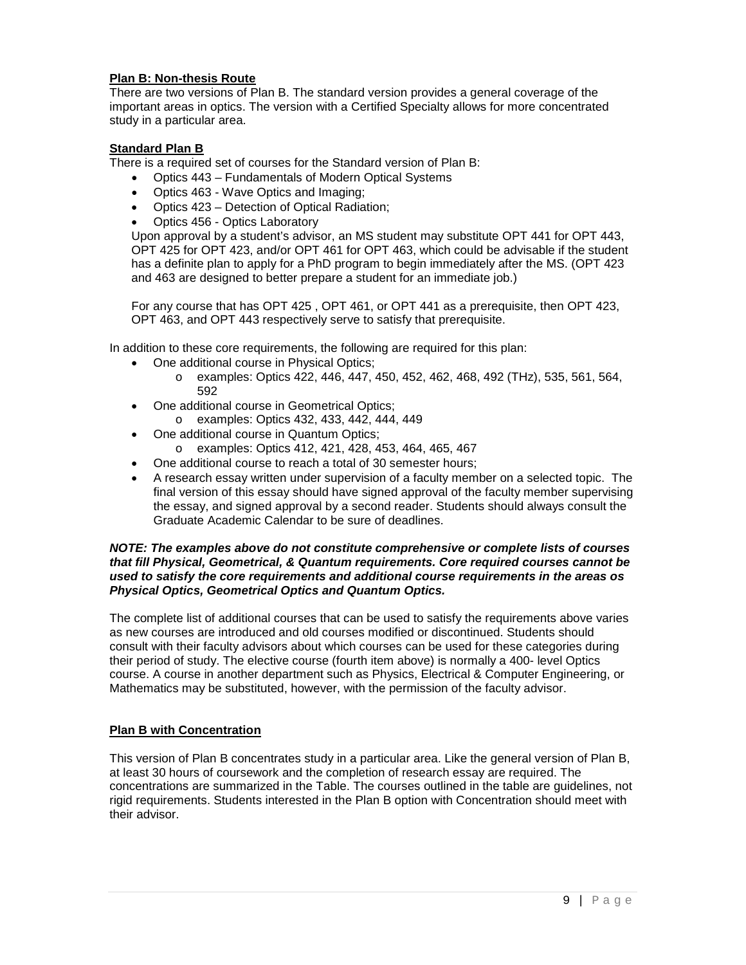#### **Plan B: Non-thesis Route**

There are two versions of Plan B. The standard version provides a general coverage of the important areas in optics. The version with a Certified Specialty allows for more concentrated study in a particular area.

#### **Standard Plan B**

There is a required set of courses for the Standard version of Plan B:

- Optics 443 Fundamentals of Modern Optical Systems
- Optics 463 Wave Optics and Imaging;
- Optics 423 Detection of Optical Radiation;
- Optics 456 Optics Laboratory

Upon approval by a student's advisor, an MS student may substitute OPT 441 for OPT 443, OPT 425 for OPT 423, and/or OPT 461 for OPT 463, which could be advisable if the student has a definite plan to apply for a PhD program to begin immediately after the MS. (OPT 423 and 463 are designed to better prepare a student for an immediate job.)

For any course that has OPT 425 , OPT 461, or OPT 441 as a prerequisite, then OPT 423, OPT 463, and OPT 443 respectively serve to satisfy that prerequisite.

In addition to these core requirements, the following are required for this plan:

- One additional course in Physical Optics;
	- o examples: Optics 422, 446, 447, 450, 452, 462, 468, 492 (THz), 535, 561, 564, 592
- One additional course in Geometrical Optics;
	- o examples: Optics 432, 433, 442, 444, 449
- One additional course in Quantum Optics;
	- o examples: Optics 412, 421, 428, 453, 464, 465, 467
- One additional course to reach a total of 30 semester hours;
- A research essay written under supervision of a faculty member on a selected topic. The final version of this essay should have signed approval of the faculty member supervising the essay, and signed approval by a second reader. Students should always consult the Graduate Academic Calendar to be sure of deadlines.

#### *NOTE: The examples above do not constitute comprehensive or complete lists of courses that fill Physical, Geometrical, & Quantum requirements. Core required courses cannot be used to satisfy the core requirements and additional course requirements in the areas os Physical Optics, Geometrical Optics and Quantum Optics.*

The complete list of additional courses that can be used to satisfy the requirements above varies as new courses are introduced and old courses modified or discontinued. Students should consult with their faculty advisors about which courses can be used for these categories during their period of study. The elective course (fourth item above) is normally a 400- level Optics course. A course in another department such as Physics, Electrical & Computer Engineering, or Mathematics may be substituted, however, with the permission of the faculty advisor.

#### **Plan B with Concentration**

This version of Plan B concentrates study in a particular area. Like the general version of Plan B, at least 30 hours of coursework and the completion of research essay are required. The concentrations are summarized in the Table. The courses outlined in the table are guidelines, not rigid requirements. Students interested in the Plan B option with Concentration should meet with their advisor.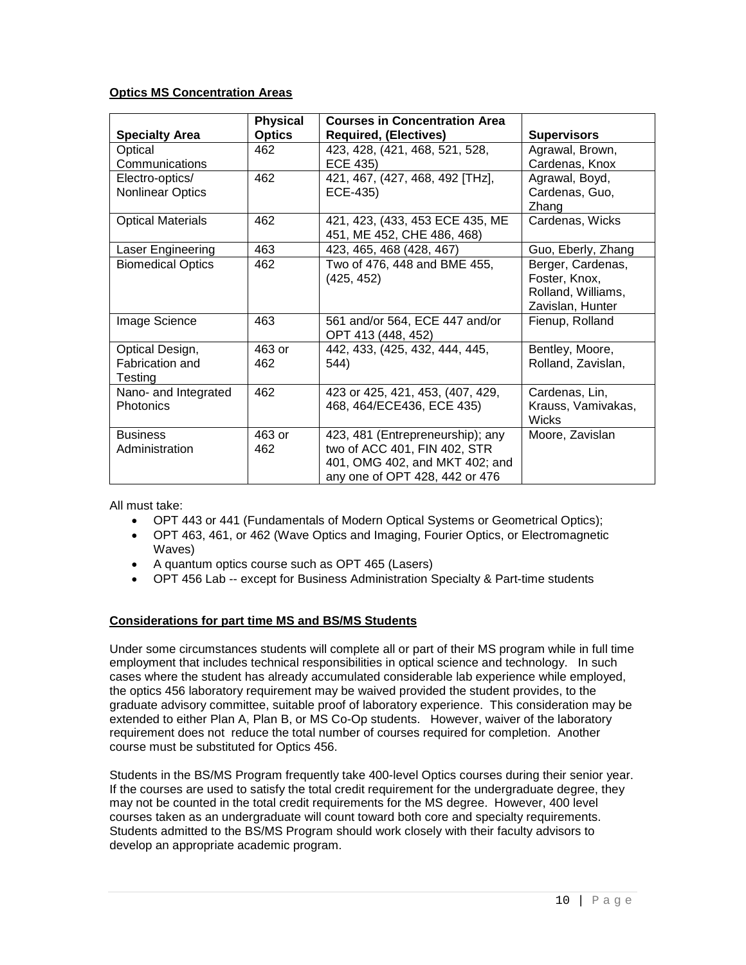#### **Optics MS Concentration Areas**

|                          | <b>Physical</b> | <b>Courses in Concentration Area</b> |                    |
|--------------------------|-----------------|--------------------------------------|--------------------|
| <b>Specialty Area</b>    | <b>Optics</b>   | <b>Required, (Electives)</b>         | <b>Supervisors</b> |
| Optical                  | 462             | 423, 428, (421, 468, 521, 528,       | Agrawal, Brown,    |
| Communications           |                 | ECE 435)                             | Cardenas, Knox     |
| Electro-optics/          | 462             | 421, 467, (427, 468, 492 [THz],      | Agrawal, Boyd,     |
| Nonlinear Optics         |                 | ECE-435)                             | Cardenas, Guo,     |
|                          |                 |                                      | Zhang              |
| <b>Optical Materials</b> | 462             | 421, 423, (433, 453 ECE 435, ME      | Cardenas, Wicks    |
|                          |                 | 451, ME 452, CHE 486, 468)           |                    |
| Laser Engineering        | 463             | 423, 465, 468 (428, 467)             | Guo, Eberly, Zhang |
| <b>Biomedical Optics</b> | 462             | Two of 476, 448 and BME 455,         | Berger, Cardenas,  |
|                          |                 | (425, 452)                           | Foster, Knox,      |
|                          |                 |                                      | Rolland, Williams, |
|                          |                 |                                      | Zavislan, Hunter   |
| Image Science            | 463             | 561 and/or 564, ECE 447 and/or       | Fienup, Rolland    |
|                          |                 | OPT 413 (448, 452)                   |                    |
| Optical Design,          | 463 or          | 442, 433, (425, 432, 444, 445,       | Bentley, Moore,    |
| Fabrication and          | 462             | 544)                                 | Rolland, Zavislan, |
| Testing                  |                 |                                      |                    |
| Nano- and Integrated     | 462             | 423 or 425, 421, 453, (407, 429,     | Cardenas, Lin,     |
| <b>Photonics</b>         |                 | 468, 464/ECE436, ECE 435)            | Krauss, Vamivakas, |
|                          |                 |                                      | <b>Wicks</b>       |
| <b>Business</b>          | 463 or          | 423, 481 (Entrepreneurship); any     | Moore, Zavislan    |
| Administration           | 462             | two of ACC 401, FIN 402, STR         |                    |
|                          |                 | 401, OMG 402, and MKT 402; and       |                    |
|                          |                 | any one of OPT 428, 442 or 476       |                    |

All must take:

- OPT 443 or 441 (Fundamentals of Modern Optical Systems or Geometrical Optics);
- OPT 463, 461, or 462 (Wave Optics and Imaging, Fourier Optics, or Electromagnetic Waves)
- A quantum optics course such as OPT 465 (Lasers)
- OPT 456 Lab -- except for Business Administration Specialty & Part-time students

#### **Considerations for part time MS and BS/MS Students**

Under some circumstances students will complete all or part of their MS program while in full time employment that includes technical responsibilities in optical science and technology. In such cases where the student has already accumulated considerable lab experience while employed, the optics 456 laboratory requirement may be waived provided the student provides, to the graduate advisory committee, suitable proof of laboratory experience. This consideration may be extended to either Plan A, Plan B, or MS Co-Op students. However, waiver of the laboratory requirement does not reduce the total number of courses required for completion. Another course must be substituted for Optics 456.

Students in the BS/MS Program frequently take 400-level Optics courses during their senior year. If the courses are used to satisfy the total credit requirement for the undergraduate degree, they may not be counted in the total credit requirements for the MS degree. However, 400 level courses taken as an undergraduate will count toward both core and specialty requirements. Students admitted to the BS/MS Program should work closely with their faculty advisors to develop an appropriate academic program.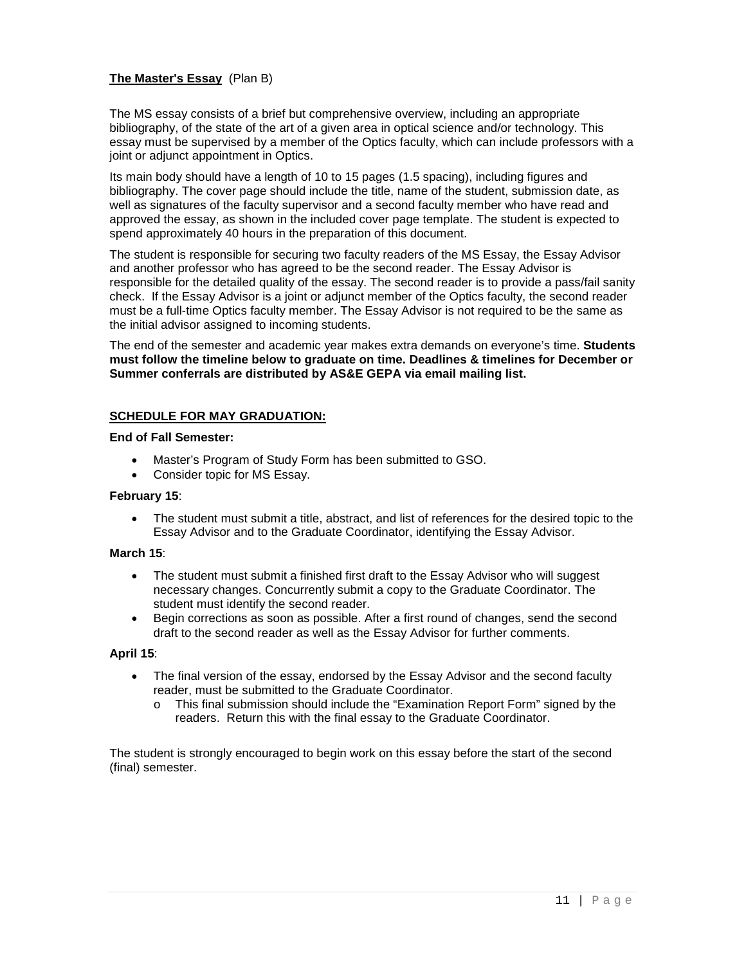#### **The Master's Essay** (Plan B)

The MS essay consists of a brief but comprehensive overview, including an appropriate bibliography, of the state of the art of a given area in optical science and/or technology. This essay must be supervised by a member of the Optics faculty, which can include professors with a joint or adjunct appointment in Optics.

Its main body should have a length of 10 to 15 pages (1.5 spacing), including figures and bibliography. The cover page should include the title, name of the student, submission date, as well as signatures of the faculty supervisor and a second faculty member who have read and approved the essay, as shown in the included cover page template. The student is expected to spend approximately 40 hours in the preparation of this document.

The student is responsible for securing two faculty readers of the MS Essay, the Essay Advisor and another professor who has agreed to be the second reader. The Essay Advisor is responsible for the detailed quality of the essay. The second reader is to provide a pass/fail sanity check. If the Essay Advisor is a joint or adjunct member of the Optics faculty, the second reader must be a full-time Optics faculty member. The Essay Advisor is not required to be the same as the initial advisor assigned to incoming students.

The end of the semester and academic year makes extra demands on everyone's time. **Students must follow the timeline below to graduate on time. Deadlines & timelines for December or Summer conferrals are distributed by AS&E GEPA via email mailing list.**

#### **SCHEDULE FOR MAY GRADUATION:**

**End of Fall Semester:**

- Master's Program of Study Form has been submitted to GSO.
- Consider topic for MS Essay.

#### **February 15**:

• The student must submit a title, abstract, and list of references for the desired topic to the Essay Advisor and to the Graduate Coordinator, identifying the Essay Advisor.

#### **March 15**:

- The student must submit a finished first draft to the Essay Advisor who will suggest necessary changes. Concurrently submit a copy to the Graduate Coordinator. The student must identify the second reader.
- Begin corrections as soon as possible. After a first round of changes, send the second draft to the second reader as well as the Essay Advisor for further comments.

#### **April 15**:

- The final version of the essay, endorsed by the Essay Advisor and the second faculty reader, must be submitted to the Graduate Coordinator.
	- o This final submission should include the "Examination Report Form" signed by the readers. Return this with the final essay to the Graduate Coordinator.

The student is strongly encouraged to begin work on this essay before the start of the second (final) semester.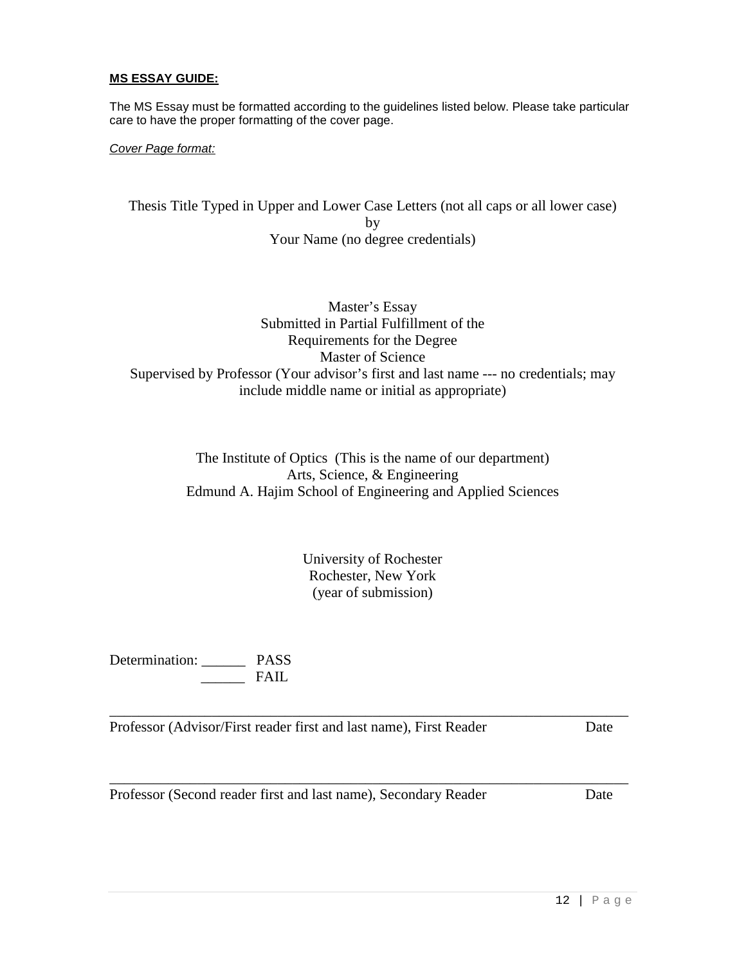#### **MS ESSAY GUIDE:**

The MS Essay must be formatted according to the guidelines listed below. Please take particular care to have the proper formatting of the cover page.

*Cover Page format:*

Thesis Title Typed in Upper and Lower Case Letters (not all caps or all lower case) by Your Name (no degree credentials)

Master's Essay Submitted in Partial Fulfillment of the Requirements for the Degree Master of Science Supervised by Professor (Your advisor's first and last name --- no credentials; may include middle name or initial as appropriate)

> The Institute of Optics (This is the name of our department) Arts, Science, & Engineering Edmund A. Hajim School of Engineering and Applied Sciences

> > University of Rochester Rochester, New York (year of submission)

\_\_\_\_\_\_\_\_\_\_\_\_\_\_\_\_\_\_\_\_\_\_\_\_\_\_\_\_\_\_\_\_\_\_\_\_\_\_\_\_\_\_\_\_\_\_\_\_\_\_\_\_\_\_\_\_\_\_\_\_\_\_\_\_\_\_\_\_\_\_\_

\_\_\_\_\_\_\_\_\_\_\_\_\_\_\_\_\_\_\_\_\_\_\_\_\_\_\_\_\_\_\_\_\_\_\_\_\_\_\_\_\_\_\_\_\_\_\_\_\_\_\_\_\_\_\_\_\_\_\_\_\_\_\_\_\_\_\_\_\_\_\_

Determination: \_\_\_\_\_\_ PASS  $\overline{\phantom{a}}$  FAIL

Professor (Advisor/First reader first and last name), First Reader Date

Professor (Second reader first and last name), Secondary Reader Date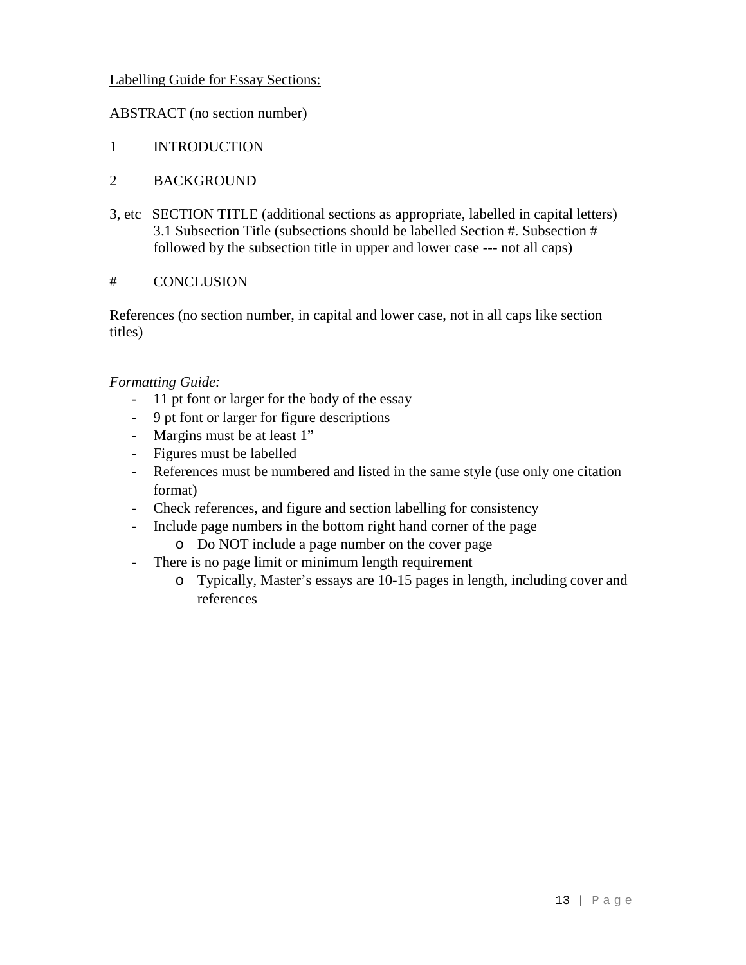## Labelling Guide for Essay Sections:

## ABSTRACT (no section number)

- 1 INTRODUCTION
- 2 BACKGROUND
- 3, etc SECTION TITLE (additional sections as appropriate, labelled in capital letters) 3.1 Subsection Title (subsections should be labelled Section #. Subsection # followed by the subsection title in upper and lower case --- not all caps)

## # CONCLUSION

References (no section number, in capital and lower case, not in all caps like section titles)

## *Formatting Guide:*

- 11 pt font or larger for the body of the essay
- 9 pt font or larger for figure descriptions
- Margins must be at least 1"
- Figures must be labelled
- References must be numbered and listed in the same style (use only one citation format)
- Check references, and figure and section labelling for consistency
- Include page numbers in the bottom right hand corner of the page
	- o Do NOT include a page number on the cover page
- There is no page limit or minimum length requirement
	- o Typically, Master's essays are 10-15 pages in length, including cover and references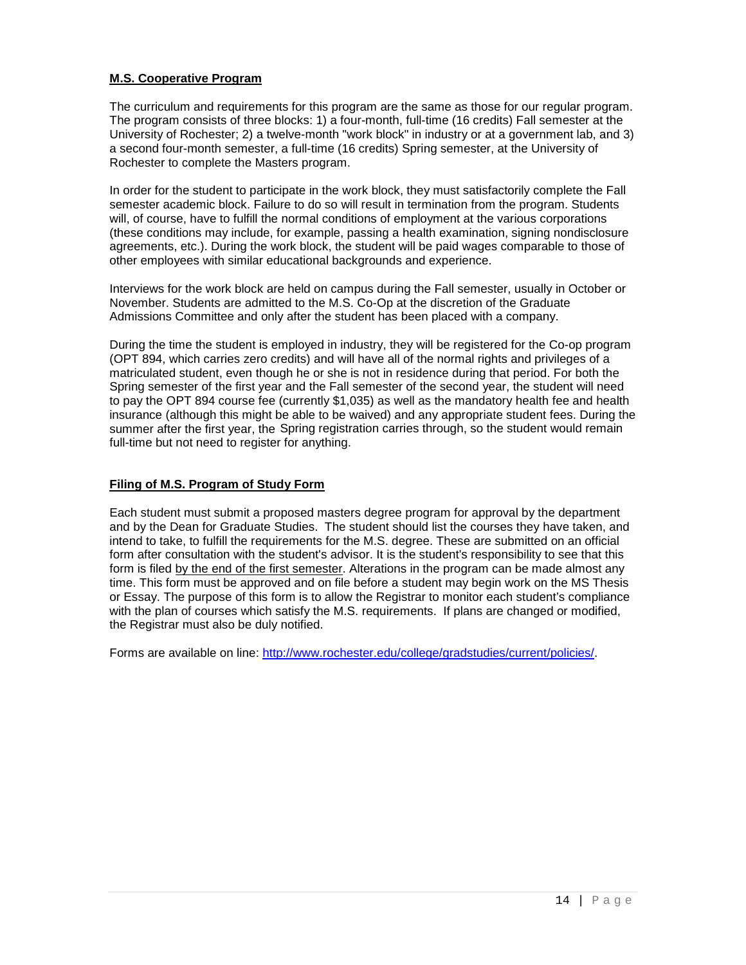## **M.S. Cooperative Program**

The curriculum and requirements for this program are the same as those for our regular program. The program consists of three blocks: 1) a four-month, full-time (16 credits) Fall semester at the University of Rochester; 2) a twelve-month "work block" in industry or at a government lab, and 3) a second four-month semester, a full-time (16 credits) Spring semester, at the University of Rochester to complete the Masters program.

In order for the student to participate in the work block, they must satisfactorily complete the Fall semester academic block. Failure to do so will result in termination from the program. Students will, of course, have to fulfill the normal conditions of employment at the various corporations (these conditions may include, for example, passing a health examination, signing nondisclosure agreements, etc.). During the work block, the student will be paid wages comparable to those of other employees with similar educational backgrounds and experience.

Interviews for the work block are held on campus during the Fall semester, usually in October or November. Students are admitted to the M.S. Co-Op at the discretion of the Graduate Admissions Committee and only after the student has been placed with a company.

During the time the student is employed in industry, they will be registered for the Co-op program (OPT 894, which carries zero credits) and will have all of the normal rights and privileges of a matriculated student, even though he or she is not in residence during that period. For both the Spring semester of the first year and the Fall semester of the second year, the student will need to pay the OPT 894 course fee (currently \$1,035) as well as the mandatory health fee and health insurance (although this might be able to be waived) and any appropriate student fees. During the summer after the first year, the Spring registration carries through, so the student would remain full-time but not need to register for anything.

#### **Filing of M.S. Program of Study Form**

Each student must submit a proposed masters degree program for approval by the department and by the Dean for Graduate Studies. The student should list the courses they have taken, and intend to take, to fulfill the requirements for the M.S. degree. These are submitted on an official form after consultation with the student's advisor. It is the student's responsibility to see that this form is filed by the end of the first semester. Alterations in the program can be made almost any time. This form must be approved and on file before a student may begin work on the MS Thesis or Essay. The purpose of this form is to allow the Registrar to monitor each student's compliance with the plan of courses which satisfy the M.S. requirements. If plans are changed or modified, the Registrar must also be duly notified.

Forms are available on line: [http://www.rochester.edu/college/gradstudies/current/policies/.](http://www.rochester.edu/college/gradstudies/current/policies/)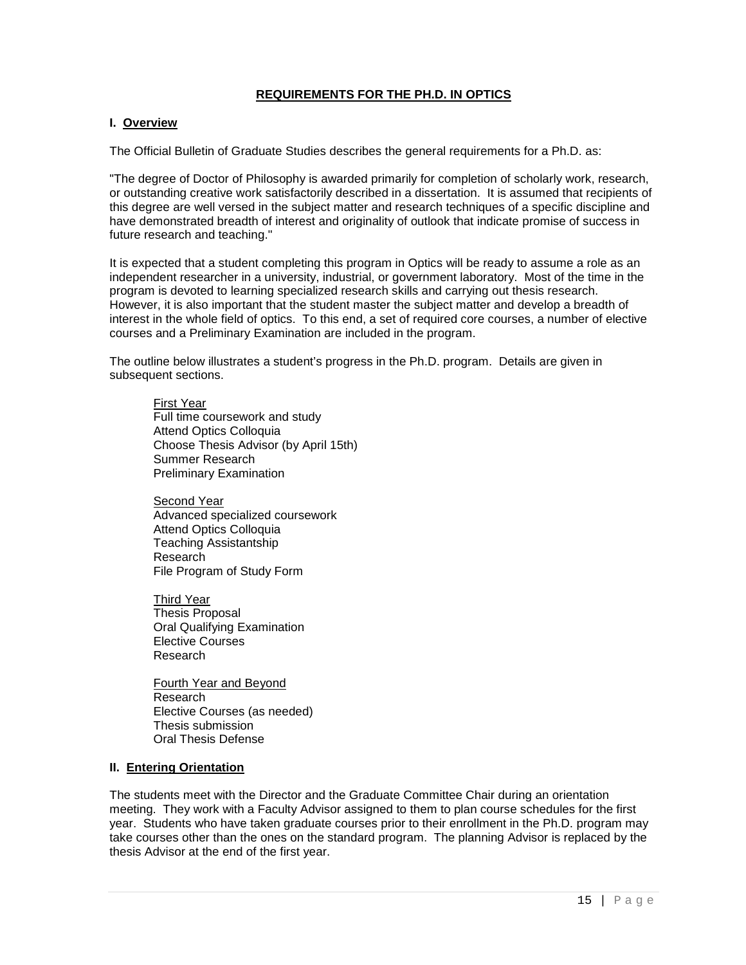#### **REQUIREMENTS FOR THE PH.D. IN OPTICS**

#### **I. Overview**

The Official Bulletin of Graduate Studies describes the general requirements for a Ph.D. as:

"The degree of Doctor of Philosophy is awarded primarily for completion of scholarly work, research, or outstanding creative work satisfactorily described in a dissertation. It is assumed that recipients of this degree are well versed in the subject matter and research techniques of a specific discipline and have demonstrated breadth of interest and originality of outlook that indicate promise of success in future research and teaching."

It is expected that a student completing this program in Optics will be ready to assume a role as an independent researcher in a university, industrial, or government laboratory. Most of the time in the program is devoted to learning specialized research skills and carrying out thesis research. However, it is also important that the student master the subject matter and develop a breadth of interest in the whole field of optics. To this end, a set of required core courses, a number of elective courses and a Preliminary Examination are included in the program.

The outline below illustrates a student's progress in the Ph.D. program. Details are given in subsequent sections.

First Year Full time coursework and study Attend Optics Colloquia Choose Thesis Advisor (by April 15th) Summer Research Preliminary Examination

Second Year Advanced specialized coursework Attend Optics Colloquia Teaching Assistantship Research File Program of Study Form

Third Year Thesis Proposal Oral Qualifying Examination Elective Courses Research

Fourth Year and Beyond Research Elective Courses (as needed) Thesis submission Oral Thesis Defense

#### **II. Entering Orientation**

The students meet with the Director and the Graduate Committee Chair during an orientation meeting. They work with a Faculty Advisor assigned to them to plan course schedules for the first year. Students who have taken graduate courses prior to their enrollment in the Ph.D. program may take courses other than the ones on the standard program. The planning Advisor is replaced by the thesis Advisor at the end of the first year.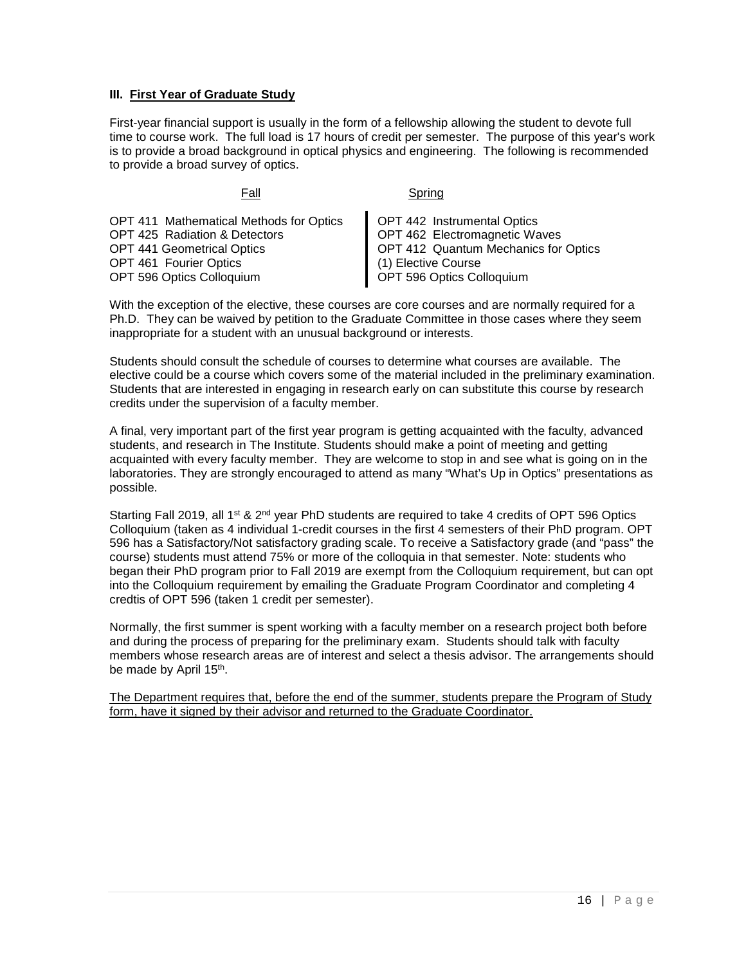#### **III. First Year of Graduate Study**

First-year financial support is usually in the form of a fellowship allowing the student to devote full time to course work. The full load is 17 hours of credit per semester. The purpose of this year's work is to provide a broad background in optical physics and engineering. The following is recommended to provide a broad survey of optics.

| OPT 411 Mathematical Methods for Optics<br><b>OPT 425 Radiation &amp; Detectors</b><br>OPT 441 Geometrical Optics<br>OPT 461 Fourier Optics<br><b>OPT 596 Optics Colloquium</b> | OPT 442 Instrumental Optics<br>OPT 462 Electromagnetic Waves<br>OPT 412 Quantum Mechanics for Optics<br>(1) Elective Course<br>OPT 596 Optics Colloquium |
|---------------------------------------------------------------------------------------------------------------------------------------------------------------------------------|----------------------------------------------------------------------------------------------------------------------------------------------------------|
|                                                                                                                                                                                 |                                                                                                                                                          |

Fall Spring

With the exception of the elective, these courses are core courses and are normally required for a Ph.D. They can be waived by petition to the Graduate Committee in those cases where they seem inappropriate for a student with an unusual background or interests.

Students should consult the schedule of courses to determine what courses are available. The elective could be a course which covers some of the material included in the preliminary examination. Students that are interested in engaging in research early on can substitute this course by research credits under the supervision of a faculty member.

A final, very important part of the first year program is getting acquainted with the faculty, advanced students, and research in The Institute. Students should make a point of meeting and getting acquainted with every faculty member. They are welcome to stop in and see what is going on in the laboratories. They are strongly encouraged to attend as many "What's Up in Optics" presentations as possible.

Starting Fall 2019, all 1<sup>st</sup> & 2<sup>nd</sup> year PhD students are required to take 4 credits of OPT 596 Optics Colloquium (taken as 4 individual 1-credit courses in the first 4 semesters of their PhD program. OPT 596 has a Satisfactory/Not satisfactory grading scale. To receive a Satisfactory grade (and "pass" the course) students must attend 75% or more of the colloquia in that semester. Note: students who began their PhD program prior to Fall 2019 are exempt from the Colloquium requirement, but can opt into the Colloquium requirement by emailing the Graduate Program Coordinator and completing 4 credtis of OPT 596 (taken 1 credit per semester).

Normally, the first summer is spent working with a faculty member on a research project both before and during the process of preparing for the preliminary exam. Students should talk with faculty members whose research areas are of interest and select a thesis advisor. The arrangements should be made by April 15<sup>th</sup>.

The Department requires that, before the end of the summer, students prepare the Program of Study form, have it signed by their advisor and returned to the Graduate Coordinator.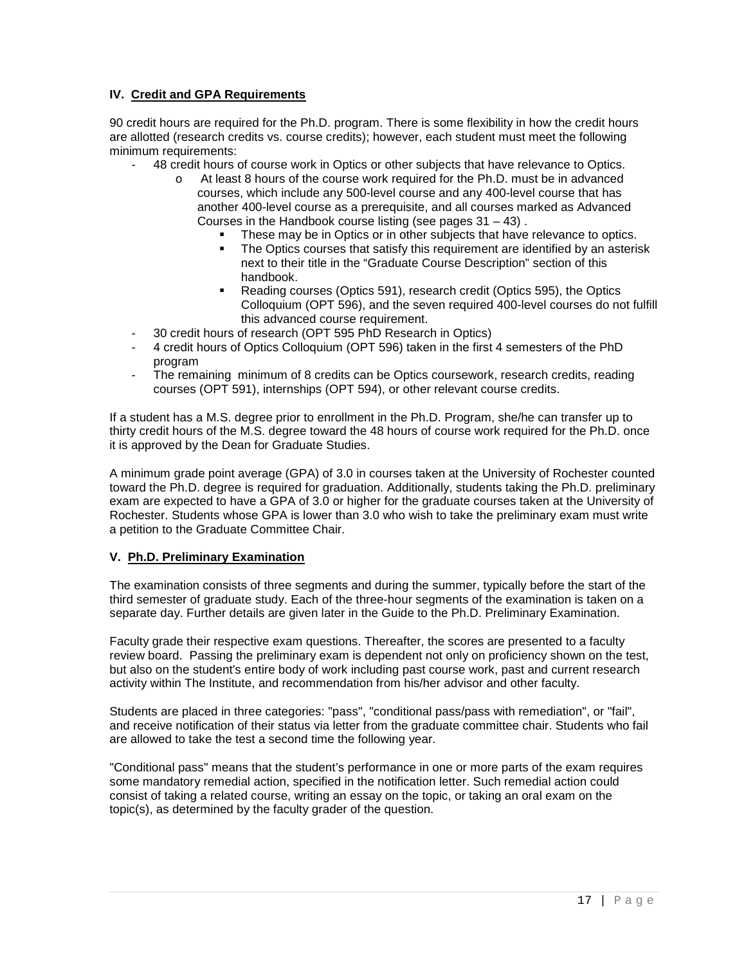### **IV. Credit and GPA Requirements**

90 credit hours are required for the Ph.D. program. There is some flexibility in how the credit hours are allotted (research credits vs. course credits); however, each student must meet the following minimum requirements:

- 48 credit hours of course work in Optics or other subjects that have relevance to Optics.
	- o At least 8 hours of the course work required for the Ph.D. must be in advanced courses, which include any 500-level course and any 400-level course that has another 400-level course as a prerequisite, and all courses marked as Advanced Courses in the Handbook course listing (see pages  $31 - 43$ ).
		- These may be in Optics or in other subjects that have relevance to optics.
		- The Optics courses that satisfy this requirement are identified by an asterisk next to their title in the "Graduate Course Description" section of this handbook.
		- Reading courses (Optics 591), research credit (Optics 595), the Optics Colloquium (OPT 596), and the seven required 400-level courses do not fulfill this advanced course requirement.
- 30 credit hours of research (OPT 595 PhD Research in Optics)
- 4 credit hours of Optics Colloquium (OPT 596) taken in the first 4 semesters of the PhD program
- The remaining minimum of 8 credits can be Optics coursework, research credits, reading courses (OPT 591), internships (OPT 594), or other relevant course credits.

If a student has a M.S. degree prior to enrollment in the Ph.D. Program, she/he can transfer up to thirty credit hours of the M.S. degree toward the 48 hours of course work required for the Ph.D. once it is approved by the Dean for Graduate Studies.

A minimum grade point average (GPA) of 3.0 in courses taken at the University of Rochester counted toward the Ph.D. degree is required for graduation. Additionally, students taking the Ph.D. preliminary exam are expected to have a GPA of 3.0 or higher for the graduate courses taken at the University of Rochester. Students whose GPA is lower than 3.0 who wish to take the preliminary exam must write a petition to the Graduate Committee Chair.

#### **V. Ph.D. Preliminary Examination**

The examination consists of three segments and during the summer, typically before the start of the third semester of graduate study. Each of the three-hour segments of the examination is taken on a separate day. Further details are given later in the Guide to the Ph.D. Preliminary Examination.

Faculty grade their respective exam questions. Thereafter, the scores are presented to a faculty review board. Passing the preliminary exam is dependent not only on proficiency shown on the test, but also on the student's entire body of work including past course work, past and current research activity within The Institute, and recommendation from his/her advisor and other faculty.

Students are placed in three categories: "pass", "conditional pass/pass with remediation", or "fail", and receive notification of their status via letter from the graduate committee chair. Students who fail are allowed to take the test a second time the following year.

"Conditional pass" means that the student's performance in one or more parts of the exam requires some mandatory remedial action, specified in the notification letter. Such remedial action could consist of taking a related course, writing an essay on the topic, or taking an oral exam on the topic(s), as determined by the faculty grader of the question.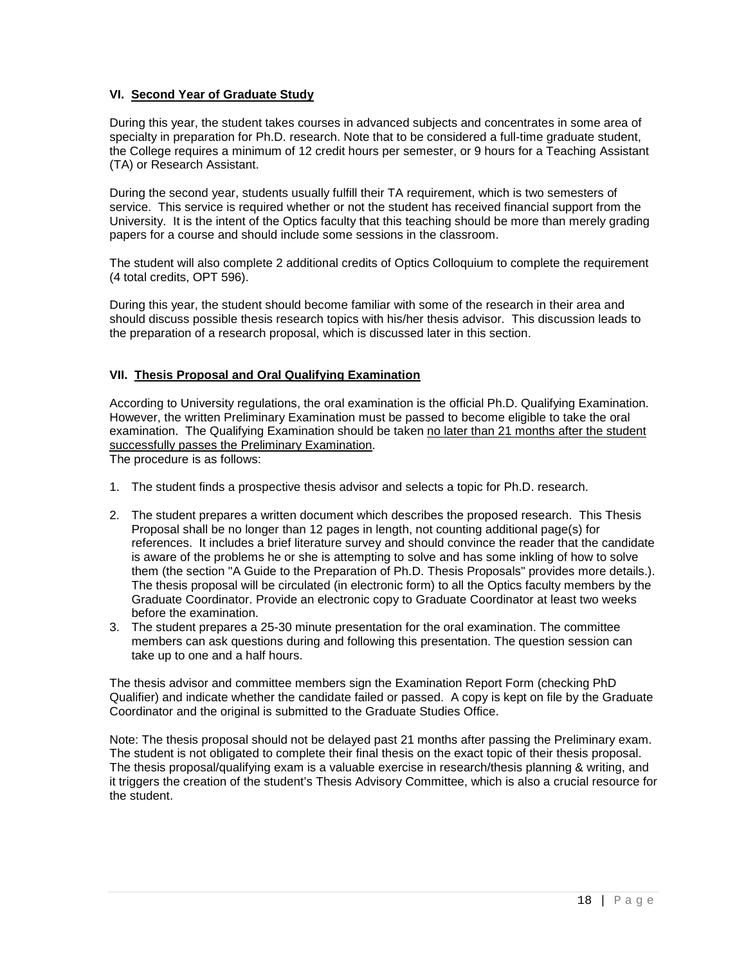#### **VI. Second Year of Graduate Study**

During this year, the student takes courses in advanced subjects and concentrates in some area of specialty in preparation for Ph.D. research. Note that to be considered a full-time graduate student, the College requires a minimum of 12 credit hours per semester, or 9 hours for a Teaching Assistant (TA) or Research Assistant.

During the second year, students usually fulfill their TA requirement, which is two semesters of service. This service is required whether or not the student has received financial support from the University. It is the intent of the Optics faculty that this teaching should be more than merely grading papers for a course and should include some sessions in the classroom.

The student will also complete 2 additional credits of Optics Colloquium to complete the requirement (4 total credits, OPT 596).

During this year, the student should become familiar with some of the research in their area and should discuss possible thesis research topics with his/her thesis advisor. This discussion leads to the preparation of a research proposal, which is discussed later in this section.

#### **VII. Thesis Proposal and Oral Qualifying Examination**

According to University regulations, the oral examination is the official Ph.D. Qualifying Examination. However, the written Preliminary Examination must be passed to become eligible to take the oral examination. The Qualifying Examination should be taken no later than 21 months after the student successfully passes the Preliminary Examination.

The procedure is as follows:

- 1. The student finds a prospective thesis advisor and selects a topic for Ph.D. research.
- 2. The student prepares a written document which describes the proposed research. This Thesis Proposal shall be no longer than 12 pages in length, not counting additional page(s) for references. It includes a brief literature survey and should convince the reader that the candidate is aware of the problems he or she is attempting to solve and has some inkling of how to solve them (the section "A Guide to the Preparation of Ph.D. Thesis Proposals" provides more details.). The thesis proposal will be circulated (in electronic form) to all the Optics faculty members by the Graduate Coordinator. Provide an electronic copy to Graduate Coordinator at least two weeks before the examination.
- 3. The student prepares a 25-30 minute presentation for the oral examination. The committee members can ask questions during and following this presentation. The question session can take up to one and a half hours.

The thesis advisor and committee members sign the Examination Report Form (checking PhD Qualifier) and indicate whether the candidate failed or passed. A copy is kept on file by the Graduate Coordinator and the original is submitted to the Graduate Studies Office.

Note: The thesis proposal should not be delayed past 21 months after passing the Preliminary exam. The student is not obligated to complete their final thesis on the exact topic of their thesis proposal. The thesis proposal/qualifying exam is a valuable exercise in research/thesis planning & writing, and it triggers the creation of the student's Thesis Advisory Committee, which is also a crucial resource for the student.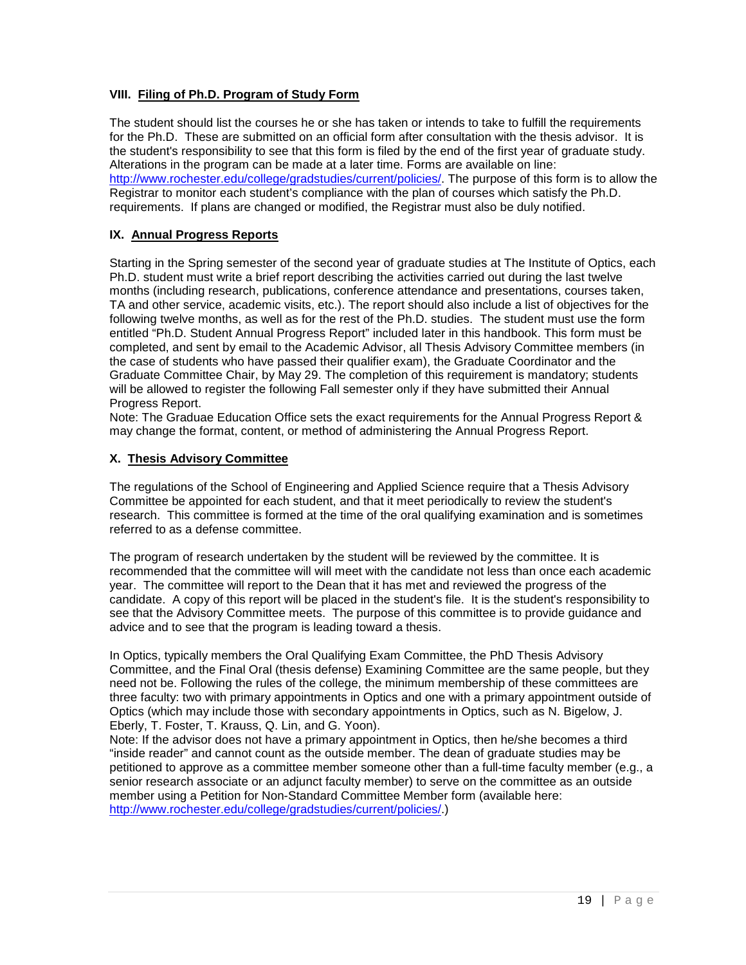## **VIII. Filing of Ph.D. Program of Study Form**

The student should list the courses he or she has taken or intends to take to fulfill the requirements for the Ph.D. These are submitted on an official form after consultation with the thesis advisor. It is the student's responsibility to see that this form is filed by the end of the first year of graduate study. Alterations in the program can be made at a later time. Forms are available on line: [http://www.rochester.edu/college/gradstudies/current/policies/.](http://www.rochester.edu/college/gradstudies/current/policies/) The purpose of this form is to allow the Registrar to monitor each student's compliance with the plan of courses which satisfy the Ph.D. requirements. If plans are changed or modified, the Registrar must also be duly notified.

#### **IX. Annual Progress Reports**

Starting in the Spring semester of the second year of graduate studies at The Institute of Optics, each Ph.D. student must write a brief report describing the activities carried out during the last twelve months (including research, publications, conference attendance and presentations, courses taken, TA and other service, academic visits, etc.). The report should also include a list of objectives for the following twelve months, as well as for the rest of the Ph.D. studies. The student must use the form entitled "Ph.D. Student Annual Progress Report" included later in this handbook. This form must be completed, and sent by email to the Academic Advisor, all Thesis Advisory Committee members (in the case of students who have passed their qualifier exam), the Graduate Coordinator and the Graduate Committee Chair, by May 29. The completion of this requirement is mandatory; students will be allowed to register the following Fall semester only if they have submitted their Annual Progress Report.

Note: The Graduae Education Office sets the exact requirements for the Annual Progress Report & may change the format, content, or method of administering the Annual Progress Report.

#### **X. Thesis Advisory Committee**

The regulations of the School of Engineering and Applied Science require that a Thesis Advisory Committee be appointed for each student, and that it meet periodically to review the student's research. This committee is formed at the time of the oral qualifying examination and is sometimes referred to as a defense committee.

The program of research undertaken by the student will be reviewed by the committee. It is recommended that the committee will will meet with the candidate not less than once each academic year. The committee will report to the Dean that it has met and reviewed the progress of the candidate. A copy of this report will be placed in the student's file. It is the student's responsibility to see that the Advisory Committee meets. The purpose of this committee is to provide guidance and advice and to see that the program is leading toward a thesis.

In Optics, typically members the Oral Qualifying Exam Committee, the PhD Thesis Advisory Committee, and the Final Oral (thesis defense) Examining Committee are the same people, but they need not be. Following the rules of the college, the minimum membership of these committees are three faculty: two with primary appointments in Optics and one with a primary appointment outside of Optics (which may include those with secondary appointments in Optics, such as N. Bigelow, J. Eberly, T. Foster, T. Krauss, Q. Lin, and G. Yoon).

Note: If the advisor does not have a primary appointment in Optics, then he/she becomes a third "inside reader" and cannot count as the outside member. The dean of graduate studies may be petitioned to approve as a committee member someone other than a full-time faculty member (e.g., a senior research associate or an adjunct faculty member) to serve on the committee as an outside member using a Petition for Non-Standard Committee Member form (available here: [http://www.rochester.edu/college/gradstudies/current/policies/.](http://www.rochester.edu/college/gradstudies/current/policies/))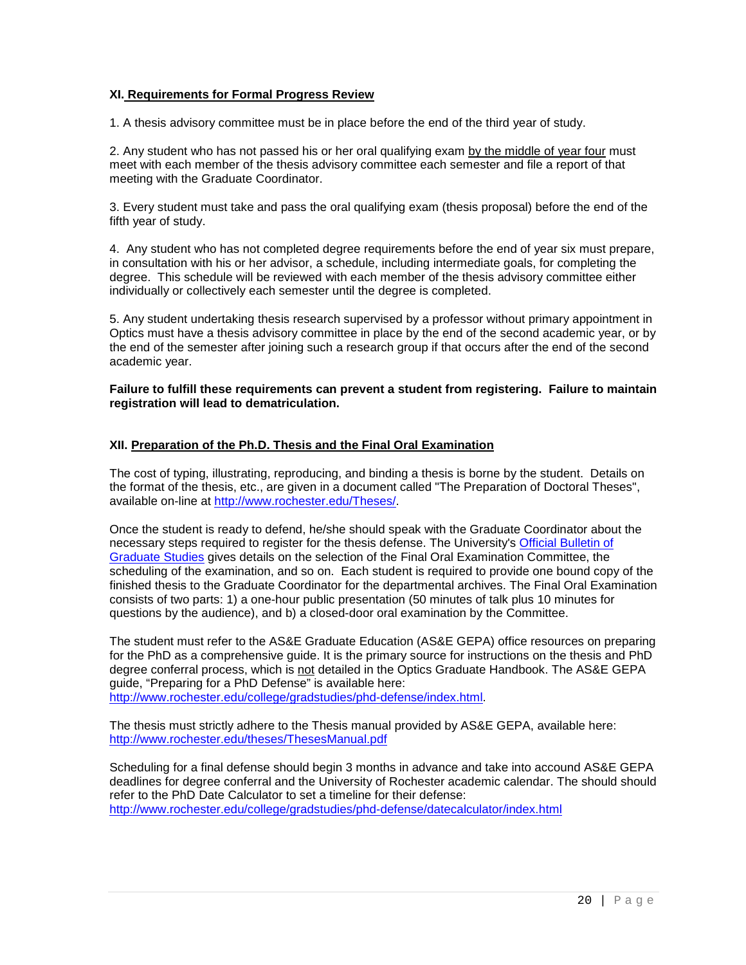#### **XI. Requirements for Formal Progress Review**

1. A thesis advisory committee must be in place before the end of the third year of study.

2. Any student who has not passed his or her oral qualifying exam by the middle of year four must meet with each member of the thesis advisory committee each semester and file a report of that meeting with the Graduate Coordinator.

3. Every student must take and pass the oral qualifying exam (thesis proposal) before the end of the fifth year of study.

4. Any student who has not completed degree requirements before the end of year six must prepare, in consultation with his or her advisor, a schedule, including intermediate goals, for completing the degree. This schedule will be reviewed with each member of the thesis advisory committee either individually or collectively each semester until the degree is completed.

5. Any student undertaking thesis research supervised by a professor without primary appointment in Optics must have a thesis advisory committee in place by the end of the second academic year, or by the end of the semester after joining such a research group if that occurs after the end of the second academic year.

#### **Failure to fulfill these requirements can prevent a student from registering. Failure to maintain registration will lead to dematriculation.**

#### **XII. Preparation of the Ph.D. Thesis and the Final Oral Examination**

The cost of typing, illustrating, reproducing, and binding a thesis is borne by the student. Details on the format of the thesis, etc., are given in a document called "The Preparation of Doctoral Theses", available on-line at [http://www.rochester.edu/Theses/.](http://www.rochester.edu/Theses/)

Once the student is ready to defend, he/she should speak with the Graduate Coordinator about the necessary steps required to register for the thesis defense. The University's [Official Bulletin of](http://www.rochester.edu/GradBulletin/)  [Graduate Studies](http://www.rochester.edu/GradBulletin/) gives details on the selection of the Final Oral Examination Committee, the scheduling of the examination, and so on. Each student is required to provide one bound copy of the finished thesis to the Graduate Coordinator for the departmental archives. The Final Oral Examination consists of two parts: 1) a one-hour public presentation (50 minutes of talk plus 10 minutes for questions by the audience), and b) a closed-door oral examination by the Committee.

The student must refer to the AS&E Graduate Education (AS&E GEPA) office resources on preparing for the PhD as a comprehensive guide. It is the primary source for instructions on the thesis and PhD degree conferral process, which is not detailed in the Optics Graduate Handbook. The AS&E GEPA guide, "Preparing for a PhD Defense" is available here: [http://www.rochester.edu/college/gradstudies/phd-defense/index.html.](http://www.rochester.edu/college/gradstudies/phd-defense/index.html)

The thesis must strictly adhere to the Thesis manual provided by AS&E GEPA, available here: <http://www.rochester.edu/theses/ThesesManual.pdf>

Scheduling for a final defense should begin 3 months in advance and take into accound AS&E GEPA deadlines for degree conferral and the University of Rochester academic calendar. The should should refer to the PhD Date Calculator to set a timeline for their defense: <http://www.rochester.edu/college/gradstudies/phd-defense/datecalculator/index.html>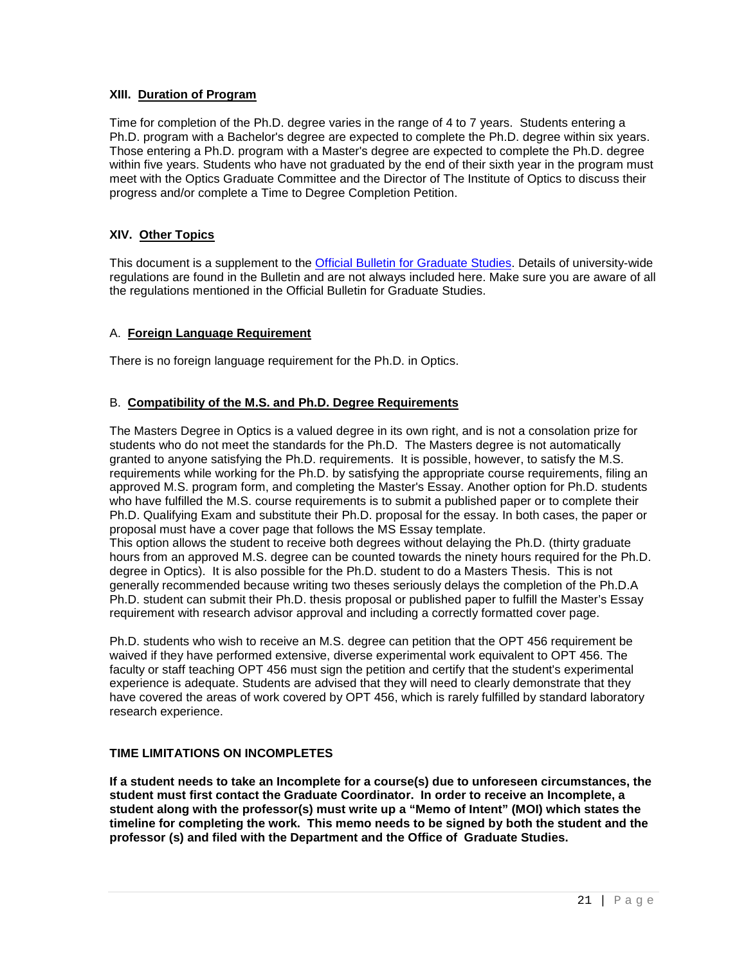#### **XIII. Duration of Program**

Time for completion of the Ph.D. degree varies in the range of 4 to 7 years. Students entering a Ph.D. program with a Bachelor's degree are expected to complete the Ph.D. degree within six years. Those entering a Ph.D. program with a Master's degree are expected to complete the Ph.D. degree within five years. Students who have not graduated by the end of their sixth year in the program must meet with the Optics Graduate Committee and the Director of The Institute of Optics to discuss their progress and/or complete a Time to Degree Completion Petition.

## **XIV. Other Topics**

This document is a supplement to the [Official Bulletin for Graduate Studies.](http://www.rochester.edu/GradBulletin/) Details of university-wide regulations are found in the Bulletin and are not always included here. Make sure you are aware of all the regulations mentioned in the Official Bulletin for Graduate Studies.

## A. **Foreign Language Requirement**

There is no foreign language requirement for the Ph.D. in Optics.

#### B. **Compatibility of the M.S. and Ph.D. Degree Requirements**

The Masters Degree in Optics is a valued degree in its own right, and is not a consolation prize for students who do not meet the standards for the Ph.D. The Masters degree is not automatically granted to anyone satisfying the Ph.D. requirements. It is possible, however, to satisfy the M.S. requirements while working for the Ph.D. by satisfying the appropriate course requirements, filing an approved M.S. program form, and completing the Master's Essay. Another option for Ph.D. students who have fulfilled the M.S. course requirements is to submit a published paper or to complete their Ph.D. Qualifying Exam and substitute their Ph.D. proposal for the essay. In both cases, the paper or proposal must have a cover page that follows the MS Essay template.

This option allows the student to receive both degrees without delaying the Ph.D. (thirty graduate hours from an approved M.S. degree can be counted towards the ninety hours required for the Ph.D. degree in Optics). It is also possible for the Ph.D. student to do a Masters Thesis. This is not generally recommended because writing two theses seriously delays the completion of the Ph.D.A Ph.D. student can submit their Ph.D. thesis proposal or published paper to fulfill the Master's Essay requirement with research advisor approval and including a correctly formatted cover page.

Ph.D. students who wish to receive an M.S. degree can petition that the OPT 456 requirement be waived if they have performed extensive, diverse experimental work equivalent to OPT 456. The faculty or staff teaching OPT 456 must sign the petition and certify that the student's experimental experience is adequate. Students are advised that they will need to clearly demonstrate that they have covered the areas of work covered by OPT 456, which is rarely fulfilled by standard laboratory research experience.

#### **TIME LIMITATIONS ON INCOMPLETES**

**If a student needs to take an Incomplete for a course(s) due to unforeseen circumstances, the student must first contact the Graduate Coordinator. In order to receive an Incomplete, a student along with the professor(s) must write up a "Memo of Intent" (MOI) which states the timeline for completing the work. This memo needs to be signed by both the student and the professor (s) and filed with the Department and the Office of Graduate Studies.**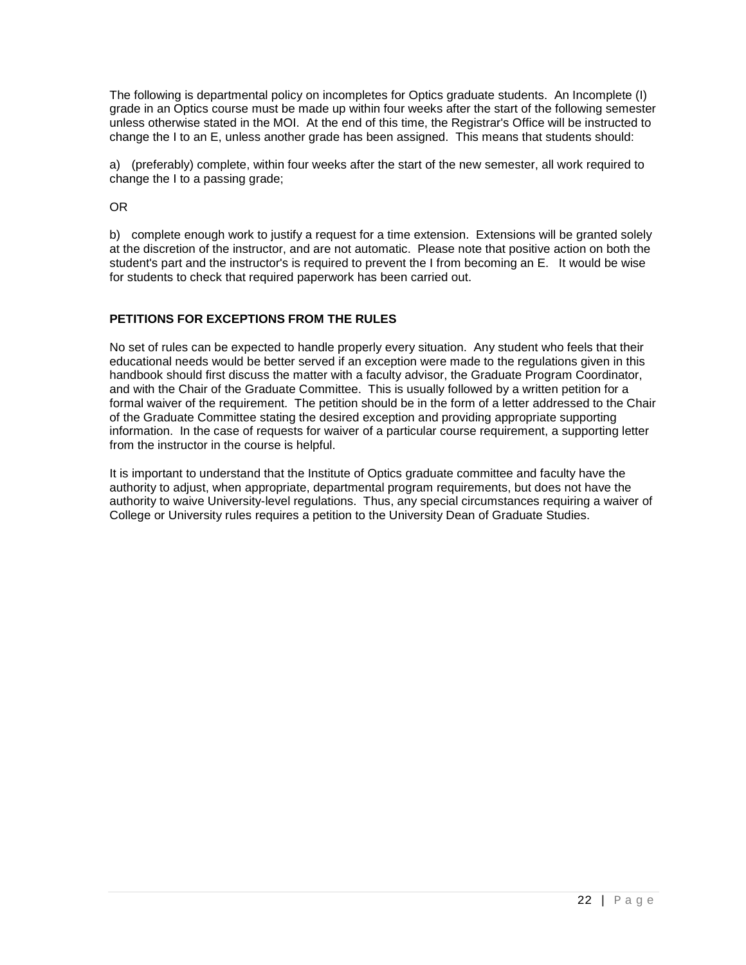The following is departmental policy on incompletes for Optics graduate students. An Incomplete (I) grade in an Optics course must be made up within four weeks after the start of the following semester unless otherwise stated in the MOI. At the end of this time, the Registrar's Office will be instructed to change the I to an E, unless another grade has been assigned. This means that students should:

a) (preferably) complete, within four weeks after the start of the new semester, all work required to change the I to a passing grade;

OR

b) complete enough work to justify a request for a time extension. Extensions will be granted solely at the discretion of the instructor, and are not automatic. Please note that positive action on both the student's part and the instructor's is required to prevent the I from becoming an E. It would be wise for students to check that required paperwork has been carried out.

## **PETITIONS FOR EXCEPTIONS FROM THE RULES**

No set of rules can be expected to handle properly every situation. Any student who feels that their educational needs would be better served if an exception were made to the regulations given in this handbook should first discuss the matter with a faculty advisor, the Graduate Program Coordinator, and with the Chair of the Graduate Committee. This is usually followed by a written petition for a formal waiver of the requirement. The petition should be in the form of a letter addressed to the Chair of the Graduate Committee stating the desired exception and providing appropriate supporting information. In the case of requests for waiver of a particular course requirement, a supporting letter from the instructor in the course is helpful.

It is important to understand that the Institute of Optics graduate committee and faculty have the authority to adjust, when appropriate, departmental program requirements, but does not have the authority to waive University-level regulations. Thus, any special circumstances requiring a waiver of College or University rules requires a petition to the University Dean of Graduate Studies.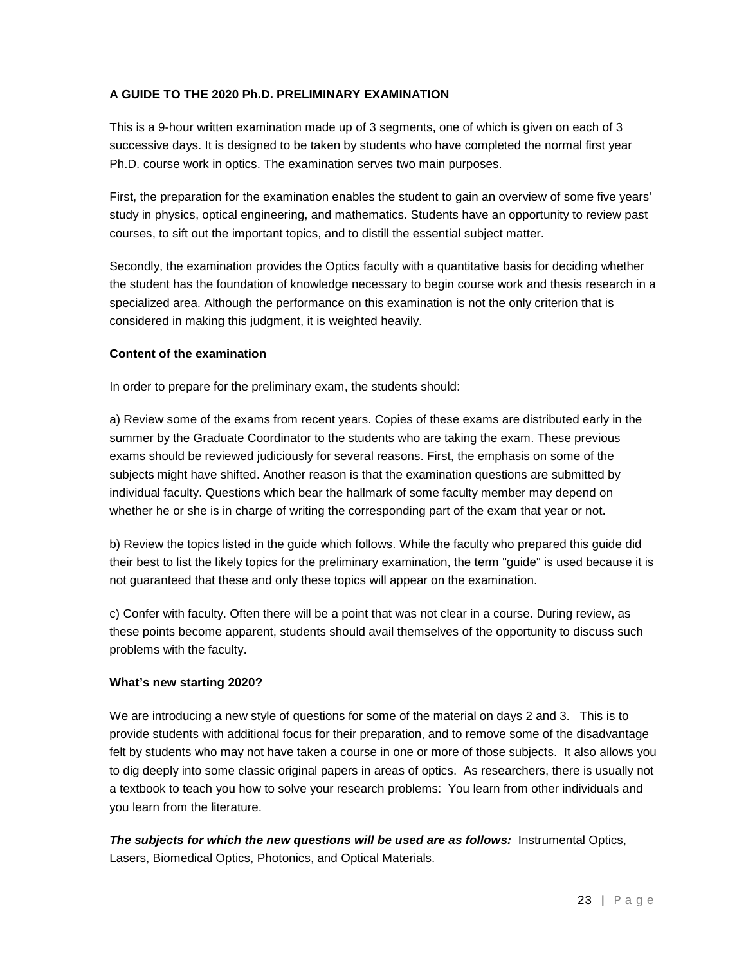## **A GUIDE TO THE 2020 Ph.D. PRELIMINARY EXAMINATION**

This is a 9-hour written examination made up of 3 segments, one of which is given on each of 3 successive days. It is designed to be taken by students who have completed the normal first year Ph.D. course work in optics. The examination serves two main purposes.

First, the preparation for the examination enables the student to gain an overview of some five years' study in physics, optical engineering, and mathematics. Students have an opportunity to review past courses, to sift out the important topics, and to distill the essential subject matter.

Secondly, the examination provides the Optics faculty with a quantitative basis for deciding whether the student has the foundation of knowledge necessary to begin course work and thesis research in a specialized area. Although the performance on this examination is not the only criterion that is considered in making this judgment, it is weighted heavily.

#### **Content of the examination**

In order to prepare for the preliminary exam, the students should:

a) Review some of the exams from recent years. Copies of these exams are distributed early in the summer by the Graduate Coordinator to the students who are taking the exam. These previous exams should be reviewed judiciously for several reasons. First, the emphasis on some of the subjects might have shifted. Another reason is that the examination questions are submitted by individual faculty. Questions which bear the hallmark of some faculty member may depend on whether he or she is in charge of writing the corresponding part of the exam that year or not.

b) Review the topics listed in the guide which follows. While the faculty who prepared this guide did their best to list the likely topics for the preliminary examination, the term "guide" is used because it is not guaranteed that these and only these topics will appear on the examination.

c) Confer with faculty. Often there will be a point that was not clear in a course. During review, as these points become apparent, students should avail themselves of the opportunity to discuss such problems with the faculty.

#### **What's new starting 2020?**

We are introducing a new style of questions for some of the material on days 2 and 3. This is to provide students with additional focus for their preparation, and to remove some of the disadvantage felt by students who may not have taken a course in one or more of those subjects. It also allows you to dig deeply into some classic original papers in areas of optics. As researchers, there is usually not a textbook to teach you how to solve your research problems: You learn from other individuals and you learn from the literature.

*The subjects for which the new questions will be used are as follows:* Instrumental Optics, Lasers, Biomedical Optics, Photonics, and Optical Materials.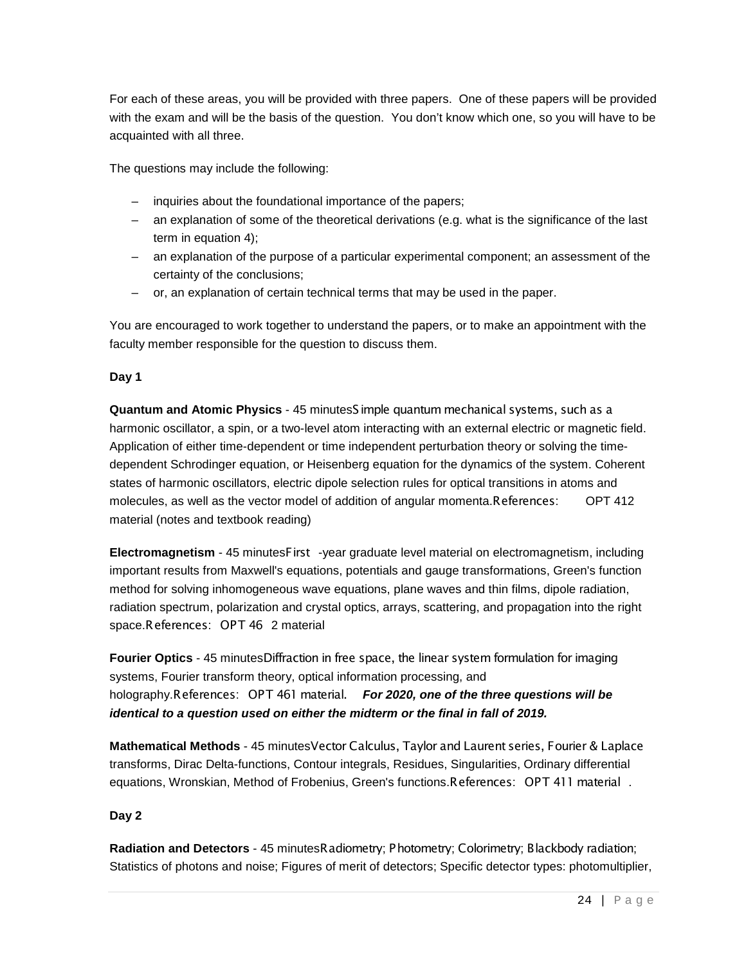For each of these areas, you will be provided with three papers. One of these papers will be provided with the exam and will be the basis of the question. You don't know which one, so you will have to be acquainted with all three.

The questions may include the following:

- inquiries about the foundational importance of the papers;
- an explanation of some of the theoretical derivations (e.g. what is the significance of the last term in equation 4);
- an explanation of the purpose of a particular experimental component; an assessment of the certainty of the conclusions;
- or, an explanation of certain technical terms that may be used in the paper.

You are encouraged to work together to understand the papers, or to make an appointment with the faculty member responsible for the question to discuss them.

#### **Day 1**

**Quantum and Atomic Physics** - 45 minutesSimple quantum mechanical systems, such as a harmonic oscillator, a spin, or a two-level atom interacting with an external electric or magnetic field. Application of either time-dependent or time independent perturbation theory or solving the timedependent Schrodinger equation, or Heisenberg equation for the dynamics of the system. Coherent states of harmonic oscillators, electric dipole selection rules for optical transitions in atoms and molecules, as well as the vector model of addition of angular momenta.References: OPT 412 material (notes and textbook reading)

**Electromagnetism** - 45 minutesFirst -year graduate level material on electromagnetism, including important results from Maxwell's equations, potentials and gauge transformations, Green's function method for solving inhomogeneous wave equations, plane waves and thin films, dipole radiation, radiation spectrum, polarization and crystal optics, arrays, scattering, and propagation into the right space.References:
 OPT 46 2 material

**Fourier Optics** - 45 minutesDiffraction in free space, the linear system formulation for imaging systems, Fourier transform theory, optical information processing, and holography.References:
 OPT 461 material. *For 2020, one of the three questions will be identical to a question used on either the midterm or the final in fall of 2019.* 

**Mathematical Methods** - 45 minutesVector Calculus, Taylor and Laurent series, Fourier & Laplace transforms, Dirac Delta-functions, Contour integrals, Residues, Singularities, Ordinary differential equations, Wronskian, Method of Frobenius, Green's functions.References:
 OPT 411 material *.* 

## **Day 2**

**Radiation and Detectors** - 45 minutesRadiometry; Photometry; Colorimetry; Blackbody radiation; Statistics of photons and noise; Figures of merit of detectors; Specific detector types: photomultiplier,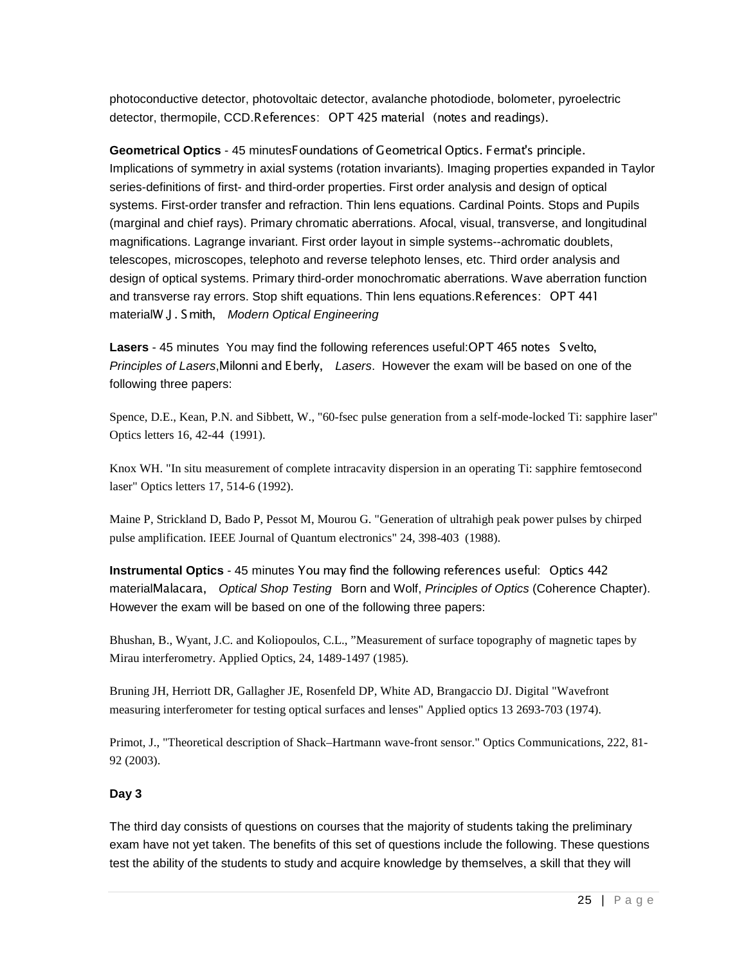photoconductive detector, photovoltaic detector, avalanche photodiode, bolometer, pyroelectric detector, thermopile, CCD.References:
 OPT 425 material
 (notes and readings).

**Geometrical Optics** - 45 minutesFoundations of Geometrical Optics. Fermat's principle. Implications of symmetry in axial systems (rotation invariants). Imaging properties expanded in Taylor series-definitions of first- and third-order properties. First order analysis and design of optical systems. First-order transfer and refraction. Thin lens equations. Cardinal Points. Stops and Pupils (marginal and chief rays). Primary chromatic aberrations. Afocal, visual, transverse, and longitudinal magnifications. Lagrange invariant. First order layout in simple systems--achromatic doublets, telescopes, microscopes, telephoto and reverse telephoto lenses, etc. Third order analysis and design of optical systems. Primary third-order monochromatic aberrations. Wave aberration function and transverse ray errors. Stop shift equations. Thin lens equations.References:
 OPT 441 materialW.J . Smith, *Modern Optical Engineering* 

Lasers - 45 minutes You may find the following references useful: OPT 465 notes Svelto, *Principles of Lasers*,Milonni and Eberly, *Lasers*. However the exam will be based on one of the following three papers:

Spence, D.E., Kean, P.N. and Sibbett, W., "60-fsec pulse generation from a self-mode-locked Ti: sapphire laser" Optics letters 16, 42-44 (1991).

Knox WH. "In situ measurement of complete intracavity dispersion in an operating Ti: sapphire femtosecond laser" Optics letters 17, 514-6 (1992).

Maine P, Strickland D, Bado P, Pessot M, Mourou G. "Generation of ultrahigh peak power pulses by chirped pulse amplification. IEEE Journal of Quantum electronics" 24, 398-403 (1988).

**Instrumental Optics** - 45 minutes You may find the following references useful:
 Optics 442 materialMalacara, *Optical Shop Testing* Born and Wolf, *Principles of Optics* (Coherence Chapter). However the exam will be based on one of the following three papers:

Bhushan, B., Wyant, J.C. and Koliopoulos, C.L., "Measurement of surface topography of magnetic tapes by Mirau interferometry. Applied Optics, 24, 1489-1497 (1985).

Bruning JH, Herriott DR, Gallagher JE, Rosenfeld DP, White AD, Brangaccio DJ. Digital "Wavefront measuring interferometer for testing optical surfaces and lenses" Applied optics 13 2693-703 (1974).

Primot, J., "Theoretical description of Shack–Hartmann wave-front sensor." Optics Communications, 222, 81- 92 (2003).

#### **Day 3**

The third day consists of questions on courses that the majority of students taking the preliminary exam have not yet taken. The benefits of this set of questions include the following. These questions test the ability of the students to study and acquire knowledge by themselves, a skill that they will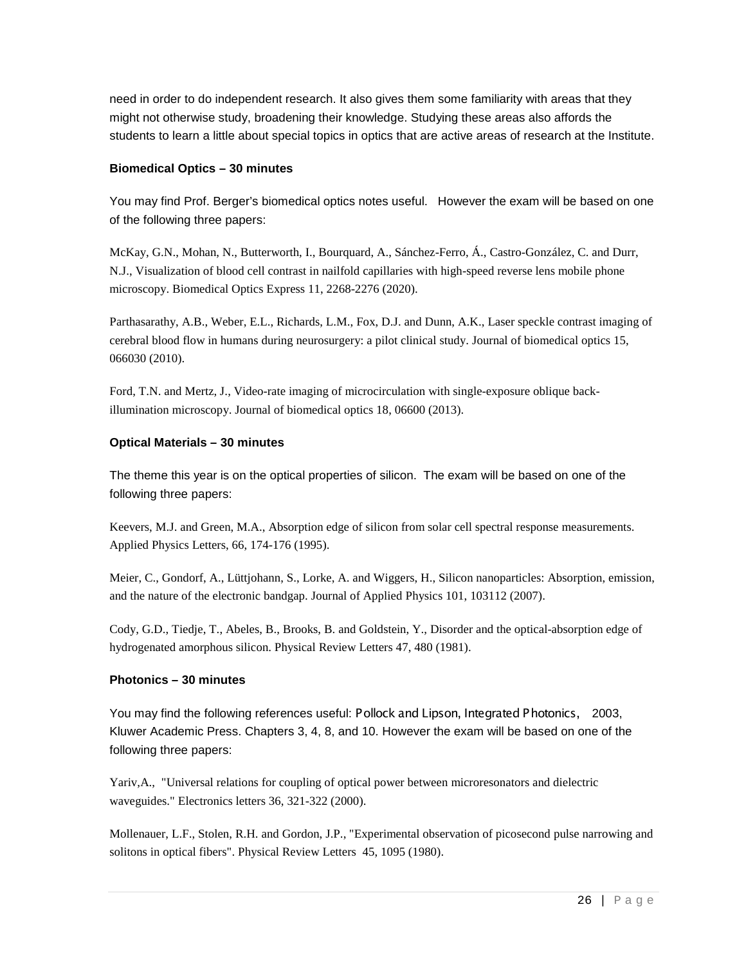need in order to do independent research. It also gives them some familiarity with areas that they might not otherwise study, broadening their knowledge. Studying these areas also affords the students to learn a little about special topics in optics that are active areas of research at the Institute.

#### **Biomedical Optics – 30 minutes**

You may find Prof. Berger's biomedical optics notes useful. However the exam will be based on one of the following three papers:

McKay, G.N., Mohan, N., Butterworth, I., Bourquard, A., Sánchez-Ferro, Á., Castro-González, C. and Durr, N.J., Visualization of blood cell contrast in nailfold capillaries with high-speed reverse lens mobile phone microscopy. Biomedical Optics Express 11, 2268-2276 (2020).

Parthasarathy, A.B., Weber, E.L., Richards, L.M., Fox, D.J. and Dunn, A.K., Laser speckle contrast imaging of cerebral blood flow in humans during neurosurgery: a pilot clinical study. Journal of biomedical optics 15, 066030 (2010).

Ford, T.N. and Mertz, J., Video-rate imaging of microcirculation with single-exposure oblique backillumination microscopy. Journal of biomedical optics 18, 06600 (2013).

#### **Optical Materials – 30 minutes**

The theme this year is on the optical properties of silicon. The exam will be based on one of the following three papers:

Keevers, M.J. and Green, M.A., Absorption edge of silicon from solar cell spectral response measurements. Applied Physics Letters, 66, 174-176 (1995).

Meier, C., Gondorf, A., Lüttjohann, S., Lorke, A. and Wiggers, H., Silicon nanoparticles: Absorption, emission, and the nature of the electronic bandgap. Journal of Applied Physics 101, 103112 (2007).

Cody, G.D., Tiedje, T., Abeles, B., Brooks, B. and Goldstein, Y., Disorder and the optical-absorption edge of hydrogenated amorphous silicon. Physical Review Letters 47, 480 (1981).

#### **Photonics – 30 minutes**

You may find the following references useful: Pollock and Lipson, Integrated Photonics, 2003, Kluwer Academic Press. Chapters 3, 4, 8, and 10. However the exam will be based on one of the following three papers:

Yariv,A., "Universal relations for coupling of optical power between microresonators and dielectric waveguides." Electronics letters 36, 321-322 (2000).

Mollenauer, L.F., Stolen, R.H. and Gordon, J.P., "Experimental observation of picosecond pulse narrowing and solitons in optical fibers". Physical Review Letters 45, 1095 (1980).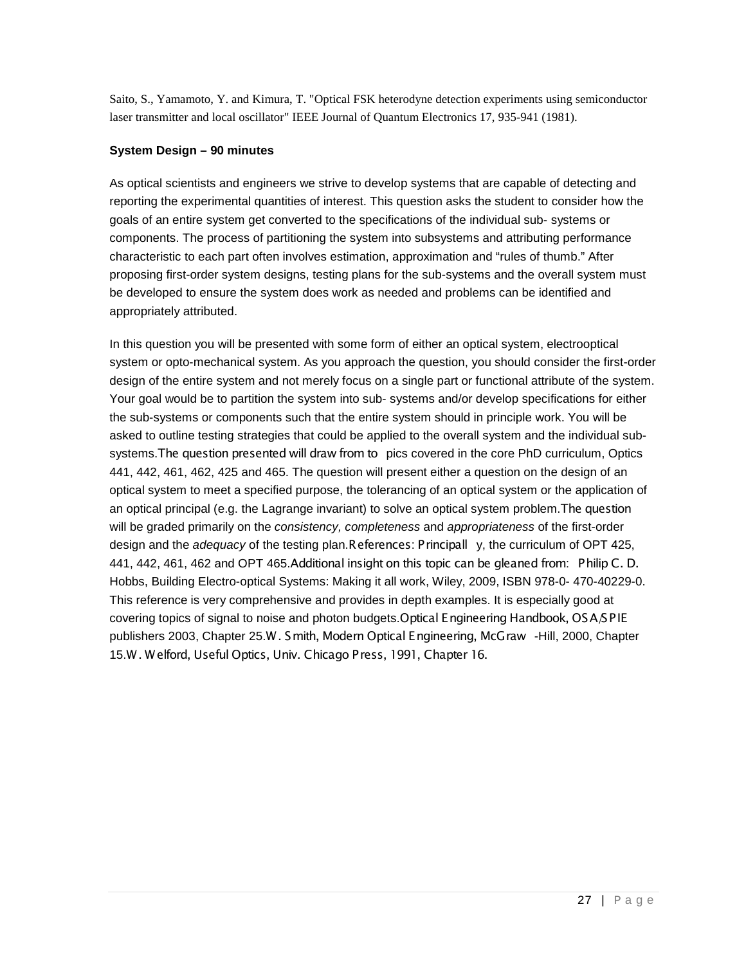Saito, S., Yamamoto, Y. and Kimura, T. "Optical FSK heterodyne detection experiments using semiconductor laser transmitter and local oscillator" IEEE Journal of Quantum Electronics 17, 935-941 (1981).

#### **System Design – 90 minutes**

As optical scientists and engineers we strive to develop systems that are capable of detecting and reporting the experimental quantities of interest. This question asks the student to consider how the goals of an entire system get converted to the specifications of the individual sub- systems or components. The process of partitioning the system into subsystems and attributing performance characteristic to each part often involves estimation, approximation and "rules of thumb." After proposing first-order system designs, testing plans for the sub-systems and the overall system must be developed to ensure the system does work as needed and problems can be identified and appropriately attributed.

In this question you will be presented with some form of either an optical system, electrooptical system or opto-mechanical system. As you approach the question, you should consider the first-order design of the entire system and not merely focus on a single part or functional attribute of the system. Your goal would be to partition the system into sub- systems and/or develop specifications for either the sub-systems or components such that the entire system should in principle work. You will be asked to outline testing strategies that could be applied to the overall system and the individual subsystems.The question presented will draw from to pics covered in the core PhD curriculum, Optics 441, 442, 461, 462, 425 and 465. The question will present either a question on the design of an optical system to meet a specified purpose, the tolerancing of an optical system or the application of an optical principal (e.g. the Lagrange invariant) to solve an optical system problem.The question will be graded primarily on the *consistency, completeness* and *appropriateness* of the first-order design and the *adequacy* of the testing plan.References: Principall y, the curriculum of OPT 425, 441, 442, 461, 462 and OPT 465.Additional insight on this topic can be gleaned from:
 Philip C. D. Hobbs, Building Electro-optical Systems: Making it all work, Wiley, 2009, ISBN 978-0- 470-40229-0. This reference is very comprehensive and provides in depth examples. It is especially good at covering topics of signal to noise and photon budgets. Optical Engineering Handbook, OSA/SPIE publishers 2003, Chapter 25.W. Smith, Modern Optical Engineering, McGraw -Hill, 2000, Chapter 15.W. Welford, Useful Optics, Univ. Chicago Press, 1991, Chapter 16.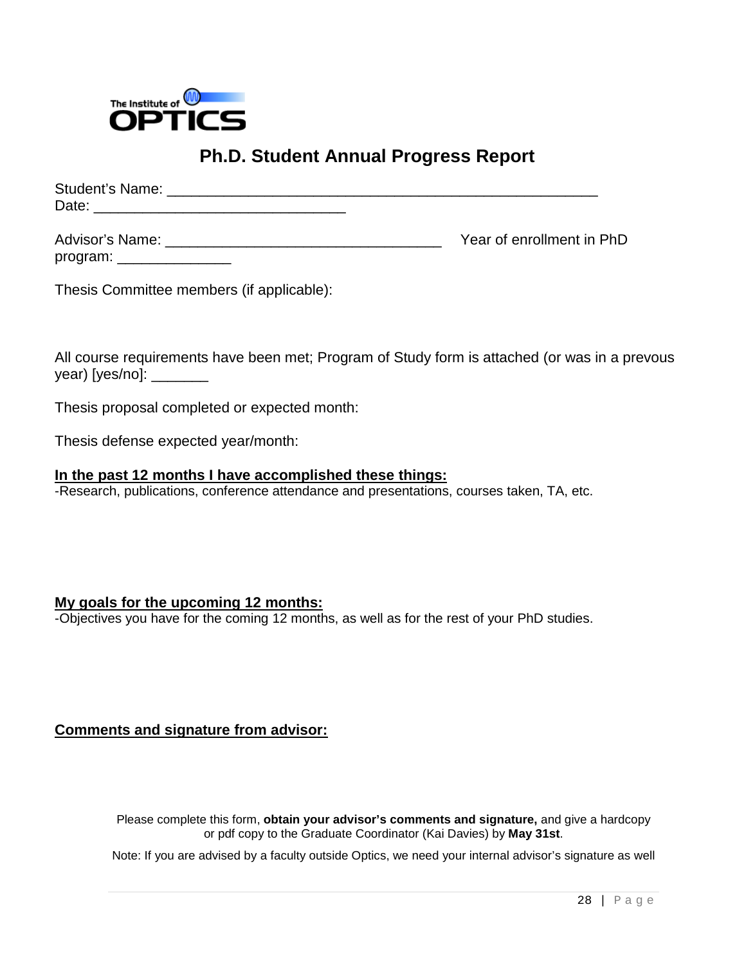

# **Ph.D. Student Annual Progress Report**

| Student's Name: |                           |
|-----------------|---------------------------|
| Date:           |                           |
| Advisor's Name: | Year of enrollment in PhD |
| program:        |                           |

Thesis Committee members (if applicable):

All course requirements have been met; Program of Study form is attached (or was in a prevous year) [yes/no]: \_\_\_\_\_\_\_\_\_

Thesis proposal completed or expected month:

Thesis defense expected year/month:

## **In the past 12 months I have accomplished these things:**

-Research, publications, conference attendance and presentations, courses taken, TA, etc.

## **My goals for the upcoming 12 months:**

-Objectives you have for the coming 12 months, as well as for the rest of your PhD studies.

## **Comments and signature from advisor:**

Please complete this form, **obtain your advisor's comments and signature,** and give a hardcopy or pdf copy to the Graduate Coordinator (Kai Davies) by **May 31st**.

Note: If you are advised by a faculty outside Optics, we need your internal advisor's signature as well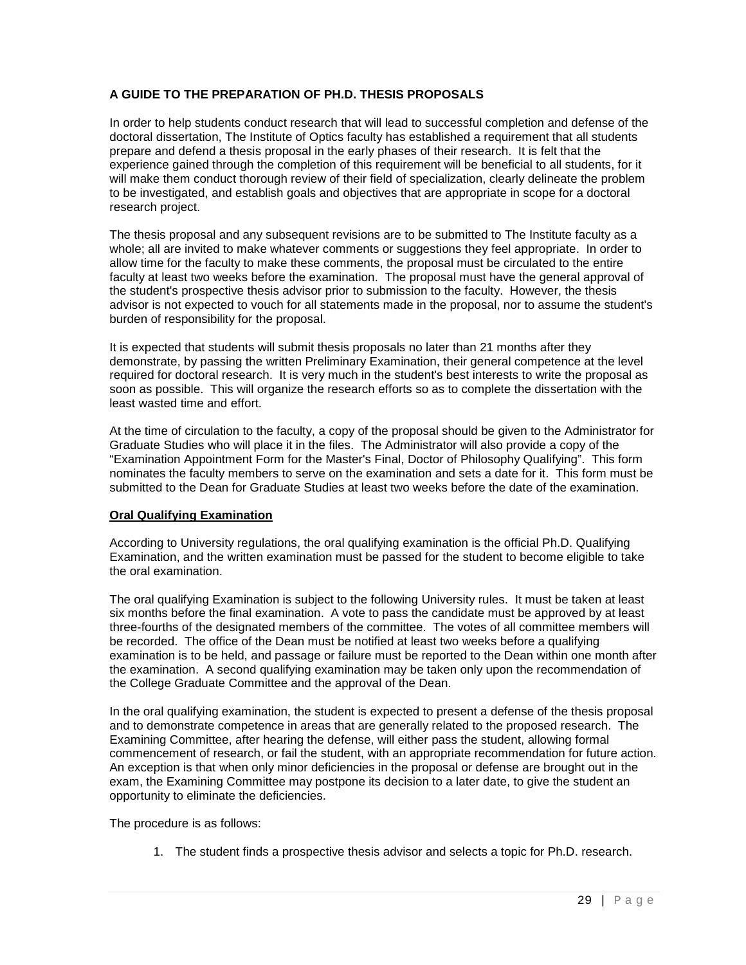## **A GUIDE TO THE PREPARATION OF PH.D. THESIS PROPOSALS**

In order to help students conduct research that will lead to successful completion and defense of the doctoral dissertation, The Institute of Optics faculty has established a requirement that all students prepare and defend a thesis proposal in the early phases of their research. It is felt that the experience gained through the completion of this requirement will be beneficial to all students, for it will make them conduct thorough review of their field of specialization, clearly delineate the problem to be investigated, and establish goals and objectives that are appropriate in scope for a doctoral research project.

The thesis proposal and any subsequent revisions are to be submitted to The Institute faculty as a whole; all are invited to make whatever comments or suggestions they feel appropriate. In order to allow time for the faculty to make these comments, the proposal must be circulated to the entire faculty at least two weeks before the examination. The proposal must have the general approval of the student's prospective thesis advisor prior to submission to the faculty. However, the thesis advisor is not expected to vouch for all statements made in the proposal, nor to assume the student's burden of responsibility for the proposal.

It is expected that students will submit thesis proposals no later than 21 months after they demonstrate, by passing the written Preliminary Examination, their general competence at the level required for doctoral research. It is very much in the student's best interests to write the proposal as soon as possible. This will organize the research efforts so as to complete the dissertation with the least wasted time and effort.

At the time of circulation to the faculty, a copy of the proposal should be given to the Administrator for Graduate Studies who will place it in the files. The Administrator will also provide a copy of the "Examination Appointment Form for the Master's Final, Doctor of Philosophy Qualifying". This form nominates the faculty members to serve on the examination and sets a date for it. This form must be submitted to the Dean for Graduate Studies at least two weeks before the date of the examination.

#### **Oral Qualifying Examination**

According to University regulations, the oral qualifying examination is the official Ph.D. Qualifying Examination, and the written examination must be passed for the student to become eligible to take the oral examination.

The oral qualifying Examination is subject to the following University rules. It must be taken at least six months before the final examination. A vote to pass the candidate must be approved by at least three-fourths of the designated members of the committee. The votes of all committee members will be recorded. The office of the Dean must be notified at least two weeks before a qualifying examination is to be held, and passage or failure must be reported to the Dean within one month after the examination. A second qualifying examination may be taken only upon the recommendation of the College Graduate Committee and the approval of the Dean.

In the oral qualifying examination, the student is expected to present a defense of the thesis proposal and to demonstrate competence in areas that are generally related to the proposed research. The Examining Committee, after hearing the defense, will either pass the student, allowing formal commencement of research, or fail the student, with an appropriate recommendation for future action. An exception is that when only minor deficiencies in the proposal or defense are brought out in the exam, the Examining Committee may postpone its decision to a later date, to give the student an opportunity to eliminate the deficiencies.

The procedure is as follows:

1. The student finds a prospective thesis advisor and selects a topic for Ph.D. research.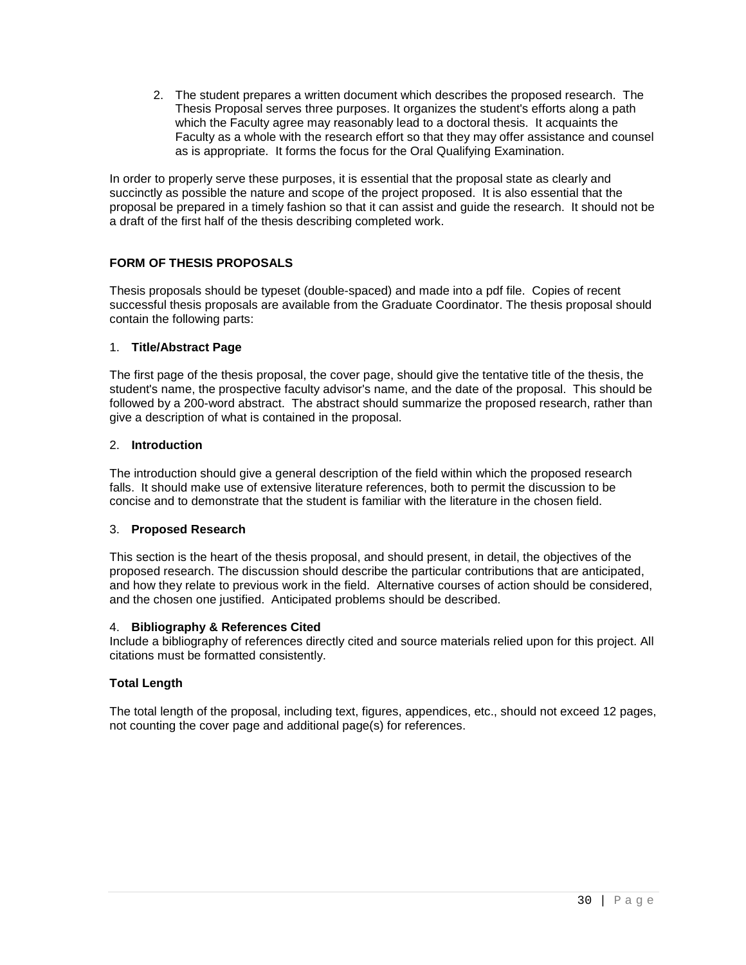2. The student prepares a written document which describes the proposed research. The Thesis Proposal serves three purposes. It organizes the student's efforts along a path which the Faculty agree may reasonably lead to a doctoral thesis. It acquaints the Faculty as a whole with the research effort so that they may offer assistance and counsel as is appropriate. It forms the focus for the Oral Qualifying Examination.

In order to properly serve these purposes, it is essential that the proposal state as clearly and succinctly as possible the nature and scope of the project proposed. It is also essential that the proposal be prepared in a timely fashion so that it can assist and guide the research. It should not be a draft of the first half of the thesis describing completed work.

## **FORM OF THESIS PROPOSALS**

Thesis proposals should be typeset (double-spaced) and made into a pdf file. Copies of recent successful thesis proposals are available from the Graduate Coordinator. The thesis proposal should contain the following parts:

#### 1. **Title/Abstract Page**

The first page of the thesis proposal, the cover page, should give the tentative title of the thesis, the student's name, the prospective faculty advisor's name, and the date of the proposal. This should be followed by a 200-word abstract. The abstract should summarize the proposed research, rather than give a description of what is contained in the proposal.

#### 2. **Introduction**

The introduction should give a general description of the field within which the proposed research falls. It should make use of extensive literature references, both to permit the discussion to be concise and to demonstrate that the student is familiar with the literature in the chosen field.

#### 3. **Proposed Research**

This section is the heart of the thesis proposal, and should present, in detail, the objectives of the proposed research. The discussion should describe the particular contributions that are anticipated, and how they relate to previous work in the field. Alternative courses of action should be considered, and the chosen one justified. Anticipated problems should be described.

#### 4. **Bibliography & References Cited**

Include a bibliography of references directly cited and source materials relied upon for this project. All citations must be formatted consistently.

#### **Total Length**

The total length of the proposal, including text, figures, appendices, etc., should not exceed 12 pages, not counting the cover page and additional page(s) for references.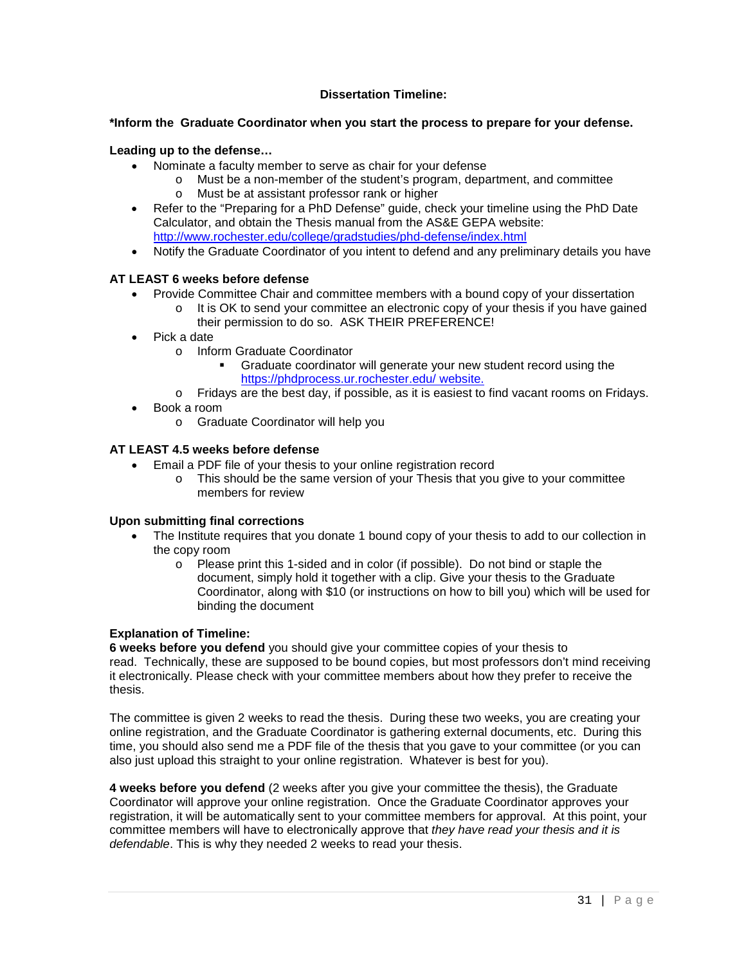#### **Dissertation Timeline:**

#### **\*Inform the Graduate Coordinator when you start the process to prepare for your defense.**

#### **Leading up to the defense…**

- Nominate a faculty member to serve as chair for your defense
	- o Must be a non-member of the student's program, department, and committee
	- o Must be at assistant professor rank or higher
- Refer to the "Preparing for a PhD Defense" guide, check your timeline using the PhD Date Calculator, and obtain the Thesis manual from the AS&E GEPA website: <http://www.rochester.edu/college/gradstudies/phd-defense/index.html>
- Notify the Graduate Coordinator of you intent to defend and any preliminary details you have

## **AT LEAST 6 weeks before defense**

- Provide Committee Chair and committee members with a bound copy of your dissertation
	- $\circ$  It is OK to send your committee an electronic copy of your thesis if you have gained their permission to do so. ASK THEIR PREFERENCE!
- Pick a date
	- o Inform Graduate Coordinator
		- Graduate coordinator will generate your new student record using the <https://phdprocess.ur.rochester.edu/> website.
	- o Fridays are the best day, if possible, as it is easiest to find vacant rooms on Fridays.
- Book a room
	- o Graduate Coordinator will help you

## **AT LEAST 4.5 weeks before defense**

- Email a PDF file of your thesis to your online registration record
	- o This should be the same version of your Thesis that you give to your committee members for review

## **Upon submitting final corrections**

- The Institute requires that you donate 1 bound copy of your thesis to add to our collection in the copy room
	- o Please print this 1-sided and in color (if possible). Do not bind or staple the document, simply hold it together with a clip. Give your thesis to the Graduate Coordinator, along with \$10 (or instructions on how to bill you) which will be used for binding the document

## **Explanation of Timeline:**

**6 weeks before you defend** you should give your committee copies of your thesis to read. Technically, these are supposed to be bound copies, but most professors don't mind receiving it electronically. Please check with your committee members about how they prefer to receive the thesis.

The committee is given 2 weeks to read the thesis. During these two weeks, you are creating your online registration, and the Graduate Coordinator is gathering external documents, etc. During this time, you should also send me a PDF file of the thesis that you gave to your committee (or you can also just upload this straight to your online registration. Whatever is best for you).

**4 weeks before you defend** (2 weeks after you give your committee the thesis), the Graduate Coordinator will approve your online registration. Once the Graduate Coordinator approves your registration, it will be automatically sent to your committee members for approval. At this point, your committee members will have to electronically approve that *they have read your thesis and it is defendable*. This is why they needed 2 weeks to read your thesis.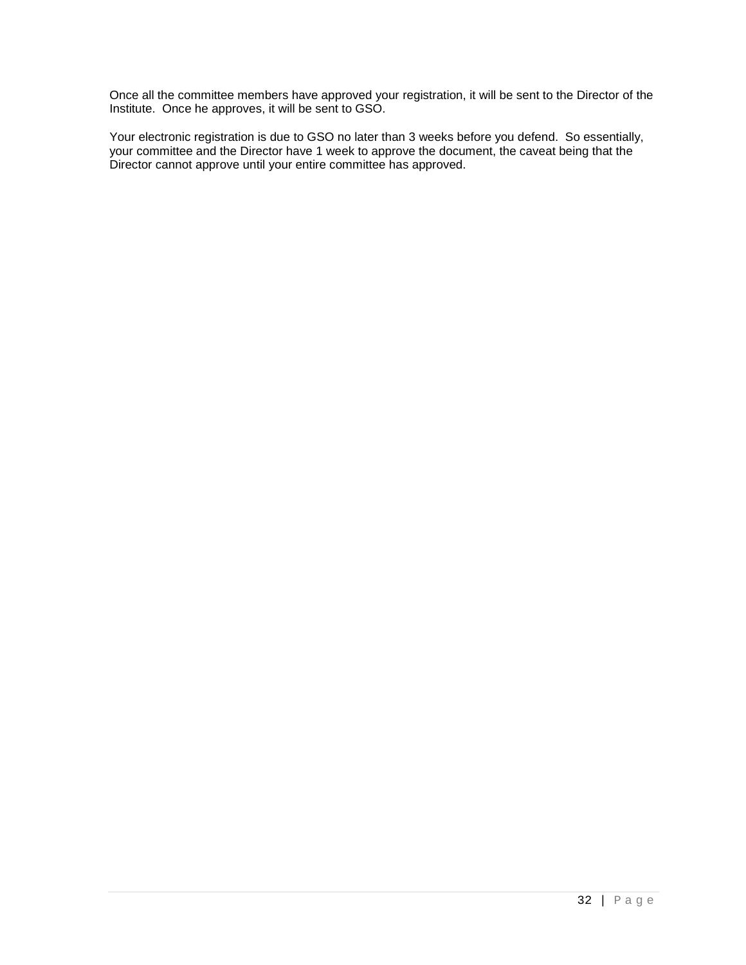Once all the committee members have approved your registration, it will be sent to the Director of the Institute. Once he approves, it will be sent to GSO.

Your electronic registration is due to GSO no later than 3 weeks before you defend. So essentially, your committee and the Director have 1 week to approve the document, the caveat being that the Director cannot approve until your entire committee has approved.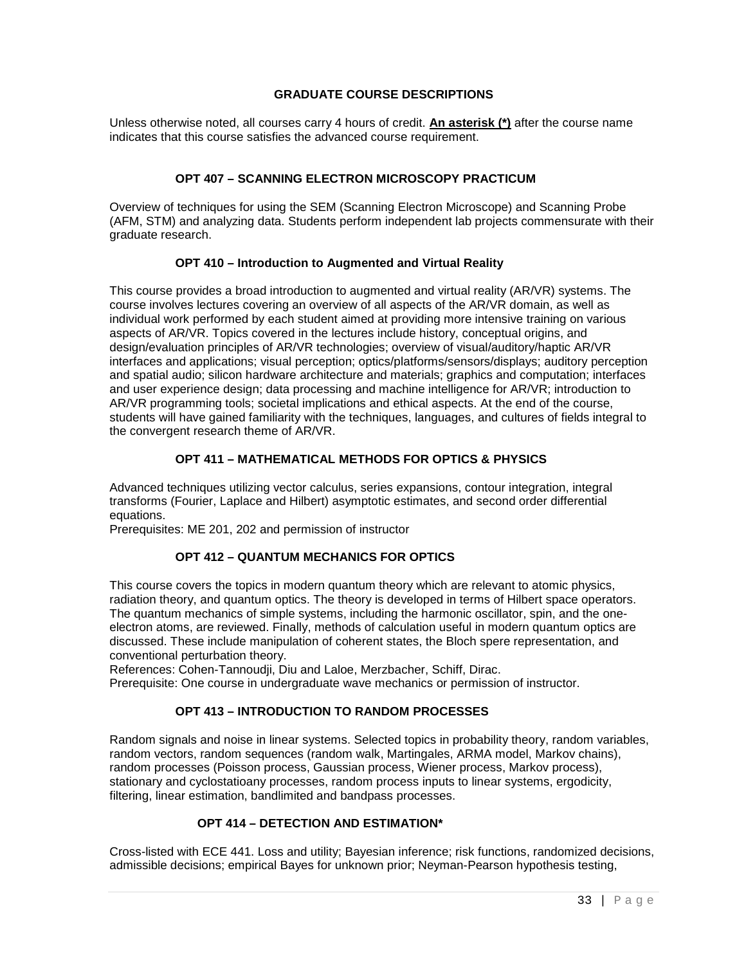#### **GRADUATE COURSE DESCRIPTIONS**

Unless otherwise noted, all courses carry 4 hours of credit. **An asterisk (\*)** after the course name indicates that this course satisfies the advanced course requirement.

#### **OPT 407 – SCANNING ELECTRON MICROSCOPY PRACTICUM**

Overview of techniques for using the SEM (Scanning Electron Microscope) and Scanning Probe (AFM, STM) and analyzing data. Students perform independent lab projects commensurate with their graduate research.

#### **OPT 410 – Introduction to Augmented and Virtual Reality**

This course provides a broad introduction to augmented and virtual reality (AR/VR) systems. The course involves lectures covering an overview of all aspects of the AR/VR domain, as well as individual work performed by each student aimed at providing more intensive training on various aspects of AR/VR. Topics covered in the lectures include history, conceptual origins, and design/evaluation principles of AR/VR technologies; overview of visual/auditory/haptic AR/VR interfaces and applications; visual perception; optics/platforms/sensors/displays; auditory perception and spatial audio; silicon hardware architecture and materials; graphics and computation; interfaces and user experience design; data processing and machine intelligence for AR/VR; introduction to AR/VR programming tools; societal implications and ethical aspects. At the end of the course, students will have gained familiarity with the techniques, languages, and cultures of fields integral to the convergent research theme of AR/VR.

## **OPT 411 – MATHEMATICAL METHODS FOR OPTICS & PHYSICS**

Advanced techniques utilizing vector calculus, series expansions, contour integration, integral transforms (Fourier, Laplace and Hilbert) asymptotic estimates, and second order differential equations.

Prerequisites: ME 201, 202 and permission of instructor

#### **OPT 412 – QUANTUM MECHANICS FOR OPTICS**

This course covers the topics in modern quantum theory which are relevant to atomic physics, radiation theory, and quantum optics. The theory is developed in terms of Hilbert space operators. The quantum mechanics of simple systems, including the harmonic oscillator, spin, and the oneelectron atoms, are reviewed. Finally, methods of calculation useful in modern quantum optics are discussed. These include manipulation of coherent states, the Bloch spere representation, and conventional perturbation theory.

References: Cohen-Tannoudji, Diu and Laloe, Merzbacher, Schiff, Dirac. Prerequisite: One course in undergraduate wave mechanics or permission of instructor.

# **OPT 413 – INTRODUCTION TO RANDOM PROCESSES**

Random signals and noise in linear systems. Selected topics in probability theory, random variables, random vectors, random sequences (random walk, Martingales, ARMA model, Markov chains), random processes (Poisson process, Gaussian process, Wiener process, Markov process), stationary and cyclostatioany processes, random process inputs to linear systems, ergodicity, filtering, linear estimation, bandlimited and bandpass processes.

#### **OPT 414 – DETECTION AND ESTIMATION\***

Cross-listed with ECE 441. Loss and utility; Bayesian inference; risk functions, randomized decisions, admissible decisions; empirical Bayes for unknown prior; Neyman-Pearson hypothesis testing,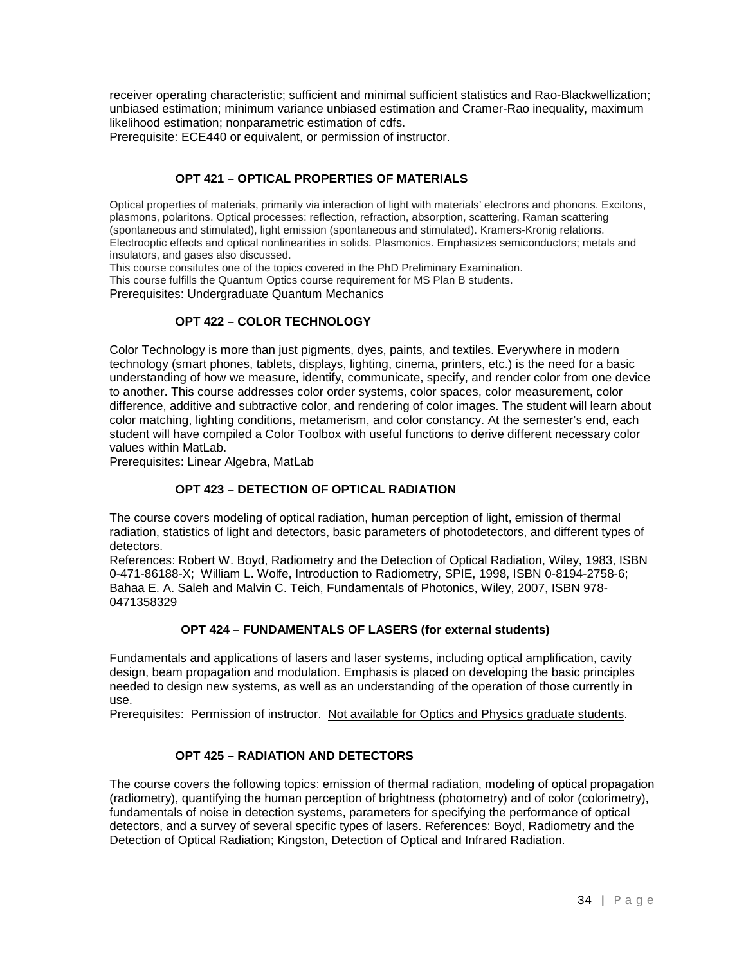receiver operating characteristic; sufficient and minimal sufficient statistics and Rao-Blackwellization; unbiased estimation; minimum variance unbiased estimation and Cramer-Rao inequality, maximum likelihood estimation; nonparametric estimation of cdfs.

Prerequisite: ECE440 or equivalent, or permission of instructor.

## **OPT 421 – OPTICAL PROPERTIES OF MATERIALS**

Optical properties of materials, primarily via interaction of light with materials' electrons and phonons. Excitons, plasmons, polaritons. Optical processes: reflection, refraction, absorption, scattering, Raman scattering (spontaneous and stimulated), light emission (spontaneous and stimulated). Kramers-Kronig relations. Electrooptic effects and optical nonlinearities in solids. Plasmonics. Emphasizes semiconductors; metals and insulators, and gases also discussed.

This course consitutes one of the topics covered in the PhD Preliminary Examination.

This course fulfills the Quantum Optics course requirement for MS Plan B students.

Prerequisites: Undergraduate Quantum Mechanics

## **OPT 422 – COLOR TECHNOLOGY**

Color Technology is more than just pigments, dyes, paints, and textiles. Everywhere in modern technology (smart phones, tablets, displays, lighting, cinema, printers, etc.) is the need for a basic understanding of how we measure, identify, communicate, specify, and render color from one device to another. This course addresses color order systems, color spaces, color measurement, color difference, additive and subtractive color, and rendering of color images. The student will learn about color matching, lighting conditions, metamerism, and color constancy. At the semester's end, each student will have compiled a Color Toolbox with useful functions to derive different necessary color values within MatLab.

Prerequisites: Linear Algebra, MatLab

## **OPT 423 – DETECTION OF OPTICAL RADIATION**

The course covers modeling of optical radiation, human perception of light, emission of thermal radiation, statistics of light and detectors, basic parameters of photodetectors, and different types of detectors.

References: Robert W. Boyd, Radiometry and the Detection of Optical Radiation, Wiley, 1983, ISBN 0-471-86188-X; William L. Wolfe, Introduction to Radiometry, SPIE, 1998, ISBN 0-8194-2758-6; Bahaa E. A. Saleh and Malvin C. Teich, Fundamentals of Photonics, Wiley, 2007, ISBN 978- 0471358329

#### **OPT 424 – FUNDAMENTALS OF LASERS (for external students)**

Fundamentals and applications of lasers and laser systems, including optical amplification, cavity design, beam propagation and modulation. Emphasis is placed on developing the basic principles needed to design new systems, as well as an understanding of the operation of those currently in use.

Prerequisites: Permission of instructor. Not available for Optics and Physics graduate students.

## **OPT 425 – RADIATION AND DETECTORS**

The course covers the following topics: emission of thermal radiation, modeling of optical propagation (radiometry), quantifying the human perception of brightness (photometry) and of color (colorimetry), fundamentals of noise in detection systems, parameters for specifying the performance of optical detectors, and a survey of several specific types of lasers. References: Boyd, Radiometry and the Detection of Optical Radiation; Kingston, Detection of Optical and Infrared Radiation.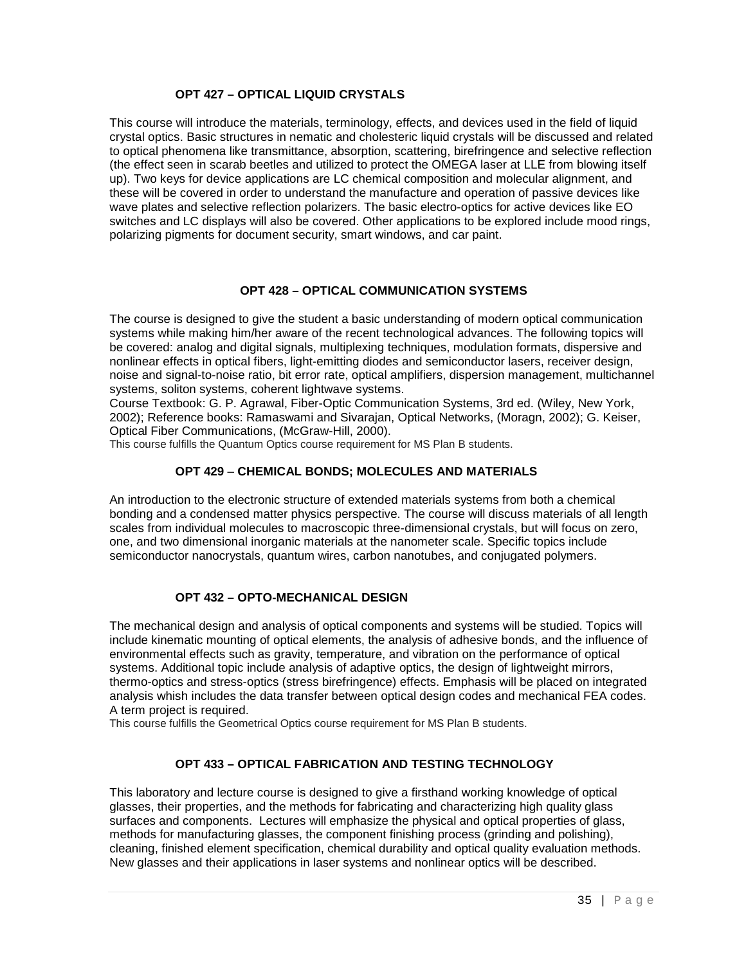#### **OPT 427 – OPTICAL LIQUID CRYSTALS**

This course will introduce the materials, terminology, effects, and devices used in the field of liquid crystal optics. Basic structures in nematic and cholesteric liquid crystals will be discussed and related to optical phenomena like transmittance, absorption, scattering, birefringence and selective reflection (the effect seen in scarab beetles and utilized to protect the OMEGA laser at LLE from blowing itself up). Two keys for device applications are LC chemical composition and molecular alignment, and these will be covered in order to understand the manufacture and operation of passive devices like wave plates and selective reflection polarizers. The basic electro-optics for active devices like EO switches and LC displays will also be covered. Other applications to be explored include mood rings, polarizing pigments for document security, smart windows, and car paint.

## **OPT 428 – OPTICAL COMMUNICATION SYSTEMS**

The course is designed to give the student a basic understanding of modern optical communication systems while making him/her aware of the recent technological advances. The following topics will be covered: analog and digital signals, multiplexing techniques, modulation formats, dispersive and nonlinear effects in optical fibers, light-emitting diodes and semiconductor lasers, receiver design, noise and signal-to-noise ratio, bit error rate, optical amplifiers, dispersion management, multichannel systems, soliton systems, coherent lightwave systems.

Course Textbook: G. P. Agrawal, Fiber-Optic Communication Systems, 3rd ed. (Wiley, New York, 2002); Reference books: Ramaswami and Sivarajan, Optical Networks, (Moragn, 2002); G. Keiser, Optical Fiber Communications, (McGraw-Hill, 2000).

This course fulfills the Quantum Optics course requirement for MS Plan B students.

## **OPT 429** – **CHEMICAL BONDS; MOLECULES AND MATERIALS**

An introduction to the electronic structure of extended materials systems from both a chemical bonding and a condensed matter physics perspective. The course will discuss materials of all length scales from individual molecules to macroscopic three-dimensional crystals, but will focus on zero, one, and two dimensional inorganic materials at the nanometer scale. Specific topics include semiconductor nanocrystals, quantum wires, carbon nanotubes, and conjugated polymers.

## **OPT 432 – OPTO-MECHANICAL DESIGN**

The mechanical design and analysis of optical components and systems will be studied. Topics will include kinematic mounting of optical elements, the analysis of adhesive bonds, and the influence of environmental effects such as gravity, temperature, and vibration on the performance of optical systems. Additional topic include analysis of adaptive optics, the design of lightweight mirrors, thermo-optics and stress-optics (stress birefringence) effects. Emphasis will be placed on integrated analysis whish includes the data transfer between optical design codes and mechanical FEA codes. A term project is required.

This course fulfills the Geometrical Optics course requirement for MS Plan B students.

## **OPT 433 – OPTICAL FABRICATION AND TESTING TECHNOLOGY**

This laboratory and lecture course is designed to give a firsthand working knowledge of optical glasses, their properties, and the methods for fabricating and characterizing high quality glass surfaces and components. Lectures will emphasize the physical and optical properties of glass, methods for manufacturing glasses, the component finishing process (grinding and polishing), cleaning, finished element specification, chemical durability and optical quality evaluation methods. New glasses and their applications in laser systems and nonlinear optics will be described.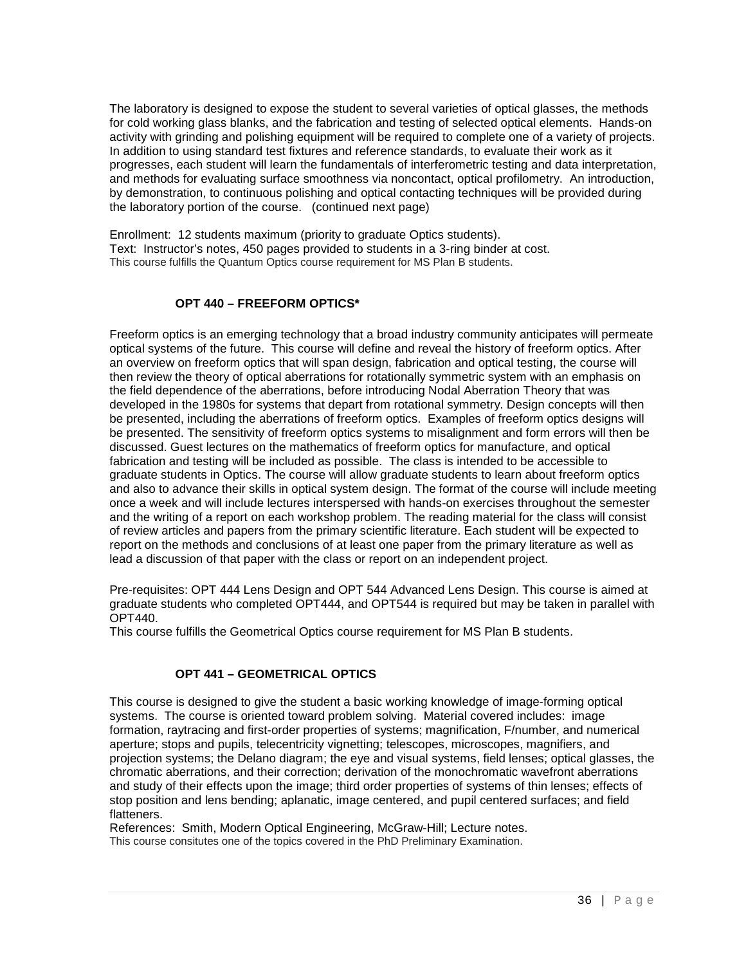The laboratory is designed to expose the student to several varieties of optical glasses, the methods for cold working glass blanks, and the fabrication and testing of selected optical elements. Hands-on activity with grinding and polishing equipment will be required to complete one of a variety of projects. In addition to using standard test fixtures and reference standards, to evaluate their work as it progresses, each student will learn the fundamentals of interferometric testing and data interpretation, and methods for evaluating surface smoothness via noncontact, optical profilometry. An introduction, by demonstration, to continuous polishing and optical contacting techniques will be provided during the laboratory portion of the course. (continued next page)

Enrollment: 12 students maximum (priority to graduate Optics students). Text: Instructor's notes, 450 pages provided to students in a 3-ring binder at cost. This course fulfills the Quantum Optics course requirement for MS Plan B students.

#### **OPT 440 – FREEFORM OPTICS\***

Freeform optics is an emerging technology that a broad industry community anticipates will permeate optical systems of the future. This course will define and reveal the history of freeform optics. After an overview on freeform optics that will span design, fabrication and optical testing, the course will then review the theory of optical aberrations for rotationally symmetric system with an emphasis on the field dependence of the aberrations, before introducing Nodal Aberration Theory that was developed in the 1980s for systems that depart from rotational symmetry. Design concepts will then be presented, including the aberrations of freeform optics. Examples of freeform optics designs will be presented. The sensitivity of freeform optics systems to misalignment and form errors will then be discussed. Guest lectures on the mathematics of freeform optics for manufacture, and optical fabrication and testing will be included as possible. The class is intended to be accessible to graduate students in Optics. The course will allow graduate students to learn about freeform optics and also to advance their skills in optical system design. The format of the course will include meeting once a week and will include lectures interspersed with hands-on exercises throughout the semester and the writing of a report on each workshop problem. The reading material for the class will consist of review articles and papers from the primary scientific literature. Each student will be expected to report on the methods and conclusions of at least one paper from the primary literature as well as lead a discussion of that paper with the class or report on an independent project.

Pre-requisites: OPT 444 Lens Design and OPT 544 Advanced Lens Design. This course is aimed at graduate students who completed OPT444, and OPT544 is required but may be taken in parallel with OPT440.

This course fulfills the Geometrical Optics course requirement for MS Plan B students.

#### **OPT 441 – GEOMETRICAL OPTICS**

This course is designed to give the student a basic working knowledge of image-forming optical systems. The course is oriented toward problem solving. Material covered includes: image formation, raytracing and first-order properties of systems; magnification, F/number, and numerical aperture; stops and pupils, telecentricity vignetting; telescopes, microscopes, magnifiers, and projection systems; the Delano diagram; the eye and visual systems, field lenses; optical glasses, the chromatic aberrations, and their correction; derivation of the monochromatic wavefront aberrations and study of their effects upon the image; third order properties of systems of thin lenses; effects of stop position and lens bending; aplanatic, image centered, and pupil centered surfaces; and field flatteners.

References: Smith, Modern Optical Engineering, McGraw-Hill; Lecture notes. This course consitutes one of the topics covered in the PhD Preliminary Examination.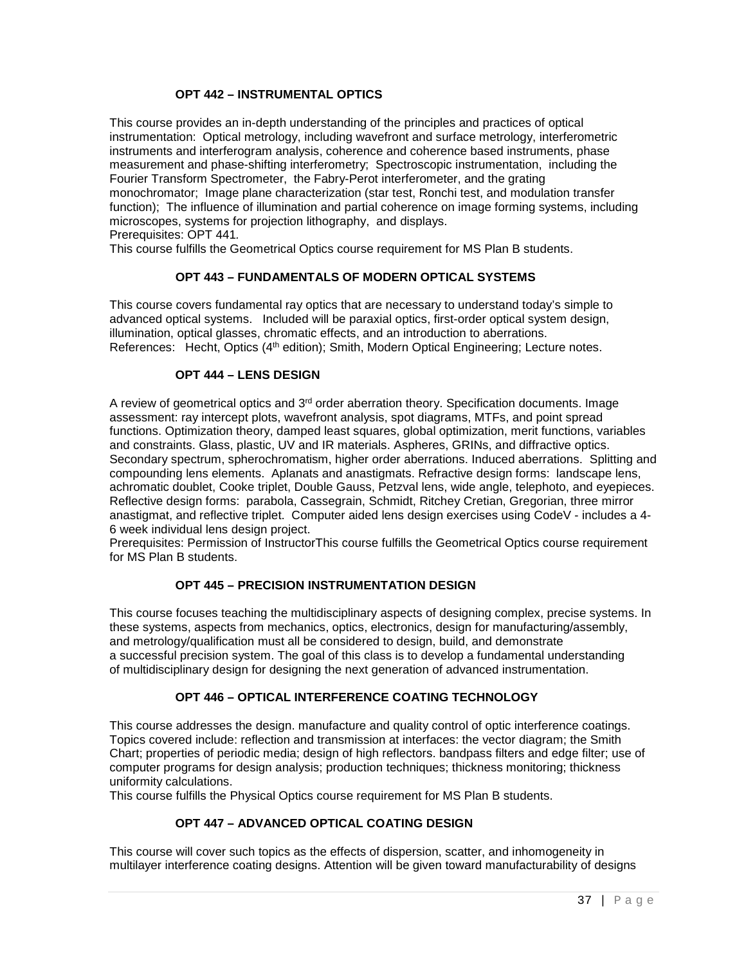#### **OPT 442 – INSTRUMENTAL OPTICS**

This course provides an in-depth understanding of the principles and practices of optical instrumentation: Optical metrology, including wavefront and surface metrology, interferometric instruments and interferogram analysis, coherence and coherence based instruments, phase measurement and phase-shifting interferometry; Spectroscopic instrumentation, including the Fourier Transform Spectrometer, the Fabry-Perot interferometer, and the grating monochromator; Image plane characterization (star test, Ronchi test, and modulation transfer function); The influence of illumination and partial coherence on image forming systems, including microscopes, systems for projection lithography, and displays. Prerequisites: OPT 441*.*

This course fulfills the Geometrical Optics course requirement for MS Plan B students.

## **OPT 443 – FUNDAMENTALS OF MODERN OPTICAL SYSTEMS**

This course covers fundamental ray optics that are necessary to understand today's simple to advanced optical systems. Included will be paraxial optics, first-order optical system design, illumination, optical glasses, chromatic effects, and an introduction to aberrations. References: Hecht, Optics (4<sup>th</sup> edition); Smith, Modern Optical Engineering; Lecture notes.

#### **OPT 444 – LENS DESIGN**

A review of geometrical optics and  $3<sup>rd</sup>$  order aberration theory. Specification documents. Image assessment: ray intercept plots, wavefront analysis, spot diagrams, MTFs, and point spread functions. Optimization theory, damped least squares, global optimization, merit functions, variables and constraints. Glass, plastic, UV and IR materials. Aspheres, GRINs, and diffractive optics. Secondary spectrum, spherochromatism, higher order aberrations. Induced aberrations. Splitting and compounding lens elements. Aplanats and anastigmats. Refractive design forms: landscape lens, achromatic doublet, Cooke triplet, Double Gauss, Petzval lens, wide angle, telephoto, and eyepieces. Reflective design forms: parabola, Cassegrain, Schmidt, Ritchey Cretian, Gregorian, three mirror anastigmat, and reflective triplet. Computer aided lens design exercises using CodeV - includes a 4- 6 week individual lens design project.

Prerequisites: Permission of InstructorThis course fulfills the Geometrical Optics course requirement for MS Plan B students.

#### **OPT 445 – PRECISION INSTRUMENTATION DESIGN**

This course focuses teaching the multidisciplinary aspects of designing complex, precise systems. In these systems, aspects from mechanics, optics, electronics, design for manufacturing/assembly, and metrology/qualification must all be considered to design, build, and demonstrate a successful precision system. The goal of this class is to develop a fundamental understanding of multidisciplinary design for designing the next generation of advanced instrumentation.

## **OPT 446 – OPTICAL INTERFERENCE COATING TECHNOLOGY**

This course addresses the design. manufacture and quality control of optic interference coatings. Topics covered include: reflection and transmission at interfaces: the vector diagram; the Smith Chart; properties of periodic media; design of high reflectors. bandpass filters and edge filter; use of computer programs for design analysis; production techniques; thickness monitoring; thickness uniformity calculations.

This course fulfills the Physical Optics course requirement for MS Plan B students.

#### **OPT 447 – ADVANCED OPTICAL COATING DESIGN**

This course will cover such topics as the effects of dispersion, scatter, and inhomogeneity in multilayer interference coating designs. Attention will be given toward manufacturability of designs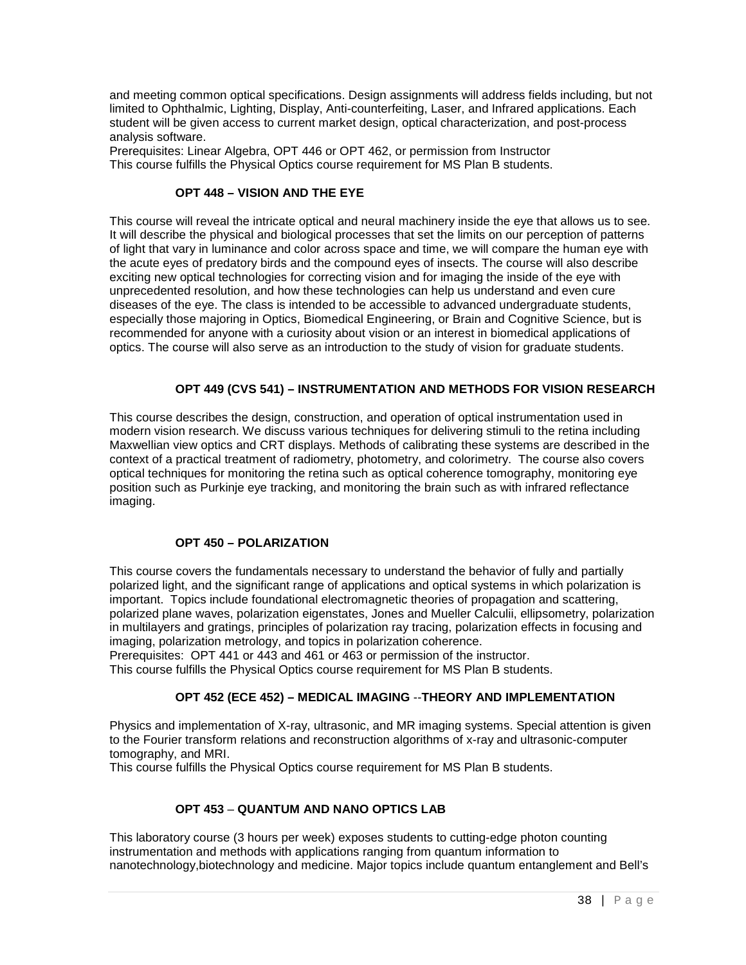and meeting common optical specifications. Design assignments will address fields including, but not limited to Ophthalmic, Lighting, Display, Anti-counterfeiting, Laser, and Infrared applications. Each student will be given access to current market design, optical characterization, and post-process analysis software.

Prerequisites: Linear Algebra, OPT 446 or OPT 462, or permission from Instructor This course fulfills the Physical Optics course requirement for MS Plan B students.

#### **OPT 448 – VISION AND THE EYE**

This course will reveal the intricate optical and neural machinery inside the eye that allows us to see. It will describe the physical and biological processes that set the limits on our perception of patterns of light that vary in luminance and color across space and time, we will compare the human eye with the acute eyes of predatory birds and the compound eyes of insects. The course will also describe exciting new optical technologies for correcting vision and for imaging the inside of the eye with unprecedented resolution, and how these technologies can help us understand and even cure diseases of the eye. The class is intended to be accessible to advanced undergraduate students, especially those majoring in Optics, Biomedical Engineering, or Brain and Cognitive Science, but is recommended for anyone with a curiosity about vision or an interest in biomedical applications of optics. The course will also serve as an introduction to the study of vision for graduate students.

## **OPT 449 (CVS 541) – INSTRUMENTATION AND METHODS FOR VISION RESEARCH**

This course describes the design, construction, and operation of optical instrumentation used in modern vision research. We discuss various techniques for delivering stimuli to the retina including Maxwellian view optics and CRT displays. Methods of calibrating these systems are described in the context of a practical treatment of radiometry, photometry, and colorimetry. The course also covers optical techniques for monitoring the retina such as optical coherence tomography, monitoring eye position such as Purkinje eye tracking, and monitoring the brain such as with infrared reflectance imaging.

#### **OPT 450 – POLARIZATION**

This course covers the fundamentals necessary to understand the behavior of fully and partially polarized light, and the significant range of applications and optical systems in which polarization is important. Topics include foundational electromagnetic theories of propagation and scattering, polarized plane waves, polarization eigenstates, Jones and Mueller Calculii, ellipsometry, polarization in multilayers and gratings, principles of polarization ray tracing, polarization effects in focusing and imaging, polarization metrology, and topics in polarization coherence.

Prerequisites: OPT 441 or 443 and 461 or 463 or permission of the instructor.

This course fulfills the Physical Optics course requirement for MS Plan B students.

#### **OPT 452 (ECE 452) – MEDICAL IMAGING** --**THEORY AND IMPLEMENTATION**

Physics and implementation of X-ray, ultrasonic, and MR imaging systems. Special attention is given to the Fourier transform relations and reconstruction algorithms of x-ray and ultrasonic-computer tomography, and MRI.

This course fulfills the Physical Optics course requirement for MS Plan B students.

#### **OPT 453** – **QUANTUM AND NANO OPTICS LAB**

This laboratory course (3 hours per week) exposes students to cutting-edge photon counting instrumentation and methods with applications ranging from quantum information to nanotechnology,biotechnology and medicine. Major topics include quantum entanglement and Bell's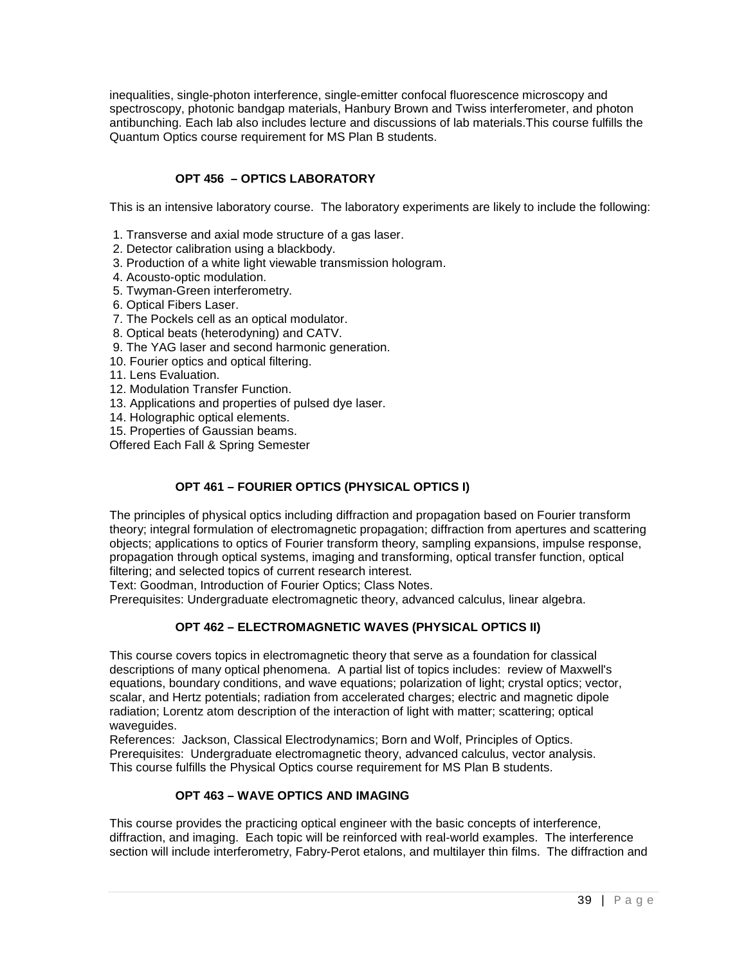inequalities, single-photon interference, single-emitter confocal fluorescence microscopy and spectroscopy, photonic bandgap materials, Hanbury Brown and Twiss interferometer, and photon antibunching. Each lab also includes lecture and discussions of lab materials.This course fulfills the Quantum Optics course requirement for MS Plan B students.

## **OPT 456 – OPTICS LABORATORY**

This is an intensive laboratory course. The laboratory experiments are likely to include the following:

- 1. Transverse and axial mode structure of a gas laser.
- 2. Detector calibration using a blackbody.
- 3. Production of a white light viewable transmission hologram.
- 4. Acousto-optic modulation.
- 5. Twyman-Green interferometry.
- 6. Optical Fibers Laser.
- 7. The Pockels cell as an optical modulator.
- 8. Optical beats (heterodyning) and CATV.
- 9. The YAG laser and second harmonic generation.
- 10. Fourier optics and optical filtering.
- 11. Lens Evaluation.
- 12. Modulation Transfer Function.
- 13. Applications and properties of pulsed dye laser.
- 14. Holographic optical elements.
- 15. Properties of Gaussian beams.

Offered Each Fall & Spring Semester

## **OPT 461 – FOURIER OPTICS (PHYSICAL OPTICS I)**

The principles of physical optics including diffraction and propagation based on Fourier transform theory; integral formulation of electromagnetic propagation; diffraction from apertures and scattering objects; applications to optics of Fourier transform theory, sampling expansions, impulse response, propagation through optical systems, imaging and transforming, optical transfer function, optical filtering; and selected topics of current research interest.

Text: Goodman, Introduction of Fourier Optics; Class Notes.

Prerequisites: Undergraduate electromagnetic theory, advanced calculus, linear algebra.

#### **OPT 462 – ELECTROMAGNETIC WAVES (PHYSICAL OPTICS II)**

This course covers topics in electromagnetic theory that serve as a foundation for classical descriptions of many optical phenomena. A partial list of topics includes: review of Maxwell's equations, boundary conditions, and wave equations; polarization of light; crystal optics; vector, scalar, and Hertz potentials; radiation from accelerated charges; electric and magnetic dipole radiation; Lorentz atom description of the interaction of light with matter; scattering; optical waveguides.

References: Jackson, Classical Electrodynamics; Born and Wolf, Principles of Optics. Prerequisites: Undergraduate electromagnetic theory, advanced calculus, vector analysis. This course fulfills the Physical Optics course requirement for MS Plan B students.

#### **OPT 463 – WAVE OPTICS AND IMAGING**

This course provides the practicing optical engineer with the basic concepts of interference, diffraction, and imaging. Each topic will be reinforced with real-world examples. The interference section will include interferometry, Fabry-Perot etalons, and multilayer thin films. The diffraction and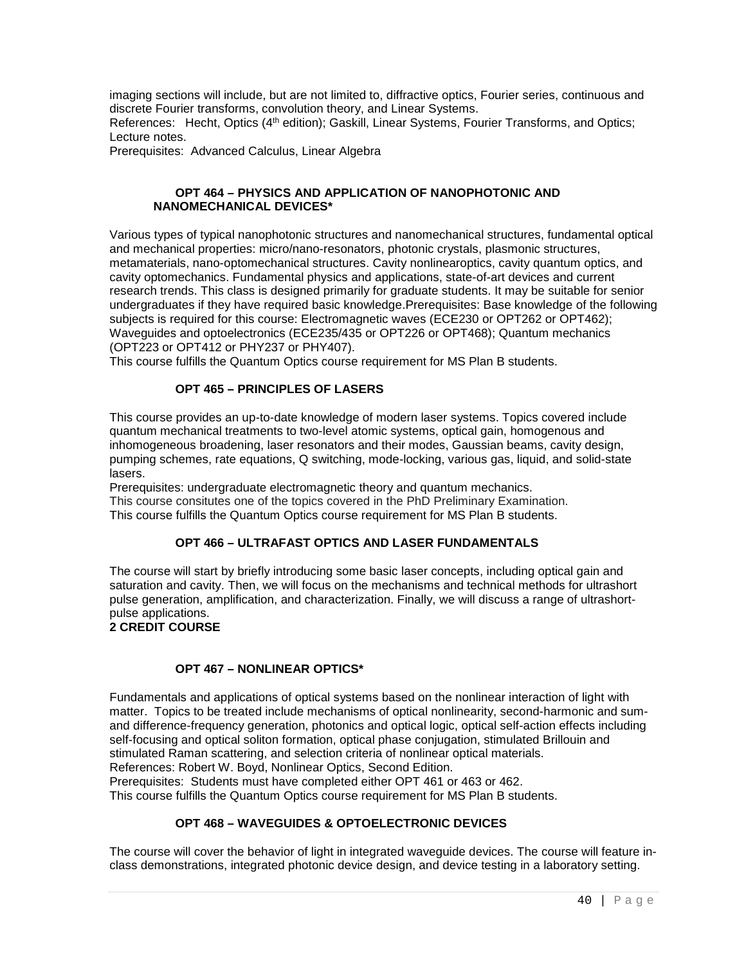imaging sections will include, but are not limited to, diffractive optics, Fourier series, continuous and discrete Fourier transforms, convolution theory, and Linear Systems. References: Hecht, Optics (4<sup>th</sup> edition); Gaskill, Linear Systems, Fourier Transforms, and Optics;

Lecture notes.

Prerequisites: Advanced Calculus, Linear Algebra

#### **OPT 464 – PHYSICS AND APPLICATION OF NANOPHOTONIC AND NANOMECHANICAL DEVICES\***

Various types of typical nanophotonic structures and nanomechanical structures, fundamental optical and mechanical properties: micro/nano-resonators, photonic crystals, plasmonic structures, metamaterials, nano-optomechanical structures. Cavity nonlinearoptics, cavity quantum optics, and cavity optomechanics. Fundamental physics and applications, state-of-art devices and current research trends. This class is designed primarily for graduate students. It may be suitable for senior undergraduates if they have required basic knowledge.Prerequisites: Base knowledge of the following subjects is required for this course: Electromagnetic waves (ECE230 or OPT262 or OPT462); Waveguides and optoelectronics (ECE235/435 or OPT226 or OPT468); Quantum mechanics (OPT223 or OPT412 or PHY237 or PHY407).

This course fulfills the Quantum Optics course requirement for MS Plan B students.

## **OPT 465 – PRINCIPLES OF LASERS**

This course provides an up-to-date knowledge of modern laser systems. Topics covered include quantum mechanical treatments to two-level atomic systems, optical gain, homogenous and inhomogeneous broadening, laser resonators and their modes, Gaussian beams, cavity design, pumping schemes, rate equations, Q switching, mode-locking, various gas, liquid, and solid-state lasers.

Prerequisites: undergraduate electromagnetic theory and quantum mechanics. This course consitutes one of the topics covered in the PhD Preliminary Examination. This course fulfills the Quantum Optics course requirement for MS Plan B students.

## **OPT 466 – ULTRAFAST OPTICS AND LASER FUNDAMENTALS**

The course will start by briefly introducing some basic laser concepts, including optical gain and saturation and cavity. Then, we will focus on the mechanisms and technical methods for ultrashort pulse generation, amplification, and characterization. Finally, we will discuss a range of ultrashortpulse applications.

#### **2 CREDIT COURSE**

#### **OPT 467 – NONLINEAR OPTICS\***

Fundamentals and applications of optical systems based on the nonlinear interaction of light with matter. Topics to be treated include mechanisms of optical nonlinearity, second-harmonic and sumand difference-frequency generation, photonics and optical logic, optical self-action effects including self-focusing and optical soliton formation, optical phase conjugation, stimulated Brillouin and stimulated Raman scattering, and selection criteria of nonlinear optical materials. References: Robert W. Boyd, Nonlinear Optics, Second Edition. Prerequisites: Students must have completed either OPT 461 or 463 or 462. This course fulfills the Quantum Optics course requirement for MS Plan B students.

#### **OPT 468 – WAVEGUIDES & OPTOELECTRONIC DEVICES**

The course will cover the behavior of light in integrated waveguide devices. The course will feature inclass demonstrations, integrated photonic device design, and device testing in a laboratory setting.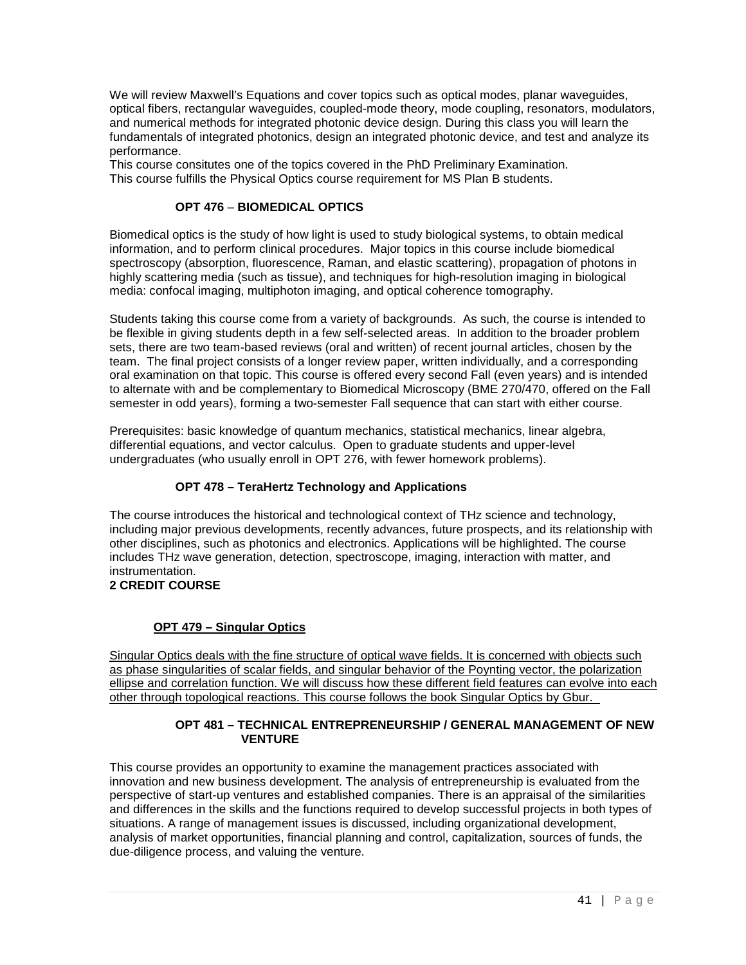We will review Maxwell's Equations and cover topics such as optical modes, planar waveguides, optical fibers, rectangular waveguides, coupled-mode theory, mode coupling, resonators, modulators, and numerical methods for integrated photonic device design. During this class you will learn the fundamentals of integrated photonics, design an integrated photonic device, and test and analyze its performance.

This course consitutes one of the topics covered in the PhD Preliminary Examination. This course fulfills the Physical Optics course requirement for MS Plan B students.

#### **OPT 476** – **BIOMEDICAL OPTICS**

Biomedical optics is the study of how light is used to study biological systems, to obtain medical information, and to perform clinical procedures. Major topics in this course include biomedical spectroscopy (absorption, fluorescence, Raman, and elastic scattering), propagation of photons in highly scattering media (such as tissue), and techniques for high-resolution imaging in biological media: confocal imaging, multiphoton imaging, and optical coherence tomography.

Students taking this course come from a variety of backgrounds. As such, the course is intended to be flexible in giving students depth in a few self-selected areas. In addition to the broader problem sets, there are two team-based reviews (oral and written) of recent journal articles, chosen by the team. The final project consists of a longer review paper, written individually, and a corresponding oral examination on that topic. This course is offered every second Fall (even years) and is intended to alternate with and be complementary to Biomedical Microscopy (BME 270/470, offered on the Fall semester in odd years), forming a two-semester Fall sequence that can start with either course.

Prerequisites: basic knowledge of quantum mechanics, statistical mechanics, linear algebra, differential equations, and vector calculus. Open to graduate students and upper-level undergraduates (who usually enroll in OPT 276, with fewer homework problems).

## **OPT 478 – TeraHertz Technology and Applications**

The course introduces the historical and technological context of THz science and technology, including major previous developments, recently advances, future prospects, and its relationship with other disciplines, such as photonics and electronics. Applications will be highlighted. The course includes THz wave generation, detection, spectroscope, imaging, interaction with matter, and instrumentation.

## **2 CREDIT COURSE**

## **OPT 479 – Singular Optics**

Singular Optics deals with the fine structure of optical wave fields. It is concerned with objects such as phase singularities of scalar fields, and singular behavior of the Poynting vector, the polarization ellipse and correlation function. We will discuss how these different field features can evolve into each other through topological reactions. This course follows the book Singular Optics by Gbur.

#### **OPT 481 – TECHNICAL ENTREPRENEURSHIP / GENERAL MANAGEMENT OF NEW VENTURE**

This course provides an opportunity to examine the management practices associated with innovation and new business development. The analysis of entrepreneurship is evaluated from the perspective of start-up ventures and established companies. There is an appraisal of the similarities and differences in the skills and the functions required to develop successful projects in both types of situations. A range of management issues is discussed, including organizational development, analysis of market opportunities, financial planning and control, capitalization, sources of funds, the due-diligence process, and valuing the venture.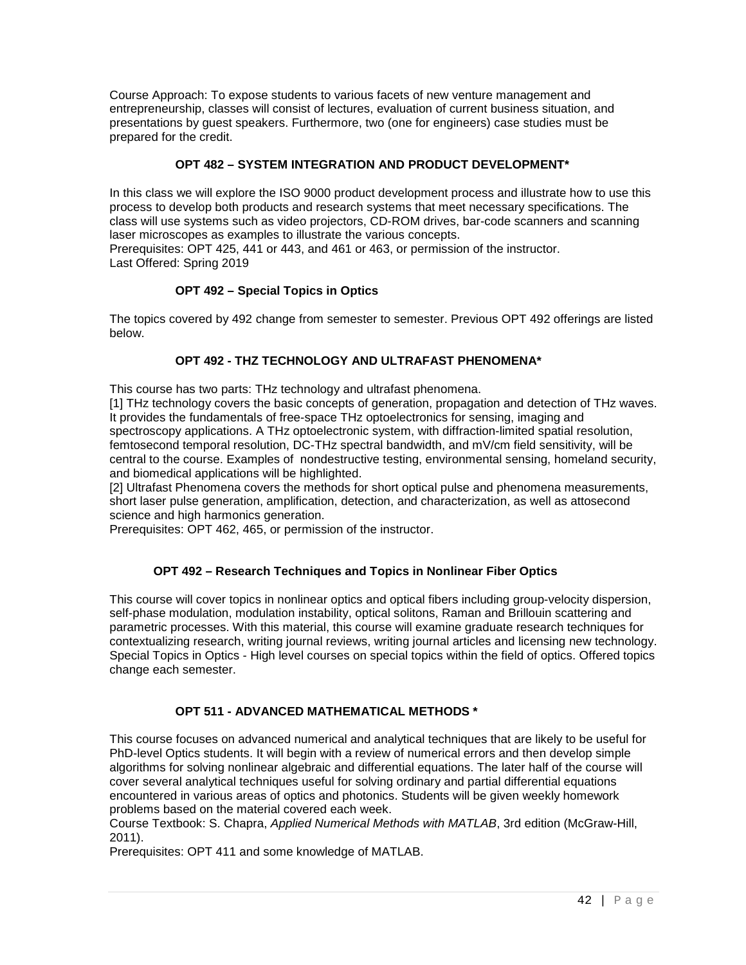Course Approach: To expose students to various facets of new venture management and entrepreneurship, classes will consist of lectures, evaluation of current business situation, and presentations by guest speakers. Furthermore, two (one for engineers) case studies must be prepared for the credit.

## **OPT 482 – SYSTEM INTEGRATION AND PRODUCT DEVELOPMENT\***

In this class we will explore the ISO 9000 product development process and illustrate how to use this process to develop both products and research systems that meet necessary specifications. The class will use systems such as video projectors, CD-ROM drives, bar-code scanners and scanning laser microscopes as examples to illustrate the various concepts.

Prerequisites: OPT 425, 441 or 443, and 461 or 463, or permission of the instructor. Last Offered: Spring 2019

## **OPT 492 – Special Topics in Optics**

The topics covered by 492 change from semester to semester. Previous OPT 492 offerings are listed below.

## **OPT 492 - THZ TECHNOLOGY AND ULTRAFAST PHENOMENA\***

This course has two parts: THz technology and ultrafast phenomena.

[1] THz technology covers the basic concepts of generation, propagation and detection of THz waves. It provides the fundamentals of free-space THz optoelectronics for sensing, imaging and spectroscopy applications. A THz optoelectronic system, with diffraction-limited spatial resolution, femtosecond temporal resolution, DC-THz spectral bandwidth, and mV/cm field sensitivity, will be central to the course. Examples of nondestructive testing, environmental sensing, homeland security, and biomedical applications will be highlighted.

[2] Ultrafast Phenomena covers the methods for short optical pulse and phenomena measurements, short laser pulse generation, amplification, detection, and characterization, as well as attosecond science and high harmonics generation.

Prerequisites: OPT 462, 465, or permission of the instructor.

#### **OPT 492 – Research Techniques and Topics in Nonlinear Fiber Optics**

This course will cover topics in nonlinear optics and optical fibers including group-velocity dispersion, self-phase modulation, modulation instability, optical solitons, Raman and Brillouin scattering and parametric processes. With this material, this course will examine graduate research techniques for contextualizing research, writing journal reviews, writing journal articles and licensing new technology. Special Topics in Optics - High level courses on special topics within the field of optics. Offered topics change each semester.

#### **OPT 511 - ADVANCED MATHEMATICAL METHODS \***

This course focuses on advanced numerical and analytical techniques that are likely to be useful for PhD-level Optics students. It will begin with a review of numerical errors and then develop simple algorithms for solving nonlinear algebraic and differential equations. The later half of the course will cover several analytical techniques useful for solving ordinary and partial differential equations encountered in various areas of optics and photonics. Students will be given weekly homework problems based on the material covered each week.

Course Textbook: S. Chapra, *Applied Numerical Methods with MATLAB*, 3rd edition (McGraw-Hill, 2011).

Prerequisites: OPT 411 and some knowledge of MATLAB.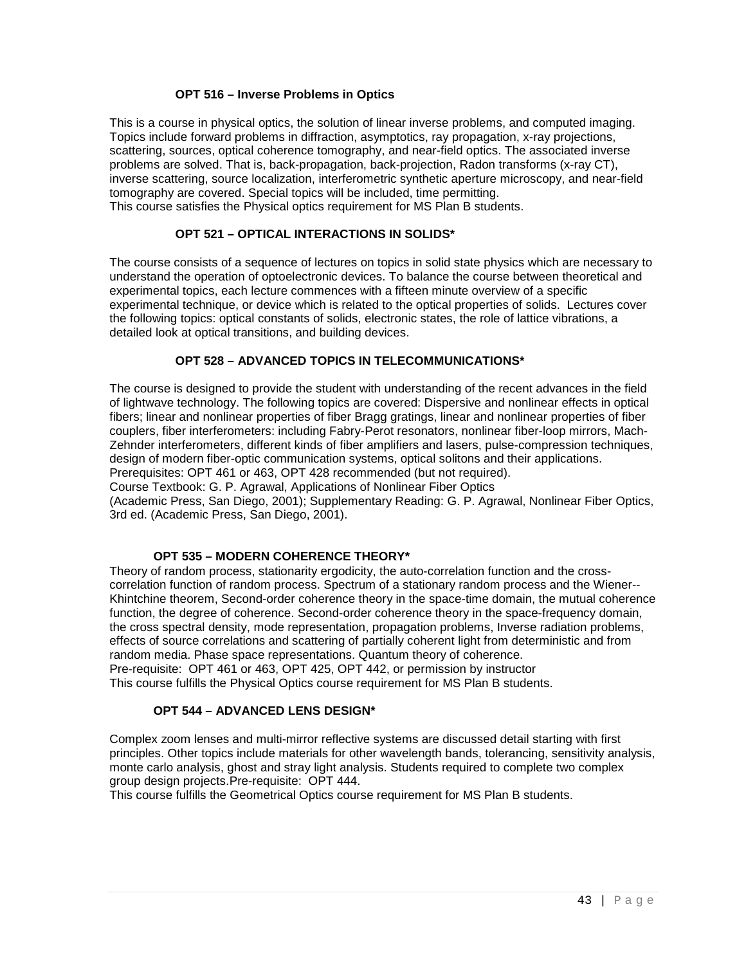#### **OPT 516 – Inverse Problems in Optics**

This is a course in physical optics, the solution of linear inverse problems, and computed imaging. Topics include forward problems in diffraction, asymptotics, ray propagation, x-ray projections, scattering, sources, optical coherence tomography, and near-field optics. The associated inverse problems are solved. That is, back-propagation, back-projection, Radon transforms (x-ray CT), inverse scattering, source localization, interferometric synthetic aperture microscopy, and near-field tomography are covered. Special topics will be included, time permitting. This course satisfies the Physical optics requirement for MS Plan B students.

## **OPT 521 – OPTICAL INTERACTIONS IN SOLIDS\***

The course consists of a sequence of lectures on topics in solid state physics which are necessary to understand the operation of optoelectronic devices. To balance the course between theoretical and experimental topics, each lecture commences with a fifteen minute overview of a specific experimental technique, or device which is related to the optical properties of solids. Lectures cover the following topics: optical constants of solids, electronic states, the role of lattice vibrations, a detailed look at optical transitions, and building devices.

#### **OPT 528 – ADVANCED TOPICS IN TELECOMMUNICATIONS\***

The course is designed to provide the student with understanding of the recent advances in the field of lightwave technology. The following topics are covered: Dispersive and nonlinear effects in optical fibers; linear and nonlinear properties of fiber Bragg gratings, linear and nonlinear properties of fiber couplers, fiber interferometers: including Fabry-Perot resonators, nonlinear fiber-loop mirrors, Mach-Zehnder interferometers, different kinds of fiber amplifiers and lasers, pulse-compression techniques, design of modern fiber-optic communication systems, optical solitons and their applications.

Prerequisites: OPT 461 or 463, OPT 428 recommended (but not required).

Course Textbook: G. P. Agrawal, Applications of Nonlinear Fiber Optics

(Academic Press, San Diego, 2001); Supplementary Reading: G. P. Agrawal, Nonlinear Fiber Optics, 3rd ed. (Academic Press, San Diego, 2001).

#### **OPT 535 – MODERN COHERENCE THEORY\***

Theory of random process, stationarity ergodicity, the auto-correlation function and the crosscorrelation function of random process. Spectrum of a stationary random process and the Wiener-- Khintchine theorem, Second-order coherence theory in the space-time domain, the mutual coherence function, the degree of coherence. Second-order coherence theory in the space-frequency domain, the cross spectral density, mode representation, propagation problems, Inverse radiation problems, effects of source correlations and scattering of partially coherent light from deterministic and from random media. Phase space representations. Quantum theory of coherence.

Pre-requisite: OPT 461 or 463, OPT 425, OPT 442, or permission by instructor This course fulfills the Physical Optics course requirement for MS Plan B students.

#### **OPT 544 – ADVANCED LENS DESIGN\***

Complex zoom lenses and multi-mirror reflective systems are discussed detail starting with first principles. Other topics include materials for other wavelength bands, tolerancing, sensitivity analysis, monte carlo analysis, ghost and stray light analysis. Students required to complete two complex group design projects.Pre-requisite: OPT 444.

This course fulfills the Geometrical Optics course requirement for MS Plan B students.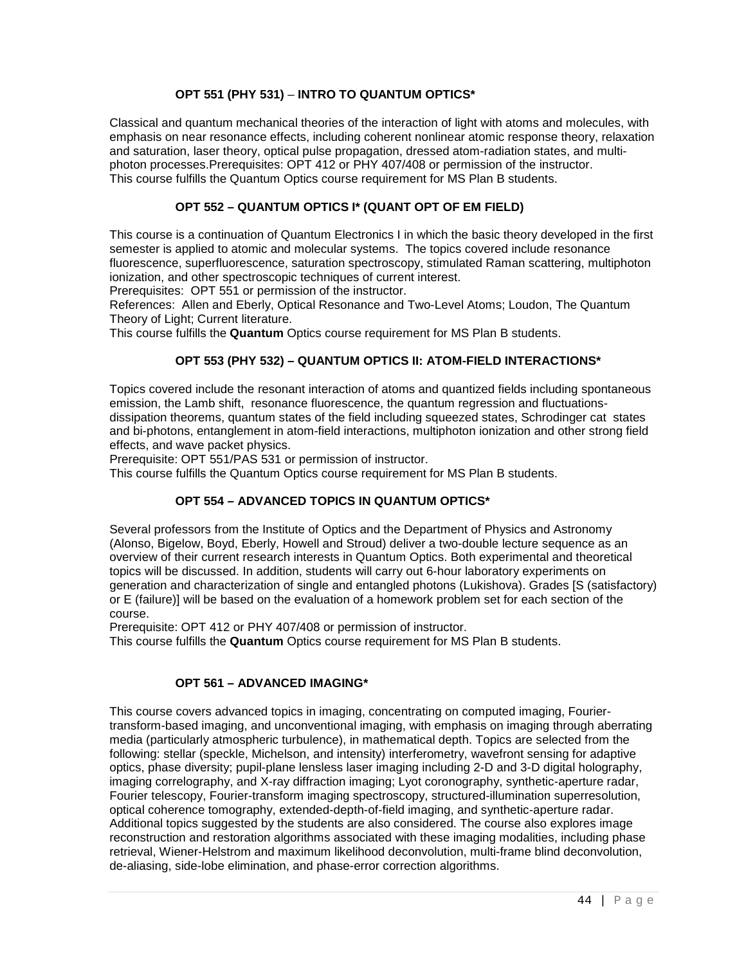## **OPT 551 (PHY 531)** – **INTRO TO QUANTUM OPTICS\***

Classical and quantum mechanical theories of the interaction of light with atoms and molecules, with emphasis on near resonance effects, including coherent nonlinear atomic response theory, relaxation and saturation, laser theory, optical pulse propagation, dressed atom-radiation states, and multiphoton processes.Prerequisites: OPT 412 or PHY 407/408 or permission of the instructor. This course fulfills the Quantum Optics course requirement for MS Plan B students.

## **OPT 552 – QUANTUM OPTICS I\* (QUANT OPT OF EM FIELD)**

This course is a continuation of Quantum Electronics I in which the basic theory developed in the first semester is applied to atomic and molecular systems. The topics covered include resonance fluorescence, superfluorescence, saturation spectroscopy, stimulated Raman scattering, multiphoton ionization, and other spectroscopic techniques of current interest.

Prerequisites: OPT 551 or permission of the instructor.

References: Allen and Eberly, Optical Resonance and Two-Level Atoms; Loudon, The Quantum Theory of Light; Current literature.

This course fulfills the **Quantum** Optics course requirement for MS Plan B students.

#### **OPT 553 (PHY 532) – QUANTUM OPTICS II: ATOM-FIELD INTERACTIONS\***

Topics covered include the resonant interaction of atoms and quantized fields including spontaneous emission, the Lamb shift, resonance fluorescence, the quantum regression and fluctuationsdissipation theorems, quantum states of the field including squeezed states, Schrodinger cat states and bi-photons, entanglement in atom-field interactions, multiphoton ionization and other strong field effects, and wave packet physics.

Prerequisite: OPT 551/PAS 531 or permission of instructor.

This course fulfills the Quantum Optics course requirement for MS Plan B students.

#### **OPT 554 – ADVANCED TOPICS IN QUANTUM OPTICS\***

Several professors from the Institute of Optics and the Department of Physics and Astronomy (Alonso, Bigelow, Boyd, Eberly, Howell and Stroud) deliver a two-double lecture sequence as an overview of their current research interests in Quantum Optics. Both experimental and theoretical topics will be discussed. In addition, students will carry out 6-hour laboratory experiments on generation and characterization of single and entangled photons (Lukishova). Grades [S (satisfactory) or E (failure)] will be based on the evaluation of a homework problem set for each section of the course.

Prerequisite: OPT 412 or PHY 407/408 or permission of instructor.

This course fulfills the **Quantum** Optics course requirement for MS Plan B students.

#### **OPT 561 – ADVANCED IMAGING\***

This course covers advanced topics in imaging, concentrating on computed imaging, Fouriertransform-based imaging, and unconventional imaging, with emphasis on imaging through aberrating media (particularly atmospheric turbulence), in mathematical depth. Topics are selected from the following: stellar (speckle, Michelson, and intensity) interferometry, wavefront sensing for adaptive optics, phase diversity; pupil-plane lensless laser imaging including 2-D and 3-D digital holography, imaging correlography, and X-ray diffraction imaging; Lyot coronography, synthetic-aperture radar, Fourier telescopy, Fourier-transform imaging spectroscopy, structured-illumination superresolution, optical coherence tomography, extended-depth-of-field imaging, and synthetic-aperture radar. Additional topics suggested by the students are also considered. The course also explores image reconstruction and restoration algorithms associated with these imaging modalities, including phase retrieval, Wiener-Helstrom and maximum likelihood deconvolution, multi-frame blind deconvolution, de-aliasing, side-lobe elimination, and phase-error correction algorithms.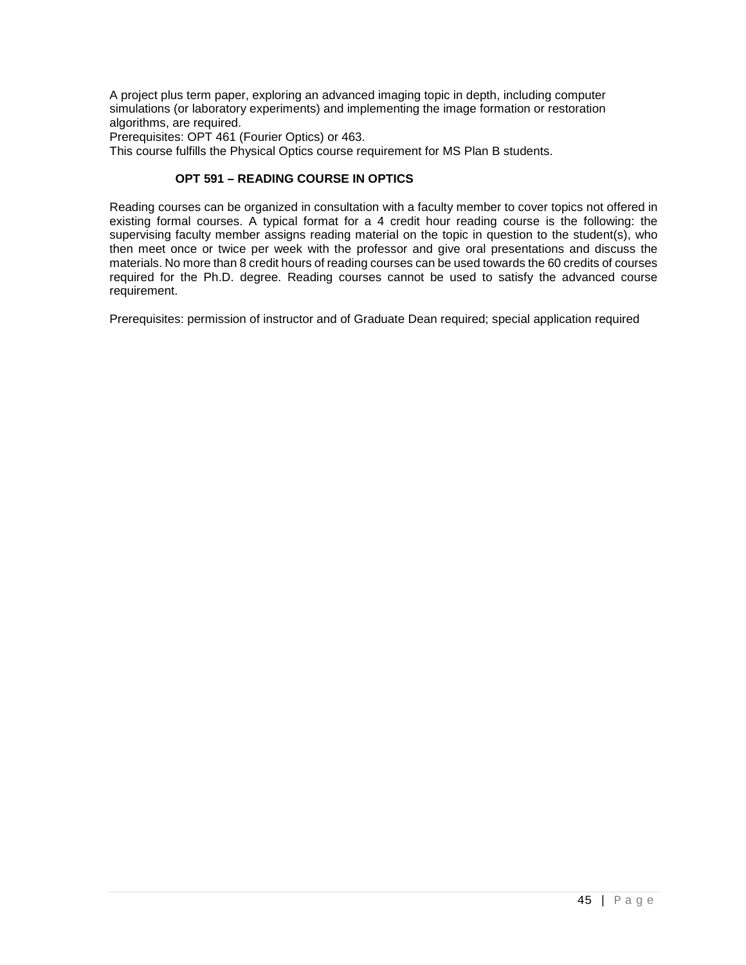A project plus term paper, exploring an advanced imaging topic in depth, including computer simulations (or laboratory experiments) and implementing the image formation or restoration algorithms, are required.

Prerequisites: OPT 461 (Fourier Optics) or 463.

This course fulfills the Physical Optics course requirement for MS Plan B students.

#### **OPT 591 – READING COURSE IN OPTICS**

Reading courses can be organized in consultation with a faculty member to cover topics not offered in existing formal courses. A typical format for a 4 credit hour reading course is the following: the supervising faculty member assigns reading material on the topic in question to the student(s), who then meet once or twice per week with the professor and give oral presentations and discuss the materials. No more than 8 credit hours of reading courses can be used towards the 60 credits of courses required for the Ph.D. degree. Reading courses cannot be used to satisfy the advanced course requirement.

Prerequisites: permission of instructor and of Graduate Dean required; special application required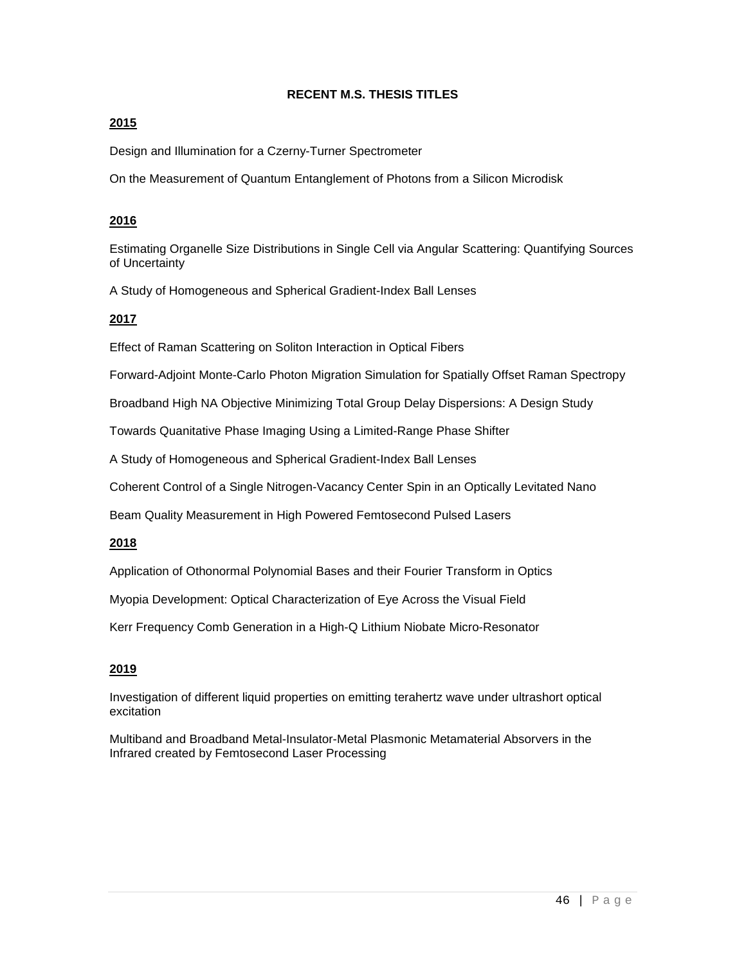## **RECENT M.S. THESIS TITLES**

## **2015**

Design and Illumination for a Czerny-Turner Spectrometer

On the Measurement of Quantum Entanglement of Photons from a Silicon Microdisk

## **2016**

Estimating Organelle Size Distributions in Single Cell via Angular Scattering: Quantifying Sources of Uncertainty

A Study of Homogeneous and Spherical Gradient-Index Ball Lenses

## **2017**

Effect of Raman Scattering on Soliton Interaction in Optical Fibers

Forward-Adjoint Monte-Carlo Photon Migration Simulation for Spatially Offset Raman Spectropy

Broadband High NA Objective Minimizing Total Group Delay Dispersions: A Design Study

Towards Quanitative Phase Imaging Using a Limited-Range Phase Shifter

A Study of Homogeneous and Spherical Gradient-Index Ball Lenses

Coherent Control of a Single Nitrogen-Vacancy Center Spin in an Optically Levitated Nano

Beam Quality Measurement in High Powered Femtosecond Pulsed Lasers

## **2018**

Application of Othonormal Polynomial Bases and their Fourier Transform in Optics

Myopia Development: Optical Characterization of Eye Across the Visual Field

Kerr Frequency Comb Generation in a High-Q Lithium Niobate Micro-Resonator

## **2019**

Investigation of different liquid properties on emitting terahertz wave under ultrashort optical excitation

Multiband and Broadband Metal-Insulator-Metal Plasmonic Metamaterial Absorvers in the Infrared created by Femtosecond Laser Processing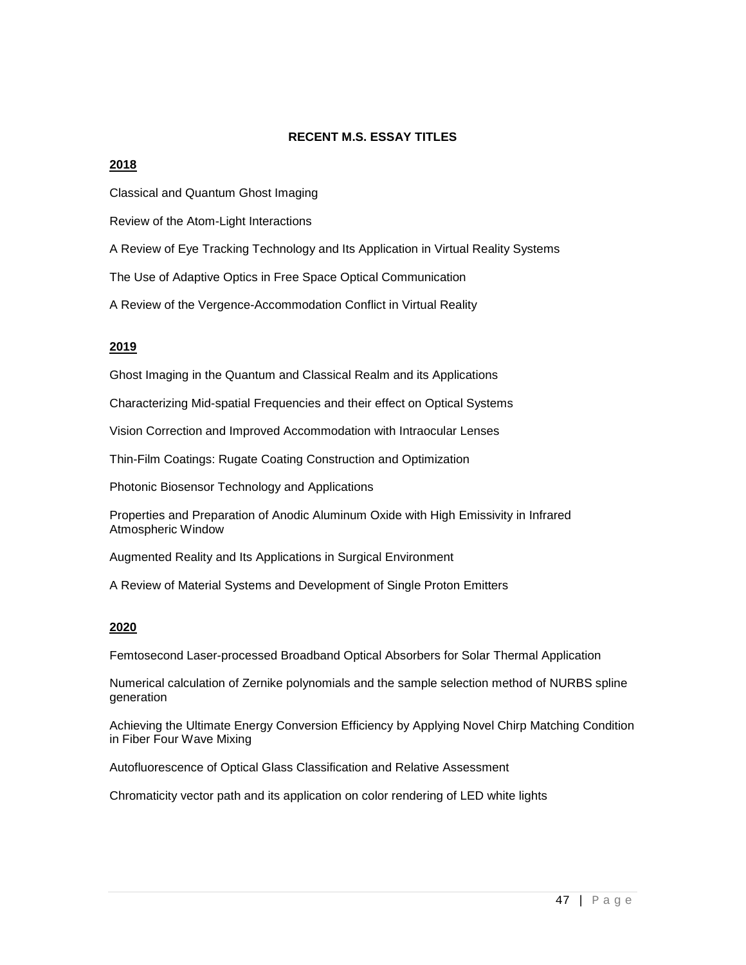#### **RECENT M.S. ESSAY TITLES**

#### **2018**

Classical and Quantum Ghost Imaging

Review of the Atom-Light Interactions

A Review of Eye Tracking Technology and Its Application in Virtual Reality Systems

The Use of Adaptive Optics in Free Space Optical Communication

A Review of the Vergence-Accommodation Conflict in Virtual Reality

#### **2019**

Ghost Imaging in the Quantum and Classical Realm and its Applications

Characterizing Mid-spatial Frequencies and their effect on Optical Systems

Vision Correction and Improved Accommodation with Intraocular Lenses

Thin-Film Coatings: Rugate Coating Construction and Optimization

Photonic Biosensor Technology and Applications

Properties and Preparation of Anodic Aluminum Oxide with High Emissivity in Infrared Atmospheric Window

Augmented Reality and Its Applications in Surgical Environment

A Review of Material Systems and Development of Single Proton Emitters

#### **2020**

Femtosecond Laser-processed Broadband Optical Absorbers for Solar Thermal Application

Numerical calculation of Zernike polynomials and the sample selection method of NURBS spline generation

Achieving the Ultimate Energy Conversion Efficiency by Applying Novel Chirp Matching Condition in Fiber Four Wave Mixing

Autofluorescence of Optical Glass Classification and Relative Assessment

Chromaticity vector path and its application on color rendering of LED white lights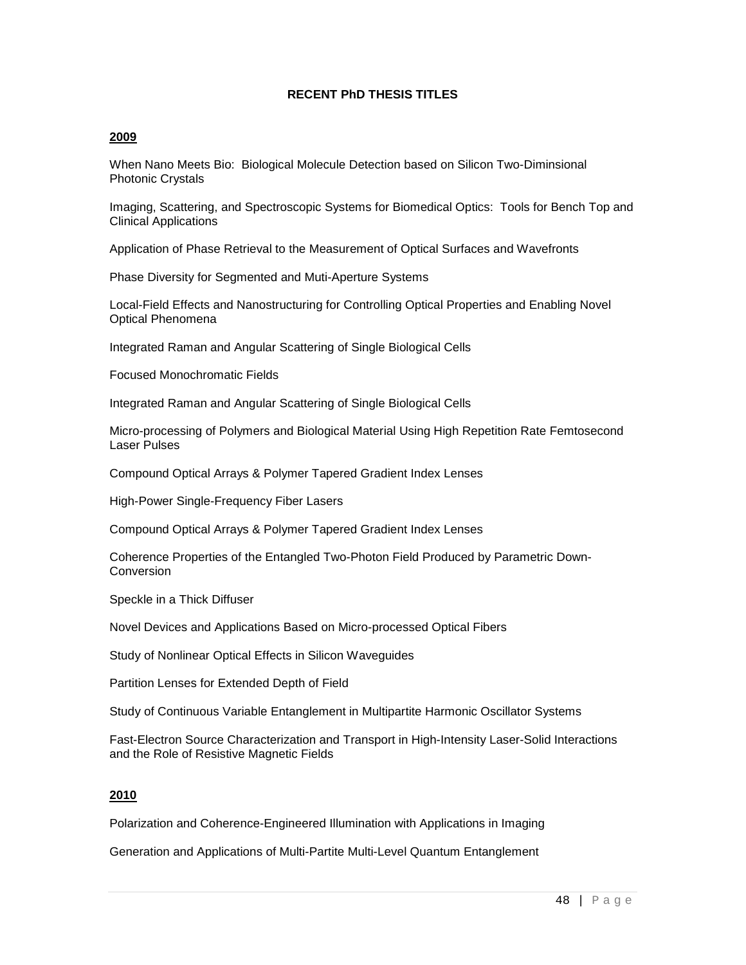#### **RECENT PhD THESIS TITLES**

#### **2009**

When Nano Meets Bio: Biological Molecule Detection based on Silicon Two-Diminsional Photonic Crystals

Imaging, Scattering, and Spectroscopic Systems for Biomedical Optics: Tools for Bench Top and Clinical Applications

Application of Phase Retrieval to the Measurement of Optical Surfaces and Wavefronts

Phase Diversity for Segmented and Muti-Aperture Systems

Local-Field Effects and Nanostructuring for Controlling Optical Properties and Enabling Novel Optical Phenomena

Integrated Raman and Angular Scattering of Single Biological Cells

Focused Monochromatic Fields

Integrated Raman and Angular Scattering of Single Biological Cells

Micro-processing of Polymers and Biological Material Using High Repetition Rate Femtosecond Laser Pulses

Compound Optical Arrays & Polymer Tapered Gradient Index Lenses

High-Power Single-Frequency Fiber Lasers

Compound Optical Arrays & Polymer Tapered Gradient Index Lenses

Coherence Properties of the Entangled Two-Photon Field Produced by Parametric Down-**Conversion** 

Speckle in a Thick Diffuser

Novel Devices and Applications Based on Micro-processed Optical Fibers

Study of Nonlinear Optical Effects in Silicon Waveguides

Partition Lenses for Extended Depth of Field

Study of Continuous Variable Entanglement in Multipartite Harmonic Oscillator Systems

Fast-Electron Source Characterization and Transport in High-Intensity Laser-Solid Interactions and the Role of Resistive Magnetic Fields

#### **2010**

Polarization and Coherence-Engineered Illumination with Applications in Imaging

Generation and Applications of Multi-Partite Multi-Level Quantum Entanglement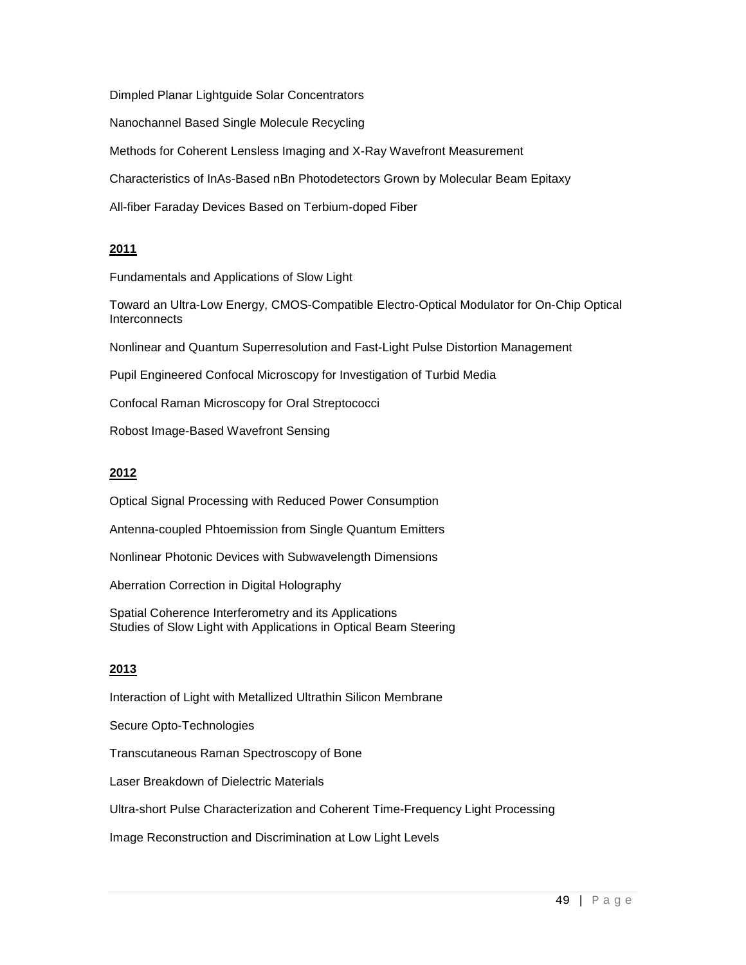Dimpled Planar Lightguide Solar Concentrators

Nanochannel Based Single Molecule Recycling

Methods for Coherent Lensless Imaging and X-Ray Wavefront Measurement

Characteristics of InAs-Based nBn Photodetectors Grown by Molecular Beam Epitaxy

All-fiber Faraday Devices Based on Terbium-doped Fiber

## **2011**

Fundamentals and Applications of Slow Light

Toward an Ultra-Low Energy, CMOS-Compatible Electro-Optical Modulator for On-Chip Optical **Interconnects** 

Nonlinear and Quantum Superresolution and Fast-Light Pulse Distortion Management

Pupil Engineered Confocal Microscopy for Investigation of Turbid Media

Confocal Raman Microscopy for Oral Streptococci

Robost Image-Based Wavefront Sensing

## **2012**

Optical Signal Processing with Reduced Power Consumption

Antenna-coupled Phtoemission from Single Quantum Emitters

Nonlinear Photonic Devices with Subwavelength Dimensions

Aberration Correction in Digital Holography

Spatial Coherence Interferometry and its Applications Studies of Slow Light with Applications in Optical Beam Steering

## **2013**

Interaction of Light with Metallized Ultrathin Silicon Membrane

Secure Opto-Technologies

Transcutaneous Raman Spectroscopy of Bone

Laser Breakdown of Dielectric Materials

Ultra-short Pulse Characterization and Coherent Time-Frequency Light Processing

Image Reconstruction and Discrimination at Low Light Levels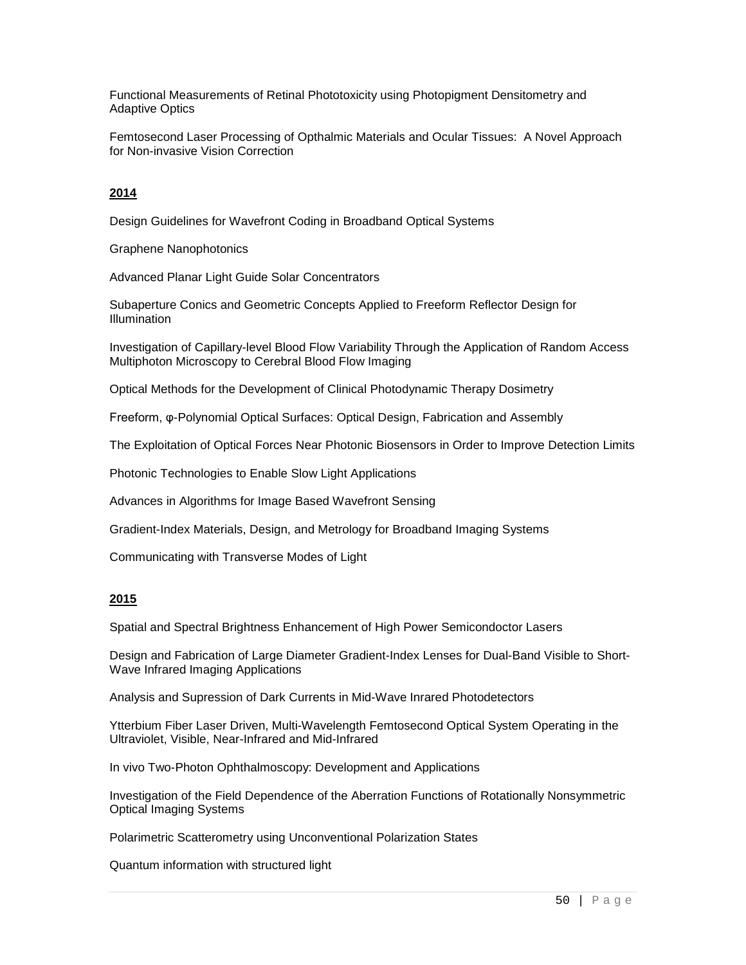Functional Measurements of Retinal Phototoxicity using Photopigment Densitometry and Adaptive Optics

Femtosecond Laser Processing of Opthalmic Materials and Ocular Tissues: A Novel Approach for Non-invasive Vision Correction

## **2014**

Design Guidelines for Wavefront Coding in Broadband Optical Systems

Graphene Nanophotonics

Advanced Planar Light Guide Solar Concentrators

Subaperture Conics and Geometric Concepts Applied to Freeform Reflector Design for Illumination

Investigation of Capillary-level Blood Flow Variability Through the Application of Random Access Multiphoton Microscopy to Cerebral Blood Flow Imaging

Optical Methods for the Development of Clinical Photodynamic Therapy Dosimetry

Freeform, φ-Polynomial Optical Surfaces: Optical Design, Fabrication and Assembly

The Exploitation of Optical Forces Near Photonic Biosensors in Order to Improve Detection Limits

Photonic Technologies to Enable Slow Light Applications

Advances in Algorithms for Image Based Wavefront Sensing

Gradient-Index Materials, Design, and Metrology for Broadband Imaging Systems

Communicating with Transverse Modes of Light

#### **2015**

Spatial and Spectral Brightness Enhancement of High Power Semicondoctor Lasers

Design and Fabrication of Large Diameter Gradient-Index Lenses for Dual-Band Visible to Short-Wave Infrared Imaging Applications

Analysis and Supression of Dark Currents in Mid-Wave Inrared Photodetectors

Ytterbium Fiber Laser Driven, Multi-Wavelength Femtosecond Optical System Operating in the Ultraviolet, Visible, Near-Infrared and Mid-Infrared

In vivo Two-Photon Ophthalmoscopy: Development and Applications

Investigation of the Field Dependence of the Aberration Functions of Rotationally Nonsymmetric Optical Imaging Systems

Polarimetric Scatterometry using Unconventional Polarization States

Quantum information with structured light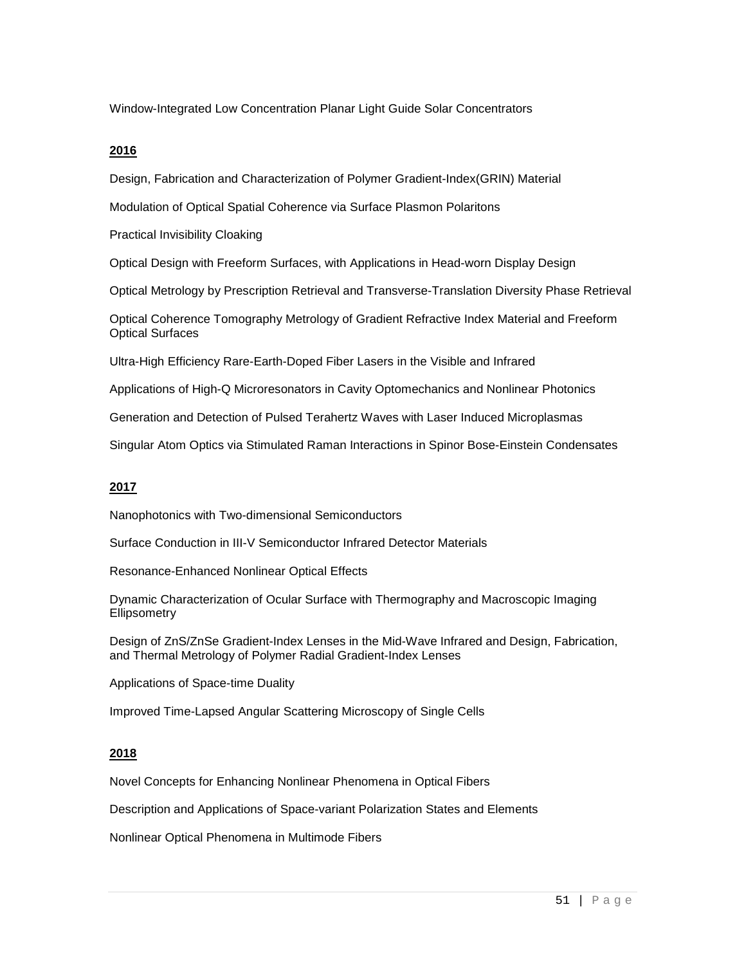Window-Integrated Low Concentration Planar Light Guide Solar Concentrators

#### **2016**

Design, Fabrication and Characterization of Polymer Gradient-Index(GRIN) Material

Modulation of Optical Spatial Coherence via Surface Plasmon Polaritons

Practical Invisibility Cloaking

Optical Design with Freeform Surfaces, with Applications in Head-worn Display Design

Optical Metrology by Prescription Retrieval and Transverse-Translation Diversity Phase Retrieval

Optical Coherence Tomography Metrology of Gradient Refractive Index Material and Freeform Optical Surfaces

Ultra-High Efficiency Rare-Earth-Doped Fiber Lasers in the Visible and Infrared

Applications of High-Q Microresonators in Cavity Optomechanics and Nonlinear Photonics

Generation and Detection of Pulsed Terahertz Waves with Laser Induced Microplasmas

Singular Atom Optics via Stimulated Raman Interactions in Spinor Bose-Einstein Condensates

#### **2017**

Nanophotonics with Two-dimensional Semiconductors

Surface Conduction in III-V Semiconductor Infrared Detector Materials

Resonance-Enhanced Nonlinear Optical Effects

Dynamic Characterization of Ocular Surface with Thermography and Macroscopic Imaging **Ellipsometry** 

Design of ZnS/ZnSe Gradient-Index Lenses in the Mid-Wave Infrared and Design, Fabrication, and Thermal Metrology of Polymer Radial Gradient-Index Lenses

Applications of Space-time Duality

Improved Time-Lapsed Angular Scattering Microscopy of Single Cells

#### **2018**

Novel Concepts for Enhancing Nonlinear Phenomena in Optical Fibers

Description and Applications of Space-variant Polarization States and Elements

Nonlinear Optical Phenomena in Multimode Fibers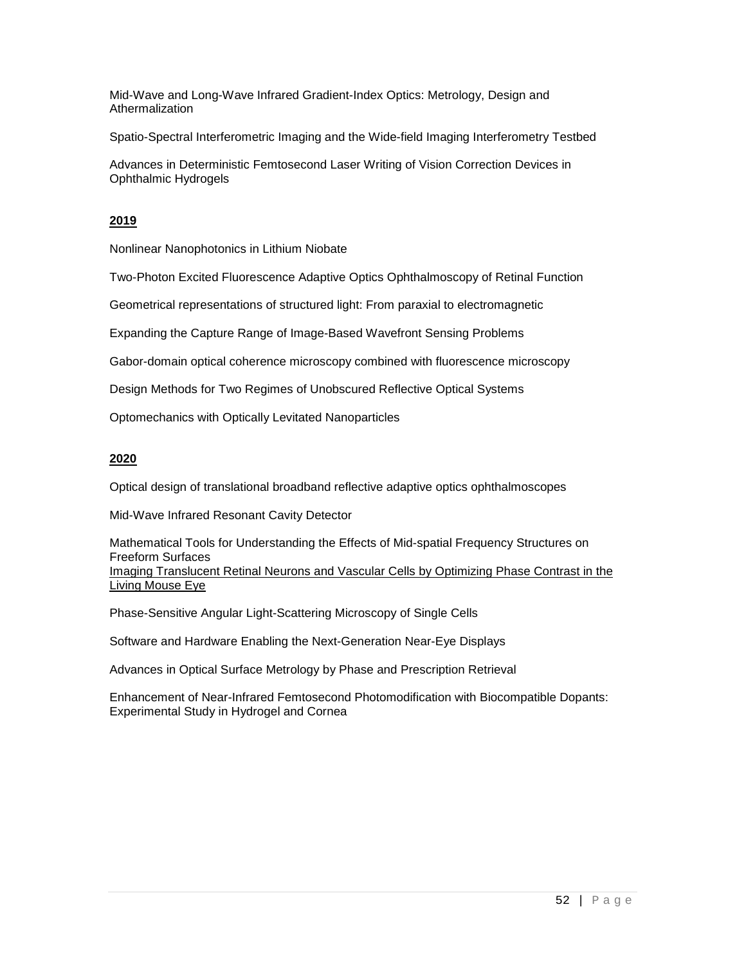Mid-Wave and Long-Wave Infrared Gradient-Index Optics: Metrology, Design and **Athermalization** 

Spatio-Spectral Interferometric Imaging and the Wide-field Imaging Interferometry Testbed

Advances in Deterministic Femtosecond Laser Writing of Vision Correction Devices in Ophthalmic Hydrogels

## **2019**

Nonlinear Nanophotonics in Lithium Niobate

Two-Photon Excited Fluorescence Adaptive Optics Ophthalmoscopy of Retinal Function

Geometrical representations of structured light: From paraxial to electromagnetic

Expanding the Capture Range of Image-Based Wavefront Sensing Problems

Gabor-domain optical coherence microscopy combined with fluorescence microscopy

Design Methods for Two Regimes of Unobscured Reflective Optical Systems

Optomechanics with Optically Levitated Nanoparticles

## **2020**

Optical design of translational broadband reflective adaptive optics ophthalmoscopes

Mid-Wave Infrared Resonant Cavity Detector

Mathematical Tools for Understanding the Effects of Mid-spatial Frequency Structures on Freeform Surfaces Imaging Translucent Retinal Neurons and Vascular Cells by Optimizing Phase Contrast in the Living Mouse Eye

Phase-Sensitive Angular Light-Scattering Microscopy of Single Cells

Software and Hardware Enabling the Next-Generation Near-Eye Displays

Advances in Optical Surface Metrology by Phase and Prescription Retrieval

Enhancement of Near-Infrared Femtosecond Photomodification with Biocompatible Dopants: Experimental Study in Hydrogel and Cornea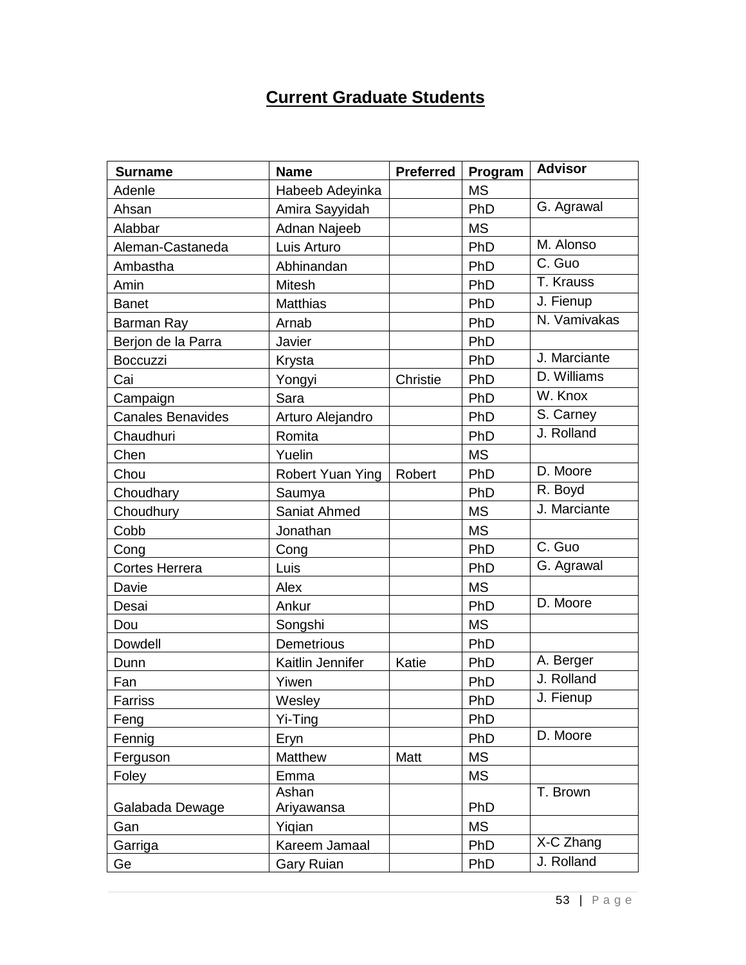# **Current Graduate Students**

| <b>Surname</b>           | <b>Name</b>       | <b>Preferred</b> | Program   | <b>Advisor</b> |
|--------------------------|-------------------|------------------|-----------|----------------|
| Adenle                   | Habeeb Adeyinka   |                  | <b>MS</b> |                |
| Ahsan                    | Amira Sayyidah    |                  | PhD       | G. Agrawal     |
| Alabbar                  | Adnan Najeeb      |                  | <b>MS</b> |                |
| Aleman-Castaneda         | Luis Arturo       |                  | PhD       | M. Alonso      |
| Ambastha                 | Abhinandan        |                  | PhD       | C. Guo         |
| Amin                     | <b>Mitesh</b>     |                  | PhD       | T. Krauss      |
| <b>Banet</b>             | <b>Matthias</b>   |                  | PhD       | J. Fienup      |
| Barman Ray               | Arnab             |                  | PhD       | N. Vamivakas   |
| Berjon de la Parra       | Javier            |                  | PhD       |                |
| Boccuzzi                 | Krysta            |                  | PhD       | J. Marciante   |
| Cai                      | Yongyi            | Christie         | PhD       | D. Williams    |
| Campaign                 | Sara              |                  | PhD       | W. Knox        |
| <b>Canales Benavides</b> | Arturo Alejandro  |                  | PhD       | S. Carney      |
| Chaudhuri                | Romita            |                  | PhD       | J. Rolland     |
| Chen                     | Yuelin            |                  | <b>MS</b> |                |
| Chou                     | Robert Yuan Ying  | Robert           | PhD       | D. Moore       |
| Choudhary                | Saumya            |                  | PhD       | R. Boyd        |
| Choudhury                | Saniat Ahmed      |                  | <b>MS</b> | J. Marciante   |
| Cobb                     | Jonathan          |                  | <b>MS</b> |                |
| Cong                     | Cong              |                  | PhD       | C. Guo         |
| <b>Cortes Herrera</b>    | Luis              |                  | PhD       | G. Agrawal     |
| Davie                    | Alex              |                  | <b>MS</b> |                |
| Desai                    | Ankur             |                  | PhD       | D. Moore       |
| Dou                      | Songshi           |                  | <b>MS</b> |                |
| Dowdell                  | Demetrious        |                  | PhD       |                |
| Dunn                     | Kaitlin Jennifer  | Katie            | PhD       | A. Berger      |
| Fan                      | Yiwen             |                  | PhD       | J. Rolland     |
| Farriss                  | Wesley            |                  | PhD       | J. Fienup      |
| Feng                     | Yi-Ting           |                  | PhD       |                |
| Fennig                   | Eryn              |                  | PhD       | D. Moore       |
| Ferguson                 | Matthew           | Matt             | <b>MS</b> |                |
| Foley                    | Emma              |                  | MS        |                |
|                          | Ashan             |                  |           | T. Brown       |
| Galabada Dewage          | Ariyawansa        |                  | PhD       |                |
| Gan                      | Yiqian            |                  | MS        |                |
| Garriga                  | Kareem Jamaal     |                  | PhD       | X-C Zhang      |
| Ge                       | <b>Gary Ruian</b> |                  | PhD       | J. Rolland     |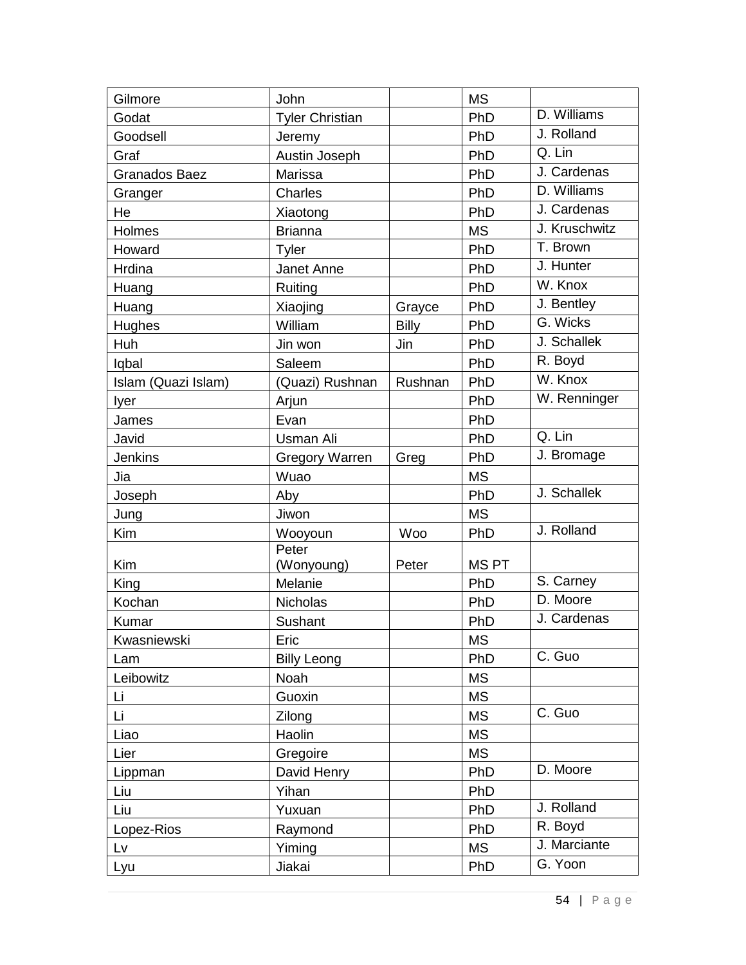| Gilmore              | John                   |              | <b>MS</b>   |               |
|----------------------|------------------------|--------------|-------------|---------------|
| Godat                | <b>Tyler Christian</b> |              | PhD         | D. Williams   |
| Goodsell             | Jeremy                 |              | PhD         | J. Rolland    |
| Graf                 | Austin Joseph          |              | PhD         | Q. Lin        |
| <b>Granados Baez</b> | Marissa                |              | PhD         | J. Cardenas   |
| Granger              | <b>Charles</b>         |              | PhD         | D. Williams   |
| He                   | Xiaotong               |              | PhD         | J. Cardenas   |
| Holmes               | <b>Brianna</b>         |              | <b>MS</b>   | J. Kruschwitz |
| Howard               | Tyler                  |              | PhD         | T. Brown      |
| Hrdina               | Janet Anne             |              | PhD         | J. Hunter     |
| Huang                | Ruiting                |              | PhD         | W. Knox       |
| Huang                | Xiaojing               | Grayce       | PhD         | J. Bentley    |
| Hughes               | William                | <b>Billy</b> | PhD         | G. Wicks      |
| Huh                  | Jin won                | Jin          | PhD         | J. Schallek   |
| lqbal                | Saleem                 |              | PhD         | R. Boyd       |
| Islam (Quazi Islam)  | (Quazi) Rushnan        | Rushnan      | PhD         | W. Knox       |
| Iyer                 | Arjun                  |              | PhD         | W. Renninger  |
| James                | Evan                   |              | PhD         |               |
| Javid                | <b>Usman Ali</b>       |              | PhD         | Q. Lin        |
| <b>Jenkins</b>       | <b>Gregory Warren</b>  | Greg         | PhD         | J. Bromage    |
| Jia                  | Wuao                   |              | <b>MS</b>   |               |
| Joseph               | Aby                    |              | PhD         | J. Schallek   |
| Jung                 | Jiwon                  |              | <b>MS</b>   |               |
| Kim                  | Wooyoun                | <b>Woo</b>   | PhD         | J. Rolland    |
|                      | Peter                  |              |             |               |
| Kim                  | (Wonyoung)             | Peter        | <b>MSPT</b> |               |
| King                 | Melanie                |              | PhD         | S. Carney     |
| Kochan               | Nicholas               |              | PhD         | D. Moore      |
| Kumar                | Sushant                |              | PhD         | J. Cardenas   |
| Kwasniewski          | Eric                   |              | <b>MS</b>   |               |
| Lam                  | <b>Billy Leong</b>     |              | PhD         | C. Guo        |
| Leibowitz            | Noah                   |              | <b>MS</b>   |               |
| Li                   | Guoxin                 |              | <b>MS</b>   |               |
| Li                   | Zilong                 |              | <b>MS</b>   | C. Guo        |
| Liao                 | Haolin                 |              | <b>MS</b>   |               |
| Lier                 | Gregoire               |              | <b>MS</b>   |               |
| Lippman              | David Henry            |              | PhD         | D. Moore      |
| Liu                  | Yihan                  |              | PhD         |               |
| Liu                  | Yuxuan                 |              | PhD         | J. Rolland    |
| Lopez-Rios           | Raymond                |              | PhD         | R. Boyd       |
| Lv                   | Yiming                 |              | <b>MS</b>   | J. Marciante  |
| Lyu                  | Jiakai                 |              | PhD         | G. Yoon       |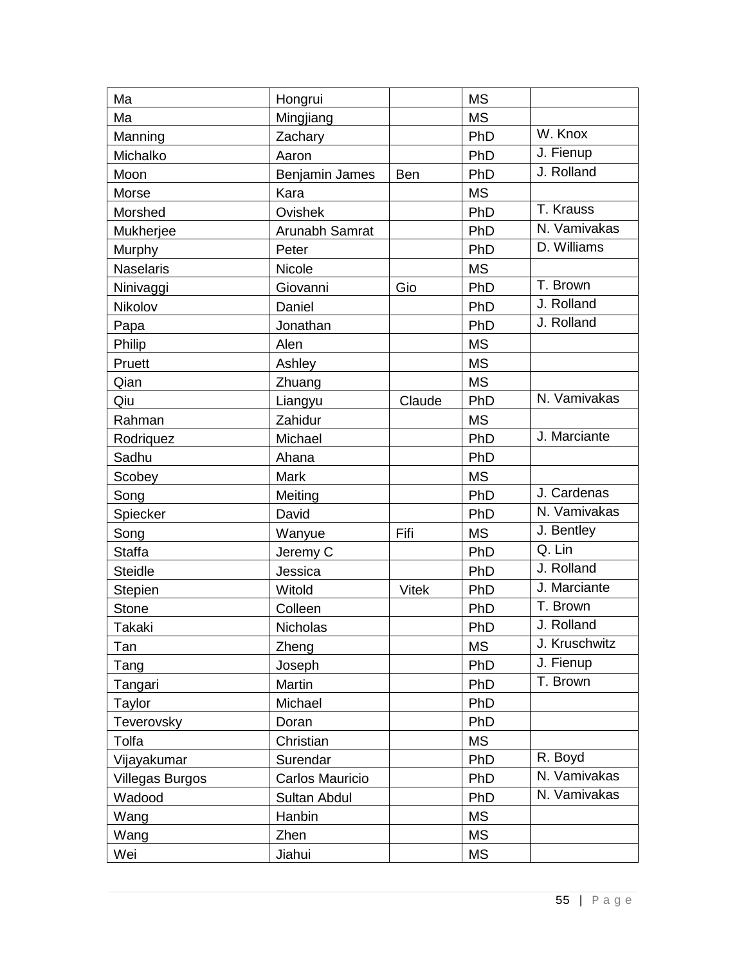| Ma                     | Hongrui         |              | <b>MS</b> |               |
|------------------------|-----------------|--------------|-----------|---------------|
| Ma                     | Mingjiang       |              | <b>MS</b> |               |
| Manning                | Zachary         |              | PhD       | W. Knox       |
| Michalko               | Aaron           |              | PhD       | J. Fienup     |
| Moon                   | Benjamin James  | <b>Ben</b>   | PhD       | J. Rolland    |
| Morse                  | Kara            |              | <b>MS</b> |               |
| Morshed                | Ovishek         |              | PhD       | T. Krauss     |
| Mukherjee              | Arunabh Samrat  |              | PhD       | N. Vamivakas  |
| Murphy                 | Peter           |              | PhD       | D. Williams   |
| Naselaris              | Nicole          |              | <b>MS</b> |               |
| Ninivaggi              | Giovanni        | Gio          | PhD       | T. Brown      |
| Nikolov                | Daniel          |              | PhD       | J. Rolland    |
| Papa                   | Jonathan        |              | PhD       | J. Rolland    |
| Philip                 | Alen            |              | <b>MS</b> |               |
| Pruett                 | Ashley          |              | <b>MS</b> |               |
| Qian                   | Zhuang          |              | <b>MS</b> |               |
| Qiu                    | Liangyu         | Claude       | PhD       | N. Vamivakas  |
| Rahman                 | Zahidur         |              | <b>MS</b> |               |
| Rodriquez              | Michael         |              | PhD       | J. Marciante  |
| Sadhu                  | Ahana           |              | PhD       |               |
| Scobey                 | <b>Mark</b>     |              | <b>MS</b> |               |
| Song                   | Meiting         |              | PhD       | J. Cardenas   |
| Spiecker               | David           |              | PhD       | N. Vamivakas  |
| Song                   | Wanyue          | Fifi         | <b>MS</b> | J. Bentley    |
| <b>Staffa</b>          | Jeremy C        |              | PhD       | $Q.$ Lin      |
| <b>Steidle</b>         | Jessica         |              | PhD       | J. Rolland    |
| Stepien                | Witold          | <b>Vitek</b> | PhD       | J. Marciante  |
| <b>Stone</b>           | Colleen         |              | PhD       | T. Brown      |
| Takaki                 | <b>Nicholas</b> |              | PhD       | J. Rolland    |
| Tan                    | Zheng           |              | <b>MS</b> | J. Kruschwitz |
| Tang                   | Joseph          |              | PhD       | J. Fienup     |
| Tangari                | Martin          |              | PhD       | T. Brown      |
| Taylor                 | Michael         |              | PhD       |               |
| Teverovsky             | Doran           |              | PhD       |               |
| Tolfa                  | Christian       |              | <b>MS</b> |               |
| Vijayakumar            | Surendar        |              | PhD       | R. Boyd       |
| <b>Villegas Burgos</b> | Carlos Mauricio |              | PhD       | N. Vamivakas  |
| Wadood                 | Sultan Abdul    |              | PhD       | N. Vamivakas  |
| Wang                   | Hanbin          |              | <b>MS</b> |               |
| Wang                   | Zhen            |              | <b>MS</b> |               |
| Wei                    | Jiahui          |              | <b>MS</b> |               |